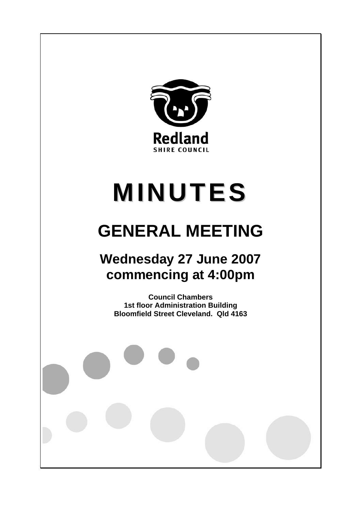

# **MINUTES**

# **GENERAL MEETING**

# **Wednesday 27 June 2007 commencing at 4:00pm**

**Council Chambers 1st floor Administration Building Bloomfield Street Cleveland. Qld 4163**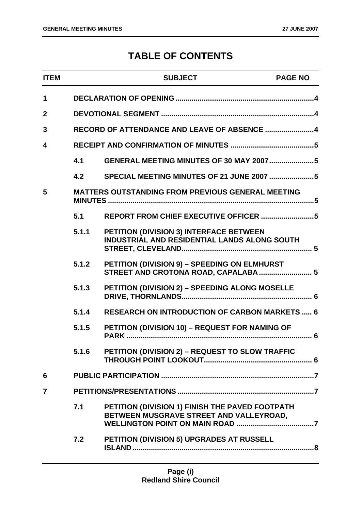### **TABLE OF CONTENTS**

| <b>ITEM</b>      |       | <b>SUBJECT</b>                                                                                 | <b>PAGE NO</b> |
|------------------|-------|------------------------------------------------------------------------------------------------|----------------|
| $\mathbf 1$      |       |                                                                                                |                |
| $\boldsymbol{2}$ |       |                                                                                                |                |
| 3                |       | RECORD OF ATTENDANCE AND LEAVE OF ABSENCE 4                                                    |                |
| 4                |       |                                                                                                |                |
|                  | 4.1   | <b>GENERAL MEETING MINUTES OF 30 MAY 20075</b>                                                 |                |
|                  | 4.2   |                                                                                                |                |
| 5                |       | <b>MATTERS OUTSTANDING FROM PREVIOUS GENERAL MEETING</b>                                       |                |
|                  | 5.1   |                                                                                                |                |
|                  | 5.1.1 | <b>PETITION (DIVISION 3) INTERFACE BETWEEN</b><br>INDUSTRIAL AND RESIDENTIAL LANDS ALONG SOUTH |                |
|                  | 5.1.2 | PETITION (DIVISION 9) - SPEEDING ON ELMHURST<br>STREET AND CROTONA ROAD, CAPALABA  5           |                |
|                  | 5.1.3 | PETITION (DIVISION 2) - SPEEDING ALONG MOSELLE                                                 |                |
|                  | 5.1.4 | <b>RESEARCH ON INTRODUCTION OF CARBON MARKETS  6</b>                                           |                |
|                  | 5.1.5 | PETITION (DIVISION 10) - REQUEST FOR NAMING OF                                                 |                |
|                  | 5.1.6 | PETITION (DIVISION 2) - REQUEST TO SLOW TRAFFIC                                                |                |
| 6                |       |                                                                                                |                |
| $\overline{7}$   |       |                                                                                                |                |
|                  | 7.1   | PETITION (DIVISION 1) FINISH THE PAVED FOOTPATH<br>BETWEEN MUSGRAVE STREET AND VALLEYROAD,     |                |
|                  | 7.2   | PETITION (DIVISION 5) UPGRADES AT RUSSELL                                                      |                |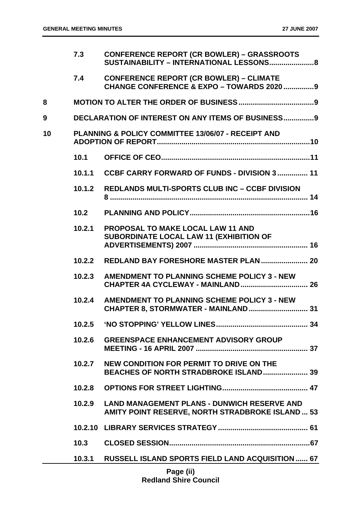|    | 7.3    | <b>CONFERENCE REPORT (CR BOWLER) - GRASSROOTS</b><br>SUSTAINABILITY - INTERNATIONAL LESSONS 8          |
|----|--------|--------------------------------------------------------------------------------------------------------|
|    | 7.4    | <b>CONFERENCE REPORT (CR BOWLER) - CLIMATE</b><br>CHANGE CONFERENCE & EXPO - TOWARDS 2020 9            |
| 8  |        |                                                                                                        |
| 9  |        | <b>DECLARATION OF INTEREST ON ANY ITEMS OF BUSINESS9</b>                                               |
| 10 |        | <b>PLANNING &amp; POLICY COMMITTEE 13/06/07 - RECEIPT AND</b>                                          |
|    | 10.1   |                                                                                                        |
|    | 10.1.1 | CCBF CARRY FORWARD OF FUNDS - DIVISION 3 11                                                            |
|    | 10.1.2 | <b>REDLANDS MULTI-SPORTS CLUB INC - CCBF DIVISION</b>                                                  |
|    | 10.2   |                                                                                                        |
|    | 10.2.1 | <b>PROPOSAL TO MAKE LOCAL LAW 11 AND</b><br>SUBORDINATE LOCAL LAW 11 (EXHIBITION OF                    |
|    | 10.2.2 | REDLAND BAY FORESHORE MASTER PLAN  20                                                                  |
|    | 10.2.3 | AMENDMENT TO PLANNING SCHEME POLICY 3 - NEW<br><b>CHAPTER 4A CYCLEWAY - MAINLAND  26</b>               |
|    | 10.2.4 | AMENDMENT TO PLANNING SCHEME POLICY 3 - NEW                                                            |
|    | 10.2.5 |                                                                                                        |
|    | 10.2.6 | <b>GREENSPACE ENHANCEMENT ADVISORY GROUP</b>                                                           |
|    | 10.2.7 | NEW CONDITION FOR PERMIT TO DRIVE ON THE<br>BEACHES OF NORTH STRADBROKE ISLAND 39                      |
|    | 10.2.8 |                                                                                                        |
|    | 10.2.9 | <b>LAND MANAGEMENT PLANS - DUNWICH RESERVE AND</b><br>AMITY POINT RESERVE, NORTH STRADBROKE ISLAND  53 |
|    |        |                                                                                                        |
|    | 10.3   |                                                                                                        |
|    | 10.3.1 | <b>RUSSELL ISLAND SPORTS FIELD LAND ACQUISITION  67</b>                                                |
|    |        | <b>Dogo (ii)</b>                                                                                       |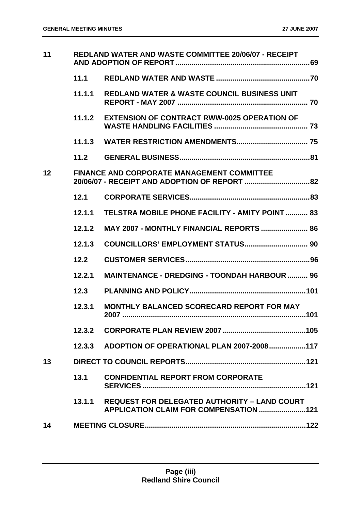| 11 | REDLAND WATER AND WASTE COMMITTEE 20/06/07 - RECEIPT |                                                                                               |  |
|----|------------------------------------------------------|-----------------------------------------------------------------------------------------------|--|
|    | 11.1                                                 |                                                                                               |  |
|    | 11.1.1                                               | <b>REDLAND WATER &amp; WASTE COUNCIL BUSINESS UNIT</b>                                        |  |
|    | 11.1.2                                               | <b>EXTENSION OF CONTRACT RWW-0025 OPERATION OF</b>                                            |  |
|    |                                                      |                                                                                               |  |
|    | 11.2                                                 |                                                                                               |  |
| 12 |                                                      | <b>FINANCE AND CORPORATE MANAGEMENT COMMITTEE</b>                                             |  |
|    | 12.1                                                 |                                                                                               |  |
|    | 12.1.1                                               | TELSTRA MOBILE PHONE FACILITY - AMITY POINT  83                                               |  |
|    | 12.1.2                                               | <b>MAY 2007 - MONTHLY FINANCIAL REPORTS  86</b>                                               |  |
|    | 12.1.3                                               |                                                                                               |  |
|    | 12.2                                                 |                                                                                               |  |
|    | 12.2.1                                               | <b>MAINTENANCE - DREDGING - TOONDAH HARBOUR  96</b>                                           |  |
|    | 12.3                                                 |                                                                                               |  |
|    | 12.3.1                                               | <b>MONTHLY BALANCED SCORECARD REPORT FOR MAY</b>                                              |  |
|    | 12.3.2                                               |                                                                                               |  |
|    |                                                      | 12.3.3 ADOPTION OF OPERATIONAL PLAN 2007-2008117                                              |  |
| 13 |                                                      |                                                                                               |  |
|    | 13.1                                                 | <b>CONFIDENTIAL REPORT FROM CORPORATE</b>                                                     |  |
|    | 13.1.1                                               | <b>REQUEST FOR DELEGATED AUTHORITY - LAND COURT</b><br>APPLICATION CLAIM FOR COMPENSATION 121 |  |
| 14 |                                                      |                                                                                               |  |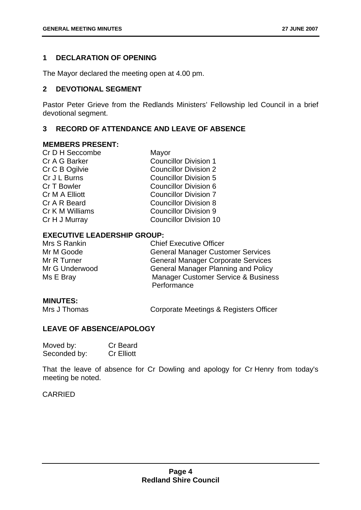#### **1 DECLARATION OF OPENING**

The Mayor declared the meeting open at 4.00 pm.

#### **2 DEVOTIONAL SEGMENT**

Pastor Peter Grieve from the Redlands Ministers' Fellowship led Council in a brief devotional segment.

#### **3 RECORD OF ATTENDANCE AND LEAVE OF ABSENCE**

#### **MEMBERS PRESENT:**

| Mayor                         |
|-------------------------------|
| <b>Councillor Division 1</b>  |
| <b>Councillor Division 2</b>  |
| <b>Councillor Division 5</b>  |
| Councillor Division 6         |
| <b>Councillor Division 7</b>  |
| <b>Councillor Division 8</b>  |
| <b>Councillor Division 9</b>  |
| <b>Councillor Division 10</b> |
|                               |

#### **EXECUTIVE LEADERSHIP GROUP:**

| Mrs S Rankin   | <b>Chief Executive Officer</b>                                |
|----------------|---------------------------------------------------------------|
| Mr M Goode     | <b>General Manager Customer Services</b>                      |
| Mr R Turner    | <b>General Manager Corporate Services</b>                     |
| Mr G Underwood | <b>General Manager Planning and Policy</b>                    |
| Ms E Bray      | <b>Manager Customer Service &amp; Business</b><br>Performance |

#### **MINUTES:**

Mrs J Thomas Corporate Meetings & Registers Officer

#### **LEAVE OF ABSENCE/APOLOGY**

| Moved by:    | Cr Beard          |
|--------------|-------------------|
| Seconded by: | <b>Cr Elliott</b> |

That the leave of absence for Cr Dowling and apology for Cr Henry from today's meeting be noted.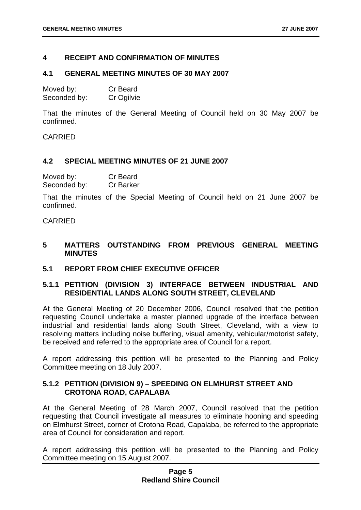#### **4 RECEIPT AND CONFIRMATION OF MINUTES**

#### **4.1 GENERAL MEETING MINUTES OF 30 MAY 2007**

| Moved by:    | Cr Beard   |
|--------------|------------|
| Seconded by: | Cr Ogilvie |

That the minutes of the General Meeting of Council held on 30 May 2007 be confirmed.

CARRIED

#### **4.2 SPECIAL MEETING MINUTES OF 21 JUNE 2007**

| Moved by:    | Cr Beard         |
|--------------|------------------|
| Seconded by: | <b>Cr Barker</b> |

That the minutes of the Special Meeting of Council held on 21 June 2007 be confirmed.

CARRIED

#### **5 MATTERS OUTSTANDING FROM PREVIOUS GENERAL MEETING MINUTES**

#### **5.1 REPORT FROM CHIEF EXECUTIVE OFFICER**

#### **5.1.1 PETITION (DIVISION 3) INTERFACE BETWEEN INDUSTRIAL AND RESIDENTIAL LANDS ALONG SOUTH STREET, CLEVELAND**

At the General Meeting of 20 December 2006, Council resolved that the petition requesting Council undertake a master planned upgrade of the interface between industrial and residential lands along South Street, Cleveland, with a view to resolving matters including noise buffering, visual amenity, vehicular/motorist safety, be received and referred to the appropriate area of Council for a report.

A report addressing this petition will be presented to the Planning and Policy Committee meeting on 18 July 2007.

#### **5.1.2 PETITION (DIVISION 9) – SPEEDING ON ELMHURST STREET AND CROTONA ROAD, CAPALABA**

At the General Meeting of 28 March 2007, Council resolved that the petition requesting that Council investigate all measures to eliminate hooning and speeding on Elmhurst Street, corner of Crotona Road, Capalaba, be referred to the appropriate area of Council for consideration and report.

A report addressing this petition will be presented to the Planning and Policy Committee meeting on 15 August 2007.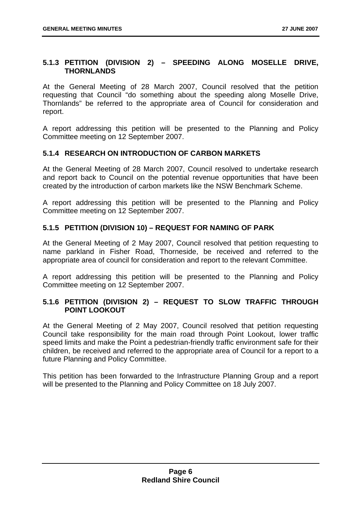#### **5.1.3 PETITION (DIVISION 2) – SPEEDING ALONG MOSELLE DRIVE, THORNLANDS**

At the General Meeting of 28 March 2007, Council resolved that the petition requesting that Council "do something about the speeding along Moselle Drive, Thornlands" be referred to the appropriate area of Council for consideration and report.

A report addressing this petition will be presented to the Planning and Policy Committee meeting on 12 September 2007.

#### **5.1.4 RESEARCH ON INTRODUCTION OF CARBON MARKETS**

At the General Meeting of 28 March 2007, Council resolved to undertake research and report back to Council on the potential revenue opportunities that have been created by the introduction of carbon markets like the NSW Benchmark Scheme.

A report addressing this petition will be presented to the Planning and Policy Committee meeting on 12 September 2007.

#### **5.1.5 PETITION (DIVISION 10) – REQUEST FOR NAMING OF PARK**

At the General Meeting of 2 May 2007, Council resolved that petition requesting to name parkland in Fisher Road, Thorneside, be received and referred to the appropriate area of council for consideration and report to the relevant Committee.

A report addressing this petition will be presented to the Planning and Policy Committee meeting on 12 September 2007.

#### **5.1.6 PETITION (DIVISION 2) – REQUEST TO SLOW TRAFFIC THROUGH POINT LOOKOUT**

At the General Meeting of 2 May 2007, Council resolved that petition requesting Council take responsibility for the main road through Point Lookout, lower traffic speed limits and make the Point a pedestrian-friendly traffic environment safe for their children, be received and referred to the appropriate area of Council for a report to a future Planning and Policy Committee.

This petition has been forwarded to the Infrastructure Planning Group and a report will be presented to the Planning and Policy Committee on 18 July 2007.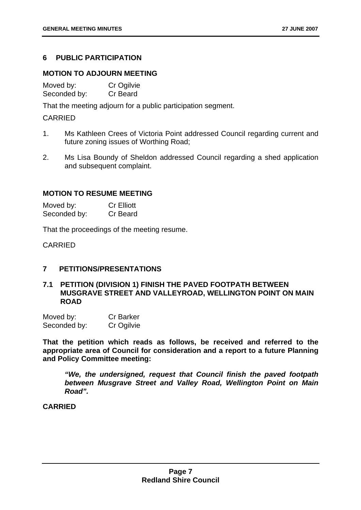#### **6 PUBLIC PARTICIPATION**

#### **MOTION TO ADJOURN MEETING**

| Moved by:    | Cr Ogilvie |
|--------------|------------|
| Seconded by: | Cr Beard   |

That the meeting adjourn for a public participation segment.

#### CARRIED

- 1. Ms Kathleen Crees of Victoria Point addressed Council regarding current and future zoning issues of Worthing Road;
- 2. Ms Lisa Boundy of Sheldon addressed Council regarding a shed application and subsequent complaint.

#### **MOTION TO RESUME MEETING**

| Moved by:    | <b>Cr Elliott</b> |
|--------------|-------------------|
| Seconded by: | Cr Beard          |

That the proceedings of the meeting resume.

CARRIED

#### **7 PETITIONS/PRESENTATIONS**

#### **7.1 PETITION (DIVISION 1) FINISH THE PAVED FOOTPATH BETWEEN MUSGRAVE STREET AND VALLEYROAD, WELLINGTON POINT ON MAIN ROAD**

| Moved by:    | <b>Cr Barker</b> |
|--------------|------------------|
| Seconded by: | Cr Ogilvie       |

**That the petition which reads as follows, be received and referred to the appropriate area of Council for consideration and a report to a future Planning and Policy Committee meeting:** 

*"We, the undersigned, request that Council finish the paved footpath between Musgrave Street and Valley Road, Wellington Point on Main Road".*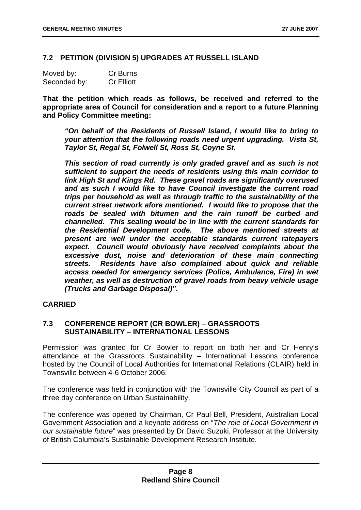#### **7.2 PETITION (DIVISION 5) UPGRADES AT RUSSELL ISLAND**

| Moved by:    | Cr Burns          |
|--------------|-------------------|
| Seconded by: | <b>Cr Elliott</b> |

**That the petition which reads as follows, be received and referred to the appropriate area of Council for consideration and a report to a future Planning and Policy Committee meeting:** 

*"On behalf of the Residents of Russell Island, I would like to bring to your attention that the following roads need urgent upgrading. Vista St, Taylor St, Regal St, Folwell St, Ross St, Coyne St.* 

*This section of road currently is only graded gravel and as such is not sufficient to support the needs of residents using this main corridor to link High St and Kings Rd. These gravel roads are significantly overused and as such I would like to have Council investigate the current road trips per household as well as through traffic to the sustainability of the current street network afore mentioned. I would like to propose that the roads be sealed with bitumen and the rain runoff be curbed and channelled. This sealing would be in line with the current standards for the Residential Development code. The above mentioned streets at present are well under the acceptable standards current ratepayers expect. Council would obviously have received complaints about the excessive dust, noise and deterioration of these main connecting streets. Residents have also complained about quick and reliable access needed for emergency services (Police, Ambulance, Fire) in wet weather, as well as destruction of gravel roads from heavy vehicle usage (Trucks and Garbage Disposal)".* 

#### **CARRIED**

#### **7.3 CONFERENCE REPORT (CR BOWLER) – GRASSROOTS SUSTAINABILITY – INTERNATIONAL LESSONS**

Permission was granted for Cr Bowler to report on both her and Cr Henry's attendance at the Grassroots Sustainability – International Lessons conference hosted by the Council of Local Authorities for International Relations (CLAIR) held in Townsville between 4-6 October 2006.

The conference was held in conjunction with the Townsville City Council as part of a three day conference on Urban Sustainability.

The conference was opened by Chairman, Cr Paul Bell, President, Australian Local Government Association and a keynote address on "*The role of Local Government in our sustainable future*" was presented by Dr David Suzuki, Professor at the University of British Columbia's Sustainable Development Research Institute.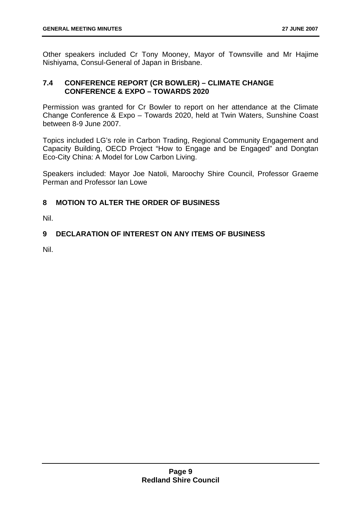Other speakers included Cr Tony Mooney, Mayor of Townsville and Mr Hajime Nishiyama, Consul-General of Japan in Brisbane.

#### **7.4 CONFERENCE REPORT (CR BOWLER) – CLIMATE CHANGE CONFERENCE & EXPO – TOWARDS 2020**

Permission was granted for Cr Bowler to report on her attendance at the Climate Change Conference & Expo – Towards 2020, held at Twin Waters, Sunshine Coast between 8-9 June 2007.

Topics included LG's role in Carbon Trading, Regional Community Engagement and Capacity Building, OECD Project "How to Engage and be Engaged" and Dongtan Eco-City China: A Model for Low Carbon Living.

Speakers included: Mayor Joe Natoli, Maroochy Shire Council, Professor Graeme Perman and Professor Ian Lowe

#### **8 MOTION TO ALTER THE ORDER OF BUSINESS**

Nil.

#### **9 DECLARATION OF INTEREST ON ANY ITEMS OF BUSINESS**

Nil.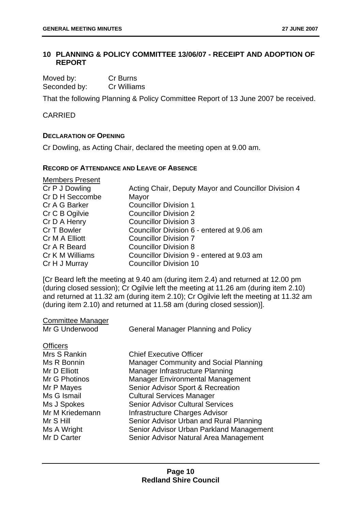#### **10 PLANNING & POLICY COMMITTEE 13/06/07 - RECEIPT AND ADOPTION OF REPORT**

| Moved by:    | Cr Burns    |
|--------------|-------------|
| Seconded by: | Cr Williams |

That the following Planning & Policy Committee Report of 13 June 2007 be received.

#### CARRIED

#### **DECLARATION OF OPENING**

Cr Dowling, as Acting Chair, declared the meeting open at 9.00 am.

#### **RECORD OF ATTENDANCE AND LEAVE OF ABSENCE**

| <b>Members Present</b> |                                                      |
|------------------------|------------------------------------------------------|
| Cr P J Dowling         | Acting Chair, Deputy Mayor and Councillor Division 4 |
| Cr D H Seccombe        | Mayor                                                |
| Cr A G Barker          | <b>Councillor Division 1</b>                         |
| Cr C B Ogilvie         | <b>Councillor Division 2</b>                         |
| Cr D A Henry           | <b>Councillor Division 3</b>                         |
| Cr T Bowler            | Councillor Division 6 - entered at 9.06 am           |
| Cr M A Elliott         | <b>Councillor Division 7</b>                         |
| Cr A R Beard           | <b>Councillor Division 8</b>                         |
| Cr K M Williams        | Councillor Division 9 - entered at 9.03 am           |
| Cr H J Murray          | <b>Councillor Division 10</b>                        |

[Cr Beard left the meeting at 9.40 am (during item 2.4) and returned at 12.00 pm (during closed session); Cr Ogilvie left the meeting at 11.26 am (during item 2.10) and returned at 11.32 am (during item 2.10); Cr Ogilvie left the meeting at 11.32 am (during item 2.10) and returned at 11.58 am (during closed session)].

| <b>Committee Manager</b> |  |
|--------------------------|--|
| $M_{r} \cap$ Underwood   |  |

Mr G Underwood General Manager Planning and Policy

| <b>Officers</b> |                                          |
|-----------------|------------------------------------------|
| Mrs S Rankin    | <b>Chief Executive Officer</b>           |
| Ms R Bonnin     | Manager Community and Social Planning    |
| Mr D Elliott    | Manager Infrastructure Planning          |
| Mr G Photinos   | <b>Manager Environmental Management</b>  |
| Mr P Mayes      | Senior Advisor Sport & Recreation        |
| Ms G Ismail     | <b>Cultural Services Manager</b>         |
| Ms J Spokes     | <b>Senior Advisor Cultural Services</b>  |
| Mr M Kriedemann | Infrastructure Charges Advisor           |
| Mr S Hill       | Senior Advisor Urban and Rural Planning  |
| Ms A Wright     | Senior Advisor Urban Parkland Management |
| Mr D Carter     | Senior Advisor Natural Area Management   |
|                 |                                          |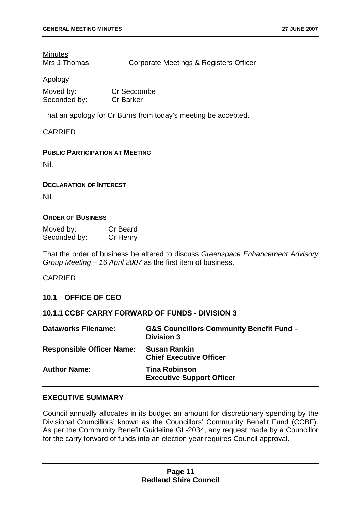## **Minutes**

Mrs J Thomas Corporate Meetings & Registers Officer

#### Apology

| Moved by:    | Cr Seccombe      |
|--------------|------------------|
| Seconded by: | <b>Cr Barker</b> |

That an apology for Cr Burns from today's meeting be accepted.

#### CARRIED

#### **PUBLIC PARTICIPATION AT MEETING**

Nil.

#### **DECLARATION OF INTEREST**

Nil.

#### **ORDER OF BUSINESS**

| Moved by:    | Cr Beard |
|--------------|----------|
| Seconded by: | Cr Henry |

That the order of business be altered to discuss *Greenspace Enhancement Advisory Group Meeting – 16 April 2007* as the first item of business.

#### CARRIED

#### **10.1 OFFICE OF CEO**

#### **10.1.1 CCBF CARRY FORWARD OF FUNDS - DIVISION 3**

| <b>Dataworks Filename:</b>       | <b>G&amp;S Councillors Community Benefit Fund -</b><br><b>Division 3</b> |
|----------------------------------|--------------------------------------------------------------------------|
| <b>Responsible Officer Name:</b> | <b>Susan Rankin</b><br><b>Chief Executive Officer</b>                    |
| <b>Author Name:</b>              | <b>Tina Robinson</b><br><b>Executive Support Officer</b>                 |

#### **EXECUTIVE SUMMARY**

Council annually allocates in its budget an amount for discretionary spending by the Divisional Councillors' known as the Councillors' Community Benefit Fund (CCBF). As per the Community Benefit Guideline GL-2034, any request made by a Councillor for the carry forward of funds into an election year requires Council approval.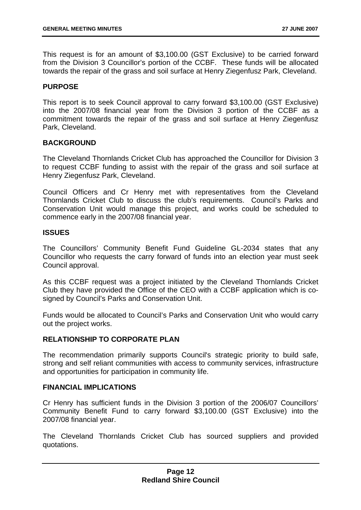This request is for an amount of \$3,100.00 (GST Exclusive) to be carried forward from the Division 3 Councillor's portion of the CCBF. These funds will be allocated towards the repair of the grass and soil surface at Henry Ziegenfusz Park, Cleveland.

#### **PURPOSE**

This report is to seek Council approval to carry forward \$3,100.00 (GST Exclusive) into the 2007/08 financial year from the Division 3 portion of the CCBF as a commitment towards the repair of the grass and soil surface at Henry Ziegenfusz Park, Cleveland.

#### **BACKGROUND**

The Cleveland Thornlands Cricket Club has approached the Councillor for Division 3 to request CCBF funding to assist with the repair of the grass and soil surface at Henry Ziegenfusz Park, Cleveland.

Council Officers and Cr Henry met with representatives from the Cleveland Thornlands Cricket Club to discuss the club's requirements. Council's Parks and Conservation Unit would manage this project, and works could be scheduled to commence early in the 2007/08 financial year.

#### **ISSUES**

The Councillors' Community Benefit Fund Guideline GL-2034 states that any Councillor who requests the carry forward of funds into an election year must seek Council approval.

As this CCBF request was a project initiated by the Cleveland Thornlands Cricket Club they have provided the Office of the CEO with a CCBF application which is cosigned by Council's Parks and Conservation Unit.

Funds would be allocated to Council's Parks and Conservation Unit who would carry out the project works.

#### **RELATIONSHIP TO CORPORATE PLAN**

The recommendation primarily supports Council's strategic priority to build safe, strong and self reliant communities with access to community services, infrastructure and opportunities for participation in community life.

#### **FINANCIAL IMPLICATIONS**

Cr Henry has sufficient funds in the Division 3 portion of the 2006/07 Councillors' Community Benefit Fund to carry forward \$3,100.00 (GST Exclusive) into the 2007/08 financial year.

The Cleveland Thornlands Cricket Club has sourced suppliers and provided quotations.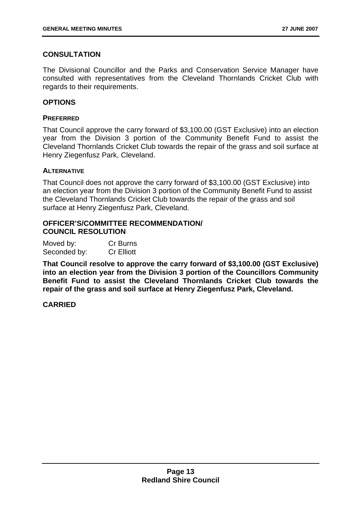#### **CONSULTATION**

The Divisional Councillor and the Parks and Conservation Service Manager have consulted with representatives from the Cleveland Thornlands Cricket Club with regards to their requirements.

#### **OPTIONS**

#### **PREFERRED**

That Council approve the carry forward of \$3,100.00 (GST Exclusive) into an election year from the Division 3 portion of the Community Benefit Fund to assist the Cleveland Thornlands Cricket Club towards the repair of the grass and soil surface at Henry Ziegenfusz Park, Cleveland.

#### **ALTERNATIVE**

That Council does not approve the carry forward of \$3,100.00 (GST Exclusive) into an election year from the Division 3 portion of the Community Benefit Fund to assist the Cleveland Thornlands Cricket Club towards the repair of the grass and soil surface at Henry Ziegenfusz Park, Cleveland.

#### **OFFICER'S/COMMITTEE RECOMMENDATION/ COUNCIL RESOLUTION**

| Moved by:    | Cr Burns          |
|--------------|-------------------|
| Seconded by: | <b>Cr Elliott</b> |

**That Council resolve to approve the carry forward of \$3,100.00 (GST Exclusive) into an election year from the Division 3 portion of the Councillors Community Benefit Fund to assist the Cleveland Thornlands Cricket Club towards the repair of the grass and soil surface at Henry Ziegenfusz Park, Cleveland.**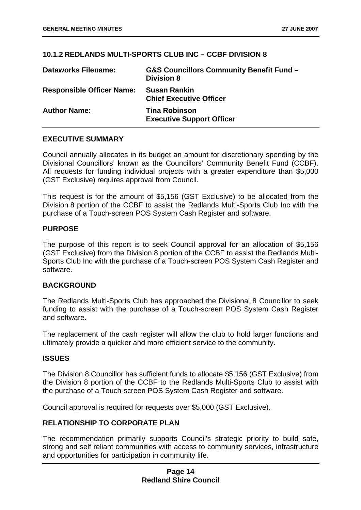#### **10.1.2 REDLANDS MULTI-SPORTS CLUB INC – CCBF DIVISION 8**

| <b>Dataworks Filename:</b>       | <b>G&amp;S Councillors Community Benefit Fund -</b><br><b>Division 8</b> |
|----------------------------------|--------------------------------------------------------------------------|
| <b>Responsible Officer Name:</b> | <b>Susan Rankin</b><br><b>Chief Executive Officer</b>                    |
| <b>Author Name:</b>              | <b>Tina Robinson</b><br><b>Executive Support Officer</b>                 |

#### **EXECUTIVE SUMMARY**

Council annually allocates in its budget an amount for discretionary spending by the Divisional Councillors' known as the Councillors' Community Benefit Fund (CCBF). All requests for funding individual projects with a greater expenditure than \$5,000 (GST Exclusive) requires approval from Council.

This request is for the amount of \$5,156 (GST Exclusive) to be allocated from the Division 8 portion of the CCBF to assist the Redlands Multi-Sports Club Inc with the purchase of a Touch-screen POS System Cash Register and software.

#### **PURPOSE**

The purpose of this report is to seek Council approval for an allocation of \$5,156 (GST Exclusive) from the Division 8 portion of the CCBF to assist the Redlands Multi-Sports Club Inc with the purchase of a Touch-screen POS System Cash Register and software.

#### **BACKGROUND**

The Redlands Multi-Sports Club has approached the Divisional 8 Councillor to seek funding to assist with the purchase of a Touch-screen POS System Cash Register and software.

The replacement of the cash register will allow the club to hold larger functions and ultimately provide a quicker and more efficient service to the community.

#### **ISSUES**

The Division 8 Councillor has sufficient funds to allocate \$5,156 (GST Exclusive) from the Division 8 portion of the CCBF to the Redlands Multi-Sports Club to assist with the purchase of a Touch-screen POS System Cash Register and software.

Council approval is required for requests over \$5,000 (GST Exclusive).

#### **RELATIONSHIP TO CORPORATE PLAN**

The recommendation primarily supports Council's strategic priority to build safe, strong and self reliant communities with access to community services, infrastructure and opportunities for participation in community life.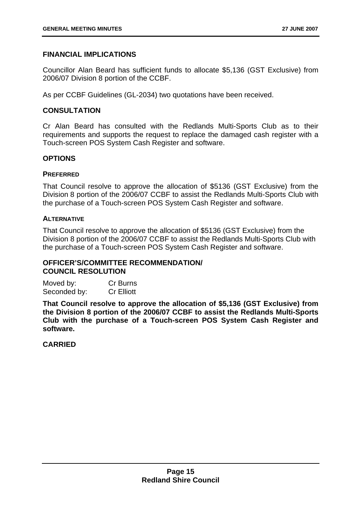#### **FINANCIAL IMPLICATIONS**

Councillor Alan Beard has sufficient funds to allocate \$5,136 (GST Exclusive) from 2006/07 Division 8 portion of the CCBF.

As per CCBF Guidelines (GL-2034) two quotations have been received.

#### **CONSULTATION**

Cr Alan Beard has consulted with the Redlands Multi-Sports Club as to their requirements and supports the request to replace the damaged cash register with a Touch-screen POS System Cash Register and software.

#### **OPTIONS**

#### **PREFERRED**

That Council resolve to approve the allocation of \$5136 (GST Exclusive) from the Division 8 portion of the 2006/07 CCBF to assist the Redlands Multi-Sports Club with the purchase of a Touch-screen POS System Cash Register and software.

#### **ALTERNATIVE**

That Council resolve to approve the allocation of \$5136 (GST Exclusive) from the Division 8 portion of the 2006/07 CCBF to assist the Redlands Multi-Sports Club with the purchase of a Touch-screen POS System Cash Register and software.

#### **OFFICER'S/COMMITTEE RECOMMENDATION/ COUNCIL RESOLUTION**

Moved by: Cr Burns Seconded by: Cr Elliott

**That Council resolve to approve the allocation of \$5,136 (GST Exclusive) from the Division 8 portion of the 2006/07 CCBF to assist the Redlands Multi-Sports Club with the purchase of a Touch-screen POS System Cash Register and software.**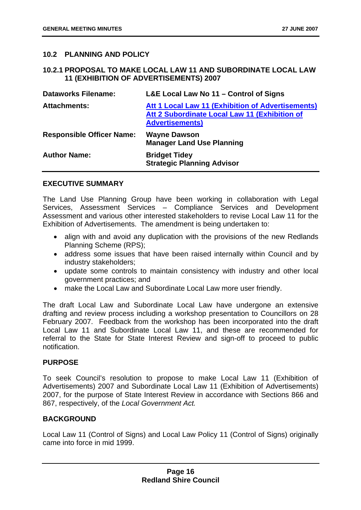#### **10.2 PLANNING AND POLICY**

#### **10.2.1 PROPOSAL TO MAKE LOCAL LAW 11 AND SUBORDINATE LOCAL LAW 11 (EXHIBITION OF ADVERTISEMENTS) 2007**

| <b>Dataworks Filename:</b>       | L&E Local Law No 11 - Control of Signs                                                                                       |
|----------------------------------|------------------------------------------------------------------------------------------------------------------------------|
| <b>Attachments:</b>              | Att 1 Local Law 11 (Exhibition of Advertisements)<br>Att 2 Subordinate Local Law 11 (Exhibition of<br><b>Advertisements)</b> |
| <b>Responsible Officer Name:</b> | <b>Wayne Dawson</b><br><b>Manager Land Use Planning</b>                                                                      |
| <b>Author Name:</b>              | <b>Bridget Tidey</b><br><b>Strategic Planning Advisor</b>                                                                    |

#### **EXECUTIVE SUMMARY**

The Land Use Planning Group have been working in collaboration with Legal Services, Assessment Services – Compliance Services and Development Assessment and various other interested stakeholders to revise Local Law 11 for the Exhibition of Advertisements. The amendment is being undertaken to:

- align with and avoid any duplication with the provisions of the new Redlands Planning Scheme (RPS);
- address some issues that have been raised internally within Council and by industry stakeholders;
- update some controls to maintain consistency with industry and other local government practices; and
- make the Local Law and Subordinate Local Law more user friendly.

The draft Local Law and Subordinate Local Law have undergone an extensive drafting and review process including a workshop presentation to Councillors on 28 February 2007. Feedback from the workshop has been incorporated into the draft Local Law 11 and Subordinate Local Law 11, and these are recommended for referral to the State for State Interest Review and sign-off to proceed to public notification.

#### **PURPOSE**

To seek Council's resolution to propose to make Local Law 11 (Exhibition of Advertisements) 2007 and Subordinate Local Law 11 (Exhibition of Advertisements) 2007, for the purpose of State Interest Review in accordance with Sections 866 and 867, respectively, of the *Local Government Act.*

#### **BACKGROUND**

Local Law 11 (Control of Signs) and Local Law Policy 11 (Control of Signs) originally came into force in mid 1999.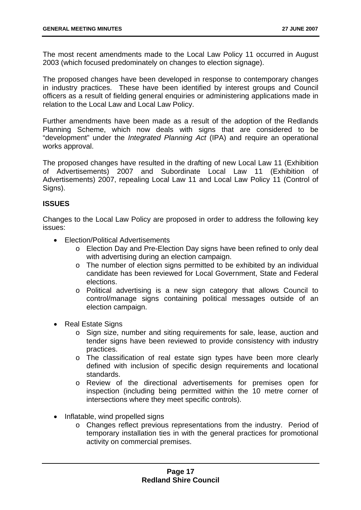The most recent amendments made to the Local Law Policy 11 occurred in August 2003 (which focused predominately on changes to election signage).

The proposed changes have been developed in response to contemporary changes in industry practices. These have been identified by interest groups and Council officers as a result of fielding general enquiries or administering applications made in relation to the Local Law and Local Law Policy.

Further amendments have been made as a result of the adoption of the Redlands Planning Scheme, which now deals with signs that are considered to be "development" under the *Integrated Planning Act* (IPA) and require an operational works approval.

The proposed changes have resulted in the drafting of new Local Law 11 (Exhibition of Advertisements) 2007 and Subordinate Local Law 11 (Exhibition of Advertisements) 2007, repealing Local Law 11 and Local Law Policy 11 (Control of Signs).

#### **ISSUES**

Changes to the Local Law Policy are proposed in order to address the following key issues:

- Election/Political Advertisements
	- o Election Day and Pre-Election Day signs have been refined to only deal with advertising during an election campaign.
	- o The number of election signs permitted to be exhibited by an individual candidate has been reviewed for Local Government, State and Federal elections.
	- o Political advertising is a new sign category that allows Council to control/manage signs containing political messages outside of an election campaign.
- Real Estate Signs
	- o Sign size, number and siting requirements for sale, lease, auction and tender signs have been reviewed to provide consistency with industry practices.
	- o The classification of real estate sign types have been more clearly defined with inclusion of specific design requirements and locational standards.
	- o Review of the directional advertisements for premises open for inspection (including being permitted within the 10 metre corner of intersections where they meet specific controls).
- Inflatable, wind propelled signs
	- o Changes reflect previous representations from the industry. Period of temporary installation ties in with the general practices for promotional activity on commercial premises.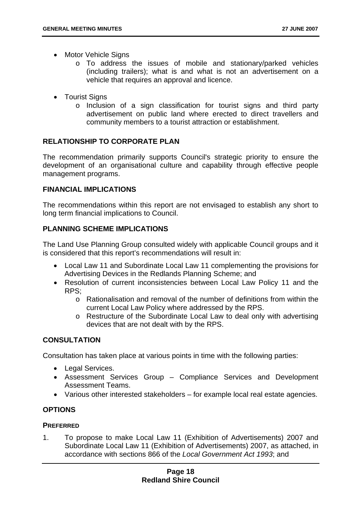- Motor Vehicle Signs
	- o To address the issues of mobile and stationary/parked vehicles (including trailers); what is and what is not an advertisement on a vehicle that requires an approval and licence.
- Tourist Signs
	- o Inclusion of a sign classification for tourist signs and third party advertisement on public land where erected to direct travellers and community members to a tourist attraction or establishment.

#### **RELATIONSHIP TO CORPORATE PLAN**

The recommendation primarily supports Council's strategic priority to ensure the development of an organisational culture and capability through effective people management programs.

#### **FINANCIAL IMPLICATIONS**

The recommendations within this report are not envisaged to establish any short to long term financial implications to Council.

#### **PLANNING SCHEME IMPLICATIONS**

The Land Use Planning Group consulted widely with applicable Council groups and it is considered that this report's recommendations will result in:

- Local Law 11 and Subordinate Local Law 11 complementing the provisions for Advertising Devices in the Redlands Planning Scheme; and
- Resolution of current inconsistencies between Local Law Policy 11 and the RPS;
	- $\circ$  Rationalisation and removal of the number of definitions from within the current Local Law Policy where addressed by the RPS.
	- o Restructure of the Subordinate Local Law to deal only with advertising devices that are not dealt with by the RPS.

#### **CONSULTATION**

Consultation has taken place at various points in time with the following parties:

- Legal Services.
- Assessment Services Group Compliance Services and Development Assessment Teams.
- Various other interested stakeholders for example local real estate agencies.

#### **OPTIONS**

#### **PREFERRED**

1. To propose to make Local Law 11 (Exhibition of Advertisements) 2007 and Subordinate Local Law 11 (Exhibition of Advertisements) 2007, as attached, in accordance with sections 866 of the *Local Government Act 1993*; and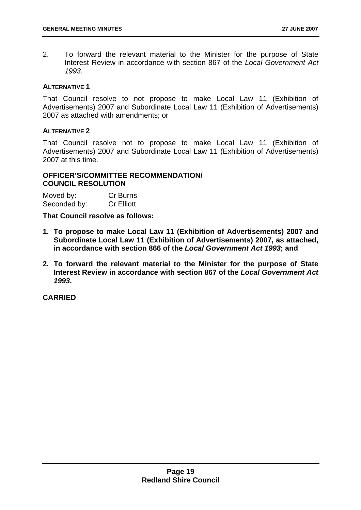2. To forward the relevant material to the Minister for the purpose of State Interest Review in accordance with section 867 of the *Local Government Act 1993*.

#### **ALTERNATIVE 1**

That Council resolve to not propose to make Local Law 11 (Exhibition of Advertisements) 2007 and Subordinate Local Law 11 (Exhibition of Advertisements) 2007 as attached with amendments; or

#### **ALTERNATIVE 2**

That Council resolve not to propose to make Local Law 11 (Exhibition of Advertisements) 2007 and Subordinate Local Law 11 (Exhibition of Advertisements) 2007 at this time.

#### **OFFICER'S/COMMITTEE RECOMMENDATION/ COUNCIL RESOLUTION**

| Moved by:    | Cr Burns          |
|--------------|-------------------|
| Seconded by: | <b>Cr Elliott</b> |

**That Council resolve as follows:** 

- **1. To propose to make Local Law 11 (Exhibition of Advertisements) 2007 and Subordinate Local Law 11 (Exhibition of Advertisements) 2007, as attached, in accordance with section 866 of the** *Local Government Act 1993***; and**
- **2. To forward the relevant material to the Minister for the purpose of State Interest Review in accordance with section 867 of the** *Local Government Act 1993***.**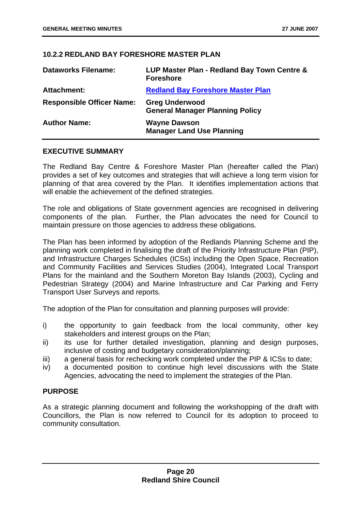#### **10.2.2 REDLAND BAY FORESHORE MASTER PLAN**

| <b>Dataworks Filename:</b>       | LUP Master Plan - Redland Bay Town Centre &<br><b>Foreshore</b> |
|----------------------------------|-----------------------------------------------------------------|
| <b>Attachment:</b>               | <b>Redland Bay Foreshore Master Plan</b>                        |
| <b>Responsible Officer Name:</b> | <b>Greg Underwood</b><br><b>General Manager Planning Policy</b> |
| <b>Author Name:</b>              | <b>Wayne Dawson</b><br><b>Manager Land Use Planning</b>         |

#### **EXECUTIVE SUMMARY**

The Redland Bay Centre & Foreshore Master Plan (hereafter called the Plan) provides a set of key outcomes and strategies that will achieve a long term vision for planning of that area covered by the Plan. It identifies implementation actions that will enable the achievement of the defined strategies.

The role and obligations of State government agencies are recognised in delivering components of the plan. Further, the Plan advocates the need for Council to maintain pressure on those agencies to address these obligations.

The Plan has been informed by adoption of the Redlands Planning Scheme and the planning work completed in finalising the draft of the Priority Infrastructure Plan (PIP), and Infrastructure Charges Schedules (ICSs) including the Open Space, Recreation and Community Facilities and Services Studies (2004), Integrated Local Transport Plans for the mainland and the Southern Moreton Bay Islands (2003), Cycling and Pedestrian Strategy (2004) and Marine Infrastructure and Car Parking and Ferry Transport User Surveys and reports.

The adoption of the Plan for consultation and planning purposes will provide:

- i) the opportunity to gain feedback from the local community, other key stakeholders and interest groups on the Plan;
- ii) its use for further detailed investigation, planning and design purposes, inclusive of costing and budgetary consideration/planning;
- iii) a general basis for rechecking work completed under the PIP & ICSs to date;
- iv) a documented position to continue high level discussions with the State Agencies, advocating the need to implement the strategies of the Plan.

#### **PURPOSE**

As a strategic planning document and following the workshopping of the draft with Councillors, the Plan is now referred to Council for its adoption to proceed to community consultation.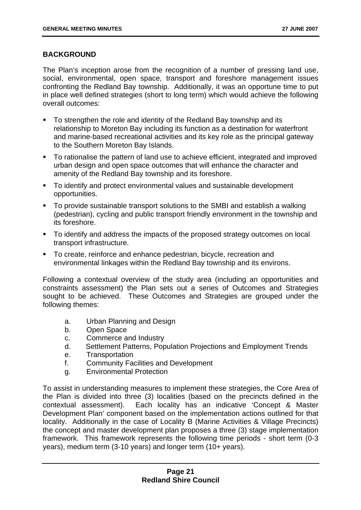#### **BACKGROUND**

The Plan's inception arose from the recognition of a number of pressing land use, social, environmental, open space, transport and foreshore management issues confronting the Redland Bay township. Additionally, it was an opportune time to put in place well defined strategies (short to long term) which would achieve the following overall outcomes:

- To strengthen the role and identity of the Redland Bay township and its relationship to Moreton Bay including its function as a destination for waterfront and marine-based recreational activities and its key role as the principal gateway to the Southern Moreton Bay Islands.
- To rationalise the pattern of land use to achieve efficient, integrated and improved urban design and open space outcomes that will enhance the character and amenity of the Redland Bay township and its foreshore.
- To identify and protect environmental values and sustainable development opportunities.
- To provide sustainable transport solutions to the SMBI and establish a walking (pedestrian), cycling and public transport friendly environment in the township and its foreshore.
- To identify and address the impacts of the proposed strategy outcomes on local transport infrastructure.
- **To create, reinforce and enhance pedestrian, bicycle, recreation and** environmental linkages within the Redland Bay township and its environs.

Following a contextual overview of the study area (including an opportunities and constraints assessment) the Plan sets out a series of Outcomes and Strategies sought to be achieved. These Outcomes and Strategies are grouped under the following themes:

- a. Urban Planning and Design
- b. Open Space
- c. Commerce and Industry
- d. Settlement Patterns, Population Projections and Employment Trends
- e. Transportation
- f. Community Facilities and Development
- g. Environmental Protection

To assist in understanding measures to implement these strategies, the Core Area of the Plan is divided into three (3) localities (based on the precincts defined in the contextual assessment). Each locality has an indicative 'Concept & Master Development Plan' component based on the implementation actions outlined for that locality. Additionally in the case of Locality B (Marine Activities & Village Precincts) the concept and master development plan proposes a three (3) stage implementation framework. This framework represents the following time periods - short term (0-3 years), medium term (3-10 years) and longer term (10+ years).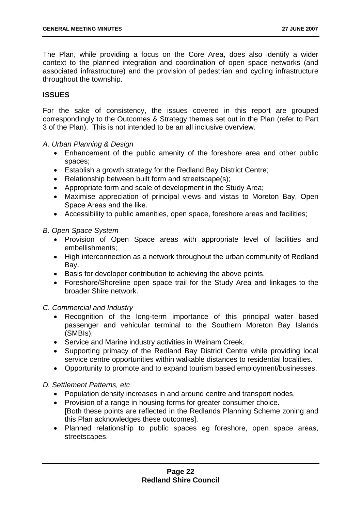The Plan, while providing a focus on the Core Area, does also identify a wider context to the planned integration and coordination of open space networks (and associated infrastructure) and the provision of pedestrian and cycling infrastructure throughout the township.

#### **ISSUES**

For the sake of consistency, the issues covered in this report are grouped correspondingly to the Outcomes & Strategy themes set out in the Plan (refer to Part 3 of the Plan). This is not intended to be an all inclusive overview.

- *A. Urban Planning & Design* 
	- Enhancement of the public amenity of the foreshore area and other public spaces;
	- Establish a growth strategy for the Redland Bay District Centre;
	- Relationship between built form and streetscape(s);
	- Appropriate form and scale of development in the Study Area;
	- Maximise appreciation of principal views and vistas to Moreton Bay, Open Space Areas and the like.
	- Accessibility to public amenities, open space, foreshore areas and facilities;

#### *B. Open Space System*

- Provision of Open Space areas with appropriate level of facilities and embellishments;
- High interconnection as a network throughout the urban community of Redland Bay.
- Basis for developer contribution to achieving the above points.
- Foreshore/Shoreline open space trail for the Study Area and linkages to the broader Shire network.

#### *C. Commercial and Industry*

- Recognition of the long-term importance of this principal water based passenger and vehicular terminal to the Southern Moreton Bay Islands (SMBIs).
- Service and Marine industry activities in Weinam Creek.
- Supporting primacy of the Redland Bay District Centre while providing local service centre opportunities within walkable distances to residential localities.
- Opportunity to promote and to expand tourism based employment/businesses.

#### *D. Settlement Patterns, etc*

- Population density increases in and around centre and transport nodes.
- Provision of a range in housing forms for greater consumer choice. [Both these points are reflected in the Redlands Planning Scheme zoning and this Plan acknowledges these outcomes].
- Planned relationship to public spaces eg foreshore, open space areas, streetscapes.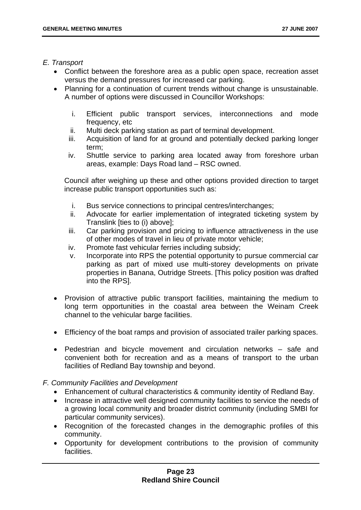#### *E. Transport*

- Conflict between the foreshore area as a public open space, recreation asset versus the demand pressures for increased car parking.
- Planning for a continuation of current trends without change is unsustainable. A number of options were discussed in Councillor Workshops:
	- i. Efficient public transport services, interconnections and mode frequency, etc
	- ii. Multi deck parking station as part of terminal development.
	- iii. Acquisition of land for at ground and potentially decked parking longer term;
	- iv. Shuttle service to parking area located away from foreshore urban areas, example: Days Road land – RSC owned.

Council after weighing up these and other options provided direction to target increase public transport opportunities such as:

- i. Bus service connections to principal centres/interchanges;
- ii. Advocate for earlier implementation of integrated ticketing system by Translink [ties to (i) above];
- iii. Car parking provision and pricing to influence attractiveness in the use of other modes of travel in lieu of private motor vehicle;
- iv. Promote fast vehicular ferries including subsidy;
- v. Incorporate into RPS the potential opportunity to pursue commercial car parking as part of mixed use multi-storey developments on private properties in Banana, Outridge Streets. [This policy position was drafted into the RPS].
- Provision of attractive public transport facilities, maintaining the medium to long term opportunities in the coastal area between the Weinam Creek channel to the vehicular barge facilities.
- Efficiency of the boat ramps and provision of associated trailer parking spaces.
- Pedestrian and bicycle movement and circulation networks safe and convenient both for recreation and as a means of transport to the urban facilities of Redland Bay township and beyond.

#### *F. Community Facilities and Development*

- Enhancement of cultural characteristics & community identity of Redland Bay.
- Increase in attractive well designed community facilities to service the needs of a growing local community and broader district community (including SMBI for particular community services).
- Recognition of the forecasted changes in the demographic profiles of this community.
- Opportunity for development contributions to the provision of community facilities.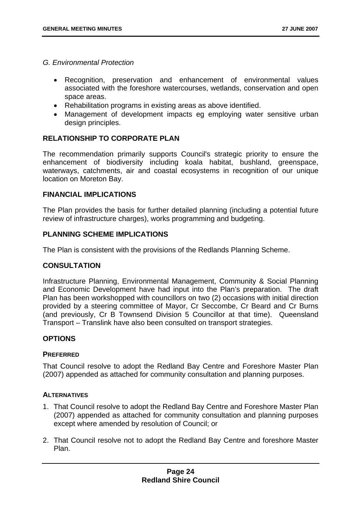- *G. Environmental Protection*
	- Recognition, preservation and enhancement of environmental values associated with the foreshore watercourses, wetlands, conservation and open space areas.
	- Rehabilitation programs in existing areas as above identified.
	- Management of development impacts eg employing water sensitive urban design principles.

#### **RELATIONSHIP TO CORPORATE PLAN**

The recommendation primarily supports Council's strategic priority to ensure the enhancement of biodiversity including koala habitat, bushland, greenspace, waterways, catchments, air and coastal ecosystems in recognition of our unique location on Moreton Bay.

#### **FINANCIAL IMPLICATIONS**

The Plan provides the basis for further detailed planning (including a potential future review of infrastructure charges), works programming and budgeting.

#### **PLANNING SCHEME IMPLICATIONS**

The Plan is consistent with the provisions of the Redlands Planning Scheme.

#### **CONSULTATION**

Infrastructure Planning, Environmental Management, Community & Social Planning and Economic Development have had input into the Plan's preparation. The draft Plan has been workshopped with councillors on two (2) occasions with initial direction provided by a steering committee of Mayor, Cr Seccombe, Cr Beard and Cr Burns (and previously, Cr B Townsend Division 5 Councillor at that time). Queensland Transport – Translink have also been consulted on transport strategies.

#### **OPTIONS**

#### **PREFERRED**

That Council resolve to adopt the Redland Bay Centre and Foreshore Master Plan (2007) appended as attached for community consultation and planning purposes.

#### **ALTERNATIVES**

- 1. That Council resolve to adopt the Redland Bay Centre and Foreshore Master Plan (2007) appended as attached for community consultation and planning purposes except where amended by resolution of Council; or
- 2. That Council resolve not to adopt the Redland Bay Centre and foreshore Master Plan.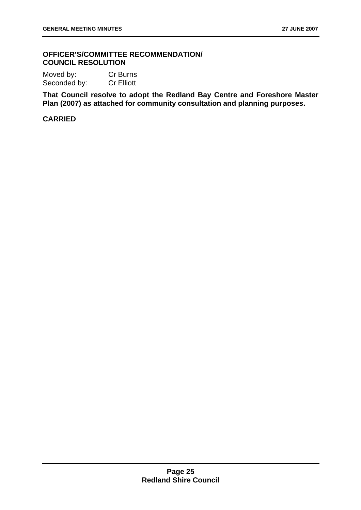#### **OFFICER'S/COMMITTEE RECOMMENDATION/ COUNCIL RESOLUTION**

Moved by: Cr Burns Seconded by: Cr Elliott

**That Council resolve to adopt the Redland Bay Centre and Foreshore Master Plan (2007) as attached for community consultation and planning purposes.**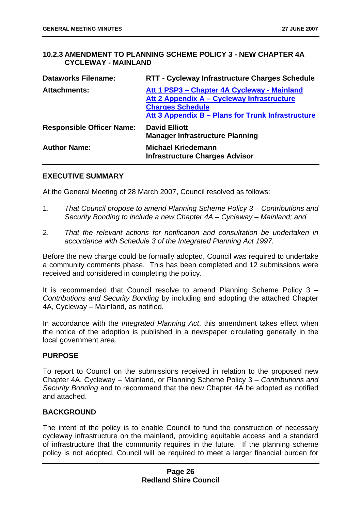#### **10.2.3 AMENDMENT TO PLANNING SCHEME POLICY 3 - NEW CHAPTER 4A CYCLEWAY - MAINLAND**

| <b>Dataworks Filename:</b>       | RTT - Cycleway Infrastructure Charges Schedule                                                                                                                            |
|----------------------------------|---------------------------------------------------------------------------------------------------------------------------------------------------------------------------|
| <b>Attachments:</b>              | Att 1 PSP3 - Chapter 4A Cycleway - Mainland<br>Att 2 Appendix A – Cycleway Infrastructure<br><b>Charges Schedule</b><br>Att 3 Appendix B - Plans for Trunk Infrastructure |
| <b>Responsible Officer Name:</b> | <b>David Elliott</b><br><b>Manager Infrastructure Planning</b>                                                                                                            |
| <b>Author Name:</b>              | <b>Michael Kriedemann</b><br><b>Infrastructure Charges Advisor</b>                                                                                                        |

#### **EXECUTIVE SUMMARY**

At the General Meeting of 28 March 2007, Council resolved as follows:

- 1. *That Council propose to amend Planning Scheme Policy 3 Contributions and Security Bonding to include a new Chapter 4A – Cycleway – Mainland; and*
- 2. *That the relevant actions for notification and consultation be undertaken in accordance with Schedule 3 of the Integrated Planning Act 1997.*

Before the new charge could be formally adopted, Council was required to undertake a community comments phase. This has been completed and 12 submissions were received and considered in completing the policy.

It is recommended that Council resolve to amend Planning Scheme Policy 3 – *Contributions and Security Bonding* by including and adopting the attached Chapter 4A, Cycleway – Mainland, as notified.

In accordance with the *Integrated Planning Act*, this amendment takes effect when the notice of the adoption is published in a newspaper circulating generally in the local government area.

#### **PURPOSE**

To report to Council on the submissions received in relation to the proposed new Chapter 4A, Cycleway – Mainland, or Planning Scheme Policy 3 – *Contributions and Security Bonding* and to recommend that the new Chapter 4A be adopted as notified and attached.

#### **BACKGROUND**

The intent of the policy is to enable Council to fund the construction of necessary cycleway infrastructure on the mainland, providing equitable access and a standard of infrastructure that the community requires in the future. If the planning scheme policy is not adopted, Council will be required to meet a larger financial burden for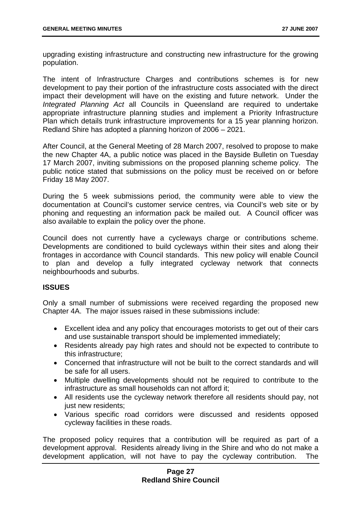upgrading existing infrastructure and constructing new infrastructure for the growing population.

The intent of Infrastructure Charges and contributions schemes is for new development to pay their portion of the infrastructure costs associated with the direct impact their development will have on the existing and future network. Under the *Integrated Planning Act* all Councils in Queensland are required to undertake appropriate infrastructure planning studies and implement a Priority Infrastructure Plan which details trunk infrastructure improvements for a 15 year planning horizon. Redland Shire has adopted a planning horizon of 2006 – 2021.

After Council, at the General Meeting of 28 March 2007, resolved to propose to make the new Chapter 4A, a public notice was placed in the Bayside Bulletin on Tuesday 17 March 2007, inviting submissions on the proposed planning scheme policy. The public notice stated that submissions on the policy must be received on or before Friday 18 May 2007.

During the 5 week submissions period, the community were able to view the documentation at Council's customer service centres, via Council's web site or by phoning and requesting an information pack be mailed out. A Council officer was also available to explain the policy over the phone.

Council does not currently have a cycleways charge or contributions scheme. Developments are conditioned to build cycleways within their sites and along their frontages in accordance with Council standards. This new policy will enable Council to plan and develop a fully integrated cycleway network that connects neighbourhoods and suburbs.

#### **ISSUES**

Only a small number of submissions were received regarding the proposed new Chapter 4A. The major issues raised in these submissions include:

- Excellent idea and any policy that encourages motorists to get out of their cars and use sustainable transport should be implemented immediately;
- Residents already pay high rates and should not be expected to contribute to this infrastructure;
- Concerned that infrastructure will not be built to the correct standards and will be safe for all users.
- Multiple dwelling developments should not be required to contribute to the infrastructure as small households can not afford it;
- All residents use the cycleway network therefore all residents should pay, not just new residents:
- Various specific road corridors were discussed and residents opposed cycleway facilities in these roads.

The proposed policy requires that a contribution will be required as part of a development approval. Residents already living in the Shire and who do not make a development application, will not have to pay the cycleway contribution. The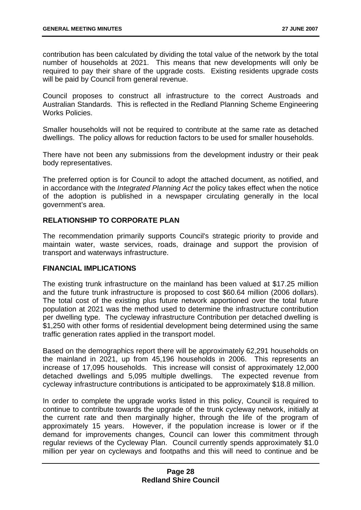contribution has been calculated by dividing the total value of the network by the total number of households at 2021. This means that new developments will only be required to pay their share of the upgrade costs. Existing residents upgrade costs will be paid by Council from general revenue.

Council proposes to construct all infrastructure to the correct Austroads and Australian Standards. This is reflected in the Redland Planning Scheme Engineering Works Policies.

Smaller households will not be required to contribute at the same rate as detached dwellings. The policy allows for reduction factors to be used for smaller households.

There have not been any submissions from the development industry or their peak body representatives.

The preferred option is for Council to adopt the attached document, as notified, and in accordance with the *Integrated Planning Act* the policy takes effect when the notice of the adoption is published in a newspaper circulating generally in the local government's area.

#### **RELATIONSHIP TO CORPORATE PLAN**

The recommendation primarily supports Council's strategic priority to provide and maintain water, waste services, roads, drainage and support the provision of transport and waterways infrastructure.

#### **FINANCIAL IMPLICATIONS**

The existing trunk infrastructure on the mainland has been valued at \$17.25 million and the future trunk infrastructure is proposed to cost \$60.64 million (2006 dollars). The total cost of the existing plus future network apportioned over the total future population at 2021 was the method used to determine the infrastructure contribution per dwelling type. The cycleway infrastructure Contribution per detached dwelling is \$1,250 with other forms of residential development being determined using the same traffic generation rates applied in the transport model.

Based on the demographics report there will be approximately 62,291 households on the mainland in 2021, up from 45,196 households in 2006. This represents an increase of 17,095 households. This increase will consist of approximately 12,000 detached dwellings and 5,095 multiple dwellings. The expected revenue from cycleway infrastructure contributions is anticipated to be approximately \$18.8 million.

In order to complete the upgrade works listed in this policy, Council is required to continue to contribute towards the upgrade of the trunk cycleway network, initially at the current rate and then marginally higher, through the life of the program of approximately 15 years. However, if the population increase is lower or if the demand for improvements changes, Council can lower this commitment through regular reviews of the Cycleway Plan. Council currently spends approximately \$1.0 million per year on cycleways and footpaths and this will need to continue and be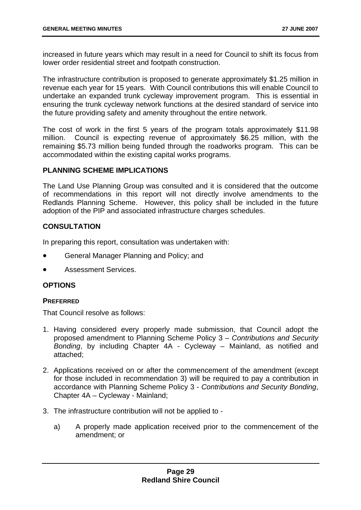increased in future years which may result in a need for Council to shift its focus from lower order residential street and footpath construction.

The infrastructure contribution is proposed to generate approximately \$1.25 million in revenue each year for 15 years. With Council contributions this will enable Council to undertake an expanded trunk cycleway improvement program. This is essential in ensuring the trunk cycleway network functions at the desired standard of service into the future providing safety and amenity throughout the entire network.

The cost of work in the first 5 years of the program totals approximately \$11.98 million. Council is expecting revenue of approximately \$6.25 million, with the remaining \$5.73 million being funded through the roadworks program. This can be accommodated within the existing capital works programs.

#### **PLANNING SCHEME IMPLICATIONS**

The Land Use Planning Group was consulted and it is considered that the outcome of recommendations in this report will not directly involve amendments to the Redlands Planning Scheme. However, this policy shall be included in the future adoption of the PIP and associated infrastructure charges schedules.

#### **CONSULTATION**

In preparing this report, consultation was undertaken with:

- General Manager Planning and Policy; and
- Assessment Services.

#### **OPTIONS**

#### **PREFERRED**

That Council resolve as follows:

- 1. Having considered every properly made submission, that Council adopt the proposed amendment to Planning Scheme Policy 3 – *Contributions and Security Bonding*, by including Chapter 4A - Cycleway – Mainland, as notified and attached;
- 2. Applications received on or after the commencement of the amendment (except for those included in recommendation 3) will be required to pay a contribution in accordance with Planning Scheme Policy 3 - *Contributions and Security Bonding*, Chapter 4A – Cycleway - Mainland;
- 3. The infrastructure contribution will not be applied to
	- a) A properly made application received prior to the commencement of the amendment; or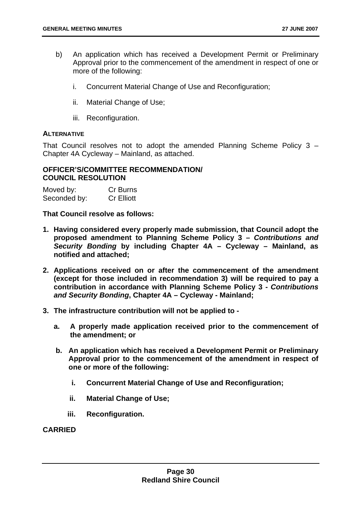- b) An application which has received a Development Permit or Preliminary Approval prior to the commencement of the amendment in respect of one or more of the following:
	- i. Concurrent Material Change of Use and Reconfiguration;
	- ii. Material Change of Use;
	- iii. Reconfiguration.

#### **ALTERNATIVE**

That Council resolves not to adopt the amended Planning Scheme Policy 3 – Chapter 4A Cycleway – Mainland, as attached.

#### **OFFICER'S/COMMITTEE RECOMMENDATION/ COUNCIL RESOLUTION**

| Moved by:    | Cr Burns          |
|--------------|-------------------|
| Seconded by: | <b>Cr Elliott</b> |

**That Council resolve as follows:** 

- **1. Having considered every properly made submission, that Council adopt the proposed amendment to Planning Scheme Policy 3 –** *Contributions and Security Bonding* **by including Chapter 4A – Cycleway – Mainland, as notified and attached;**
- **2. Applications received on or after the commencement of the amendment (except for those included in recommendation 3) will be required to pay a contribution in accordance with Planning Scheme Policy 3 -** *Contributions and Security Bonding***, Chapter 4A – Cycleway - Mainland;**
- **3. The infrastructure contribution will not be applied to** 
	- **a. A properly made application received prior to the commencement of the amendment; or**
	- **b. An application which has received a Development Permit or Preliminary Approval prior to the commencement of the amendment in respect of one or more of the following:** 
		- **i. Concurrent Material Change of Use and Reconfiguration;**
		- **ii. Material Change of Use;**
		- **iii. Reconfiguration.**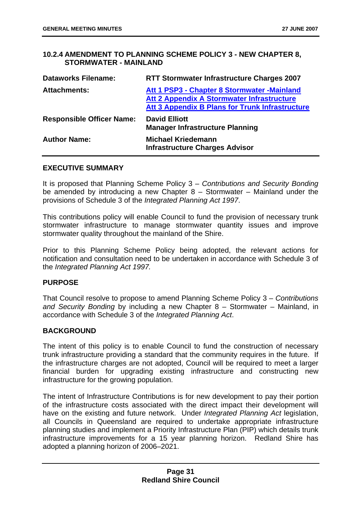#### **10.2.4 AMENDMENT TO PLANNING SCHEME POLICY 3 - NEW CHAPTER 8, STORMWATER - MAINLAND**

| <b>Dataworks Filename:</b>       | <b>RTT Stormwater Infrastructure Charges 2007</b>                                                                                             |
|----------------------------------|-----------------------------------------------------------------------------------------------------------------------------------------------|
| <b>Attachments:</b>              | Att 1 PSP3 - Chapter 8 Stormwater - Mainland<br>Att 2 Appendix A Stormwater Infrastructure<br>Att 3 Appendix B Plans for Trunk Infrastructure |
| <b>Responsible Officer Name:</b> | <b>David Elliott</b><br><b>Manager Infrastructure Planning</b>                                                                                |
| <b>Author Name:</b>              | <b>Michael Kriedemann</b><br><b>Infrastructure Charges Advisor</b>                                                                            |

#### **EXECUTIVE SUMMARY**

It is proposed that Planning Scheme Policy 3 – *Contributions and Security Bonding* be amended by introducing a new Chapter 8 – Stormwater – Mainland under the provisions of Schedule 3 of the *Integrated Planning Act 1997*.

This contributions policy will enable Council to fund the provision of necessary trunk stormwater infrastructure to manage stormwater quantity issues and improve stormwater quality throughout the mainland of the Shire.

Prior to this Planning Scheme Policy being adopted, the relevant actions for notification and consultation need to be undertaken in accordance with Schedule 3 of the *Integrated Planning Act 1997.*

#### **PURPOSE**

That Council resolve to propose to amend Planning Scheme Policy 3 – *Contributions and Security Bonding* by including a new Chapter 8 – Stormwater – Mainland, in accordance with Schedule 3 of the *Integrated Planning Act*.

#### **BACKGROUND**

The intent of this policy is to enable Council to fund the construction of necessary trunk infrastructure providing a standard that the community requires in the future. If the infrastructure charges are not adopted, Council will be required to meet a larger financial burden for upgrading existing infrastructure and constructing new infrastructure for the growing population.

The intent of Infrastructure Contributions is for new development to pay their portion of the infrastructure costs associated with the direct impact their development will have on the existing and future network. Under *Integrated Planning Act* legislation, all Councils in Queensland are required to undertake appropriate infrastructure planning studies and implement a Priority Infrastructure Plan (PIP) which details trunk infrastructure improvements for a 15 year planning horizon. Redland Shire has adopted a planning horizon of 2006–2021.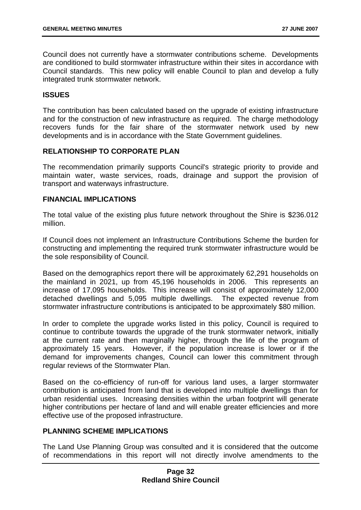Council does not currently have a stormwater contributions scheme. Developments are conditioned to build stormwater infrastructure within their sites in accordance with Council standards. This new policy will enable Council to plan and develop a fully integrated trunk stormwater network.

#### **ISSUES**

The contribution has been calculated based on the upgrade of existing infrastructure and for the construction of new infrastructure as required. The charge methodology recovers funds for the fair share of the stormwater network used by new developments and is in accordance with the State Government guidelines.

#### **RELATIONSHIP TO CORPORATE PLAN**

The recommendation primarily supports Council's strategic priority to provide and maintain water, waste services, roads, drainage and support the provision of transport and waterways infrastructure.

#### **FINANCIAL IMPLICATIONS**

The total value of the existing plus future network throughout the Shire is \$236.012 million.

If Council does not implement an Infrastructure Contributions Scheme the burden for constructing and implementing the required trunk stormwater infrastructure would be the sole responsibility of Council.

Based on the demographics report there will be approximately 62,291 households on the mainland in 2021, up from 45,196 households in 2006. This represents an increase of 17,095 households. This increase will consist of approximately 12,000 detached dwellings and 5,095 multiple dwellings. The expected revenue from stormwater infrastructure contributions is anticipated to be approximately \$80 million.

In order to complete the upgrade works listed in this policy, Council is required to continue to contribute towards the upgrade of the trunk stormwater network, initially at the current rate and then marginally higher, through the life of the program of approximately 15 years. However, if the population increase is lower or if the demand for improvements changes, Council can lower this commitment through regular reviews of the Stormwater Plan.

Based on the co-efficiency of run-off for various land uses, a larger stormwater contribution is anticipated from land that is developed into multiple dwellings than for urban residential uses. Increasing densities within the urban footprint will generate higher contributions per hectare of land and will enable greater efficiencies and more effective use of the proposed infrastructure.

#### **PLANNING SCHEME IMPLICATIONS**

The Land Use Planning Group was consulted and it is considered that the outcome of recommendations in this report will not directly involve amendments to the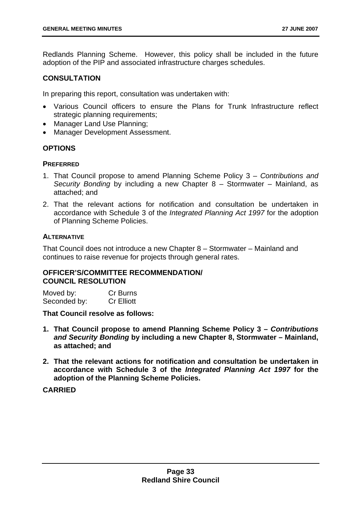Redlands Planning Scheme. However, this policy shall be included in the future adoption of the PIP and associated infrastructure charges schedules.

#### **CONSULTATION**

In preparing this report, consultation was undertaken with:

- Various Council officers to ensure the Plans for Trunk Infrastructure reflect strategic planning requirements;
- Manager Land Use Planning;
- Manager Development Assessment.

#### **OPTIONS**

#### **PREFERRED**

- 1. That Council propose to amend Planning Scheme Policy 3 *Contributions and Security Bonding* by including a new Chapter 8 – Stormwater – Mainland, as attached; and
- 2. That the relevant actions for notification and consultation be undertaken in accordance with Schedule 3 of the *Integrated Planning Act 1997* for the adoption of Planning Scheme Policies.

#### **ALTERNATIVE**

That Council does not introduce a new Chapter 8 – Stormwater – Mainland and continues to raise revenue for projects through general rates.

#### **OFFICER'S/COMMITTEE RECOMMENDATION/ COUNCIL RESOLUTION**

Moved by: Cr Burns Seconded by: Cr Elliott

#### **That Council resolve as follows:**

- **1. That Council propose to amend Planning Scheme Policy 3** *Contributions and Security Bonding* **by including a new Chapter 8, Stormwater – Mainland, as attached; and**
- **2. That the relevant actions for notification and consultation be undertaken in accordance with Schedule 3 of the** *Integrated Planning Act 1997* **for the adoption of the Planning Scheme Policies.**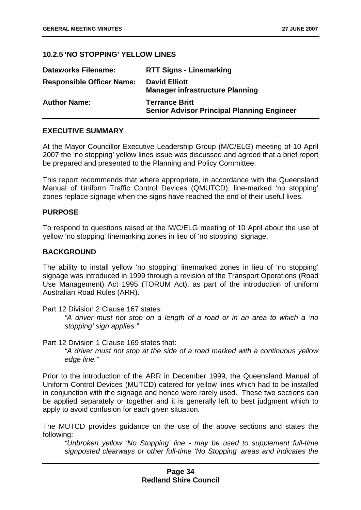#### **10.2.5 'NO STOPPING' YELLOW LINES**

| <b>Dataworks Filename:</b>       | <b>RTT Signs - Linemarking</b>                                             |
|----------------------------------|----------------------------------------------------------------------------|
| <b>Responsible Officer Name:</b> | <b>David Elliott</b><br><b>Manager infrastructure Planning</b>             |
| <b>Author Name:</b>              | <b>Terrance Britt</b><br><b>Senior Advisor Principal Planning Engineer</b> |

#### **EXECUTIVE SUMMARY**

At the Mayor Councillor Executive Leadership Group (M/C/ELG) meeting of 10 April 2007 the 'no stopping' yellow lines issue was discussed and agreed that a brief report be prepared and presented to the Planning and Policy Committee.

This report recommends that where appropriate, in accordance with the Queensland Manual of Uniform Traffic Control Devices (QMUTCD), line-marked 'no stopping' zones replace signage when the signs have reached the end of their useful lives.

#### **PURPOSE**

To respond to questions raised at the M/C/ELG meeting of 10 April about the use of yellow 'no stopping' linemarking zones in lieu of 'no stopping' signage.

#### **BACKGROUND**

The ability to install yellow 'no stopping' linemarked zones in lieu of 'no stopping' signage was introduced in 1999 through a revision of the Transport Operations (Road Use Management) Act 1995 (TORUM Act), as part of the introduction of uniform Australian Road Rules (ARR).

Part 12 Division 2 Clause 167 states:

*"A driver must not stop on a length of a road or in an area to which a 'no stopping' sign applies."* 

Part 12 Division 1 Clause 169 states that:

*"A driver must not stop at the side of a road marked with a continuous yellow edge line."* 

Prior to the introduction of the ARR in December 1999, the Queensland Manual of Uniform Control Devices (MUTCD) catered for yellow lines which had to be installed in conjunction with the signage and hence were rarely used. These two sections can be applied separately or together and it is generally left to best judgment which to apply to avoid confusion for each given situation.

The MUTCD provides guidance on the use of the above sections and states the following:

*"Unbroken yellow 'No Stopping' line - may be used to supplement full-time signposted clearways or other full-time 'No Stopping' areas and indicates the*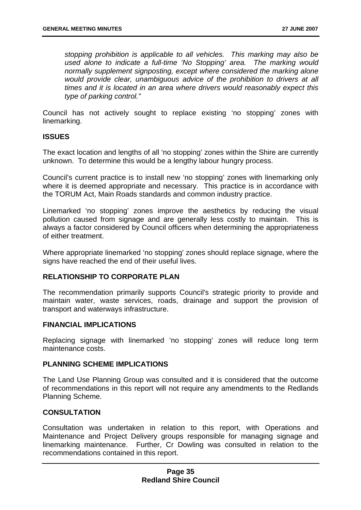*stopping prohibition is applicable to all vehicles. This marking may also be used alone to indicate a full-time 'No Stopping' area. The marking would normally supplement signposting, except where considered the marking alone would provide clear, unambiguous advice of the prohibition to drivers at all times and it is located in an area where drivers would reasonably expect this type of parking control."*

Council has not actively sought to replace existing 'no stopping' zones with linemarking.

#### **ISSUES**

The exact location and lengths of all 'no stopping' zones within the Shire are currently unknown. To determine this would be a lengthy labour hungry process.

Council's current practice is to install new 'no stopping' zones with linemarking only where it is deemed appropriate and necessary. This practice is in accordance with the TORUM Act, Main Roads standards and common industry practice.

Linemarked 'no stopping' zones improve the aesthetics by reducing the visual pollution caused from signage and are generally less costly to maintain. This is always a factor considered by Council officers when determining the appropriateness of either treatment.

Where appropriate linemarked 'no stopping' zones should replace signage, where the signs have reached the end of their useful lives.

#### **RELATIONSHIP TO CORPORATE PLAN**

The recommendation primarily supports Council's strategic priority to provide and maintain water, waste services, roads, drainage and support the provision of transport and waterways infrastructure.

#### **FINANCIAL IMPLICATIONS**

Replacing signage with linemarked 'no stopping' zones will reduce long term maintenance costs.

#### **PLANNING SCHEME IMPLICATIONS**

The Land Use Planning Group was consulted and it is considered that the outcome of recommendations in this report will not require any amendments to the Redlands Planning Scheme.

#### **CONSULTATION**

Consultation was undertaken in relation to this report, with Operations and Maintenance and Project Delivery groups responsible for managing signage and linemarking maintenance. Further, Cr Dowling was consulted in relation to the recommendations contained in this report.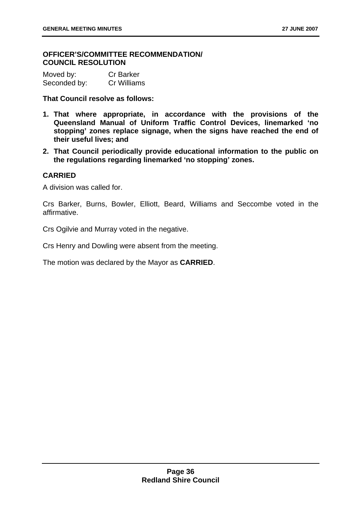### **OFFICER'S/COMMITTEE RECOMMENDATION/ COUNCIL RESOLUTION**

| Moved by:    | <b>Cr Barker</b> |
|--------------|------------------|
| Seconded by: | Cr Williams      |

**That Council resolve as follows:** 

- **1. That where appropriate, in accordance with the provisions of the Queensland Manual of Uniform Traffic Control Devices, linemarked 'no stopping' zones replace signage, when the signs have reached the end of their useful lives; and**
- **2. That Council periodically provide educational information to the public on the regulations regarding linemarked 'no stopping' zones.**

#### **CARRIED**

A division was called for.

Crs Barker, Burns, Bowler, Elliott, Beard, Williams and Seccombe voted in the affirmative.

Crs Ogilvie and Murray voted in the negative.

Crs Henry and Dowling were absent from the meeting.

The motion was declared by the Mayor as **CARRIED**.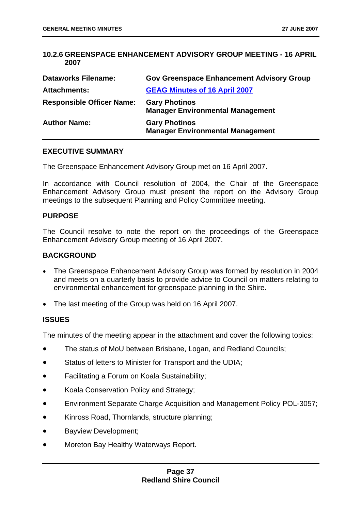### **10.2.6 GREENSPACE ENHANCEMENT ADVISORY GROUP MEETING - 16 APRIL 2007**

| <b>Dataworks Filename:</b>       | <b>Gov Greenspace Enhancement Advisory Group</b>                |
|----------------------------------|-----------------------------------------------------------------|
| <b>Attachments:</b>              | <b>GEAG Minutes of 16 April 2007</b>                            |
| <b>Responsible Officer Name:</b> | <b>Gary Photinos</b><br><b>Manager Environmental Management</b> |
| <b>Author Name:</b>              | <b>Gary Photinos</b><br><b>Manager Environmental Management</b> |

### **EXECUTIVE SUMMARY**

The Greenspace Enhancement Advisory Group met on 16 April 2007.

In accordance with Council resolution of 2004, the Chair of the Greenspace Enhancement Advisory Group must present the report on the Advisory Group meetings to the subsequent Planning and Policy Committee meeting.

### **PURPOSE**

The Council resolve to note the report on the proceedings of the Greenspace Enhancement Advisory Group meeting of 16 April 2007.

#### **BACKGROUND**

- The Greenspace Enhancement Advisory Group was formed by resolution in 2004 and meets on a quarterly basis to provide advice to Council on matters relating to environmental enhancement for greenspace planning in the Shire.
- The last meeting of the Group was held on 16 April 2007.

### **ISSUES**

The minutes of the meeting appear in the attachment and cover the following topics:

- The status of MoU between Brisbane, Logan, and Redland Councils;
- Status of letters to Minister for Transport and the UDIA;
- Facilitating a Forum on Koala Sustainability;
- Koala Conservation Policy and Strategy;
- Environment Separate Charge Acquisition and Management Policy POL-3057;
- Kinross Road, Thornlands, structure planning;
- Bayview Development;
- Moreton Bay Healthy Waterways Report.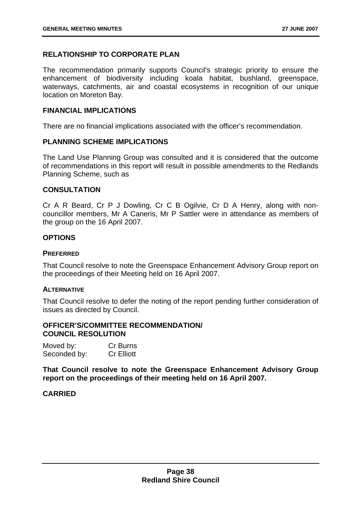# **RELATIONSHIP TO CORPORATE PLAN**

The recommendation primarily supports Council's strategic priority to ensure the enhancement of biodiversity including koala habitat, bushland, greenspace, waterways, catchments, air and coastal ecosystems in recognition of our unique location on Moreton Bay.

#### **FINANCIAL IMPLICATIONS**

There are no financial implications associated with the officer's recommendation.

#### **PLANNING SCHEME IMPLICATIONS**

The Land Use Planning Group was consulted and it is considered that the outcome of recommendations in this report will result in possible amendments to the Redlands Planning Scheme, such as

#### **CONSULTATION**

Cr A R Beard, Cr P J Dowling, Cr C B Ogilvie, Cr D A Henry, along with noncouncillor members, Mr A Caneris, Mr P Sattler were in attendance as members of the group on the 16 April 2007.

#### **OPTIONS**

#### **PREFERRED**

That Council resolve to note the Greenspace Enhancement Advisory Group report on the proceedings of their Meeting held on 16 April 2007.

### **ALTERNATIVE**

That Council resolve to defer the noting of the report pending further consideration of issues as directed by Council.

### **OFFICER'S/COMMITTEE RECOMMENDATION/ COUNCIL RESOLUTION**

| Moved by:    | Cr Burns          |
|--------------|-------------------|
| Seconded by: | <b>Cr Elliott</b> |

**That Council resolve to note the Greenspace Enhancement Advisory Group report on the proceedings of their meeting held on 16 April 2007.** 

#### **CARRIED**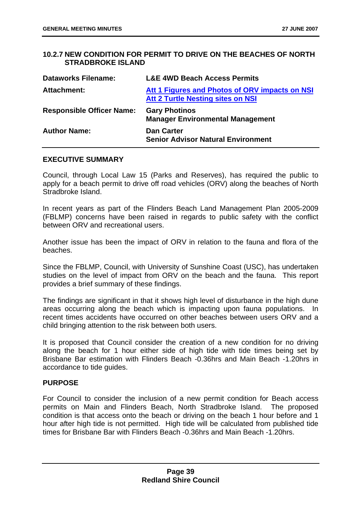# **10.2.7 NEW CONDITION FOR PERMIT TO DRIVE ON THE BEACHES OF NORTH STRADBROKE ISLAND**

| <b>Dataworks Filename:</b>       | <b>L&amp;E 4WD Beach Access Permits</b>                                                    |
|----------------------------------|--------------------------------------------------------------------------------------------|
| <b>Attachment:</b>               | Att 1 Figures and Photos of ORV impacts on NSI<br><b>Att 2 Turtle Nesting sites on NSI</b> |
| <b>Responsible Officer Name:</b> | <b>Gary Photinos</b><br><b>Manager Environmental Management</b>                            |
| <b>Author Name:</b>              | <b>Dan Carter</b><br><b>Senior Advisor Natural Environment</b>                             |

#### **EXECUTIVE SUMMARY**

Council, through Local Law 15 (Parks and Reserves), has required the public to apply for a beach permit to drive off road vehicles (ORV) along the beaches of North Stradbroke Island.

In recent years as part of the Flinders Beach Land Management Plan 2005-2009 (FBLMP) concerns have been raised in regards to public safety with the conflict between ORV and recreational users.

Another issue has been the impact of ORV in relation to the fauna and flora of the beaches.

Since the FBLMP, Council, with University of Sunshine Coast (USC), has undertaken studies on the level of impact from ORV on the beach and the fauna. This report provides a brief summary of these findings.

The findings are significant in that it shows high level of disturbance in the high dune areas occurring along the beach which is impacting upon fauna populations. In recent times accidents have occurred on other beaches between users ORV and a child bringing attention to the risk between both users.

It is proposed that Council consider the creation of a new condition for no driving along the beach for 1 hour either side of high tide with tide times being set by Brisbane Bar estimation with Flinders Beach -0.36hrs and Main Beach -1.20hrs in accordance to tide guides.

### **PURPOSE**

For Council to consider the inclusion of a new permit condition for Beach access permits on Main and Flinders Beach, North Stradbroke Island. The proposed condition is that access onto the beach or driving on the beach 1 hour before and 1 hour after high tide is not permitted. High tide will be calculated from published tide times for Brisbane Bar with Flinders Beach -0.36hrs and Main Beach -1.20hrs.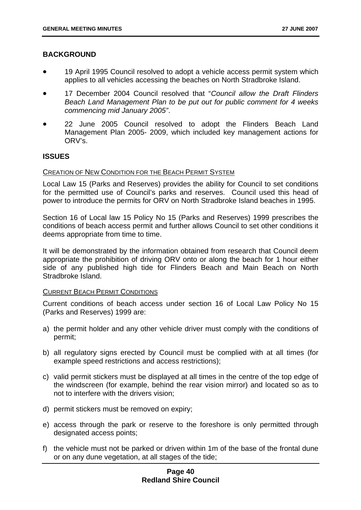### **BACKGROUND**

- 19 April 1995 Council resolved to adopt a vehicle access permit system which applies to all vehicles accessing the beaches on North Stradbroke Island.
- 17 December 2004 Council resolved that "*Council allow the Draft Flinders Beach Land Management Plan to be put out for public comment for 4 weeks commencing mid January 2005"*.
- 22 June 2005 Council resolved to adopt the Flinders Beach Land Management Plan 2005- 2009, which included key management actions for ORV's.

### **ISSUES**

#### CREATION OF NEW CONDITION FOR THE BEACH PERMIT SYSTEM

Local Law 15 (Parks and Reserves) provides the ability for Council to set conditions for the permitted use of Council's parks and reserves. Council used this head of power to introduce the permits for ORV on North Stradbroke Island beaches in 1995.

Section 16 of Local law 15 Policy No 15 (Parks and Reserves) 1999 prescribes the conditions of beach access permit and further allows Council to set other conditions it deems appropriate from time to time.

It will be demonstrated by the information obtained from research that Council deem appropriate the prohibition of driving ORV onto or along the beach for 1 hour either side of any published high tide for Flinders Beach and Main Beach on North Stradbroke Island.

### CURRENT BEACH PERMIT CONDITIONS

Current conditions of beach access under section 16 of Local Law Policy No 15 (Parks and Reserves) 1999 are:

- a) the permit holder and any other vehicle driver must comply with the conditions of permit;
- b) all regulatory signs erected by Council must be complied with at all times (for example speed restrictions and access restrictions);
- c) valid permit stickers must be displayed at all times in the centre of the top edge of the windscreen (for example, behind the rear vision mirror) and located so as to not to interfere with the drivers vision;
- d) permit stickers must be removed on expiry;
- e) access through the park or reserve to the foreshore is only permitted through designated access points;
- f) the vehicle must not be parked or driven within 1m of the base of the frontal dune or on any dune vegetation, at all stages of the tide;

# **Page 40 Redland Shire Council**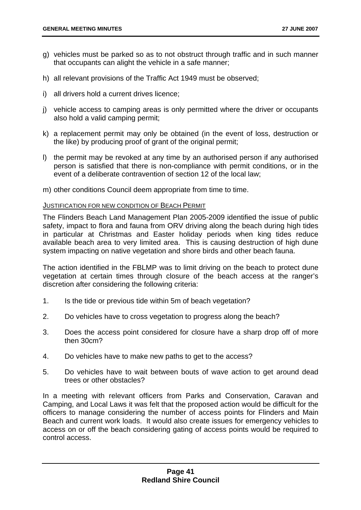- g) vehicles must be parked so as to not obstruct through traffic and in such manner that occupants can alight the vehicle in a safe manner;
- h) all relevant provisions of the Traffic Act 1949 must be observed;
- i) all drivers hold a current drives licence;
- j) vehicle access to camping areas is only permitted where the driver or occupants also hold a valid camping permit;
- k) a replacement permit may only be obtained (in the event of loss, destruction or the like) by producing proof of grant of the original permit;
- l) the permit may be revoked at any time by an authorised person if any authorised person is satisfied that there is non-compliance with permit conditions, or in the event of a deliberate contravention of section 12 of the local law;
- m) other conditions Council deem appropriate from time to time.

#### JUSTIFICATION FOR NEW CONDITION OF BEACH PERMIT

The Flinders Beach Land Management Plan 2005-2009 identified the issue of public safety, impact to flora and fauna from ORV driving along the beach during high tides in particular at Christmas and Easter holiday periods when king tides reduce available beach area to very limited area. This is causing destruction of high dune system impacting on native vegetation and shore birds and other beach fauna.

The action identified in the FBLMP was to limit driving on the beach to protect dune vegetation at certain times through closure of the beach access at the ranger's discretion after considering the following criteria:

- 1. Is the tide or previous tide within 5m of beach vegetation?
- 2. Do vehicles have to cross vegetation to progress along the beach?
- 3. Does the access point considered for closure have a sharp drop off of more then 30cm?
- 4. Do vehicles have to make new paths to get to the access?
- 5. Do vehicles have to wait between bouts of wave action to get around dead trees or other obstacles?

In a meeting with relevant officers from Parks and Conservation, Caravan and Camping, and Local Laws it was felt that the proposed action would be difficult for the officers to manage considering the number of access points for Flinders and Main Beach and current work loads. It would also create issues for emergency vehicles to access on or off the beach considering gating of access points would be required to control access.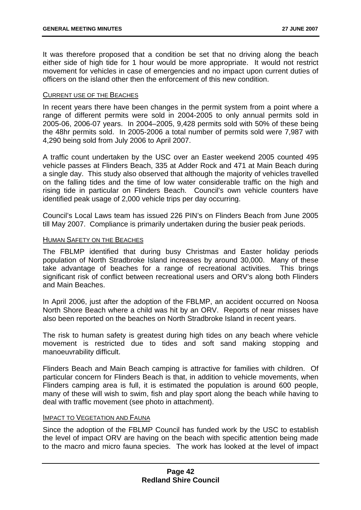It was therefore proposed that a condition be set that no driving along the beach either side of high tide for 1 hour would be more appropriate. It would not restrict movement for vehicles in case of emergencies and no impact upon current duties of officers on the island other then the enforcement of this new condition.

### CURRENT USE OF THE BEACHES

In recent years there have been changes in the permit system from a point where a range of different permits were sold in 2004-2005 to only annual permits sold in 2005-06, 2006-07 years. In 2004–2005, 9,428 permits sold with 50% of these being the 48hr permits sold. In 2005-2006 a total number of permits sold were 7,987 with 4,290 being sold from July 2006 to April 2007.

A traffic count undertaken by the USC over an Easter weekend 2005 counted 495 vehicle passes at Flinders Beach, 335 at Adder Rock and 471 at Main Beach during a single day. This study also observed that although the majority of vehicles travelled on the falling tides and the time of low water considerable traffic on the high and rising tide in particular on Flinders Beach. Council's own vehicle counters have identified peak usage of 2,000 vehicle trips per day occurring.

Council's Local Laws team has issued 226 PIN's on Flinders Beach from June 2005 till May 2007. Compliance is primarily undertaken during the busier peak periods.

#### HUMAN SAFETY ON THE BEACHES

The FBLMP identified that during busy Christmas and Easter holiday periods population of North Stradbroke Island increases by around 30,000. Many of these take advantage of beaches for a range of recreational activities. This brings significant risk of conflict between recreational users and ORV's along both Flinders and Main Beaches.

In April 2006, just after the adoption of the FBLMP, an accident occurred on Noosa North Shore Beach where a child was hit by an ORV. Reports of near misses have also been reported on the beaches on North Stradbroke Island in recent years.

The risk to human safety is greatest during high tides on any beach where vehicle movement is restricted due to tides and soft sand making stopping and manoeuvrability difficult.

Flinders Beach and Main Beach camping is attractive for families with children. Of particular concern for Flinders Beach is that, in addition to vehicle movements, when Flinders camping area is full, it is estimated the population is around 600 people, many of these will wish to swim, fish and play sport along the beach while having to deal with traffic movement (see photo in attachment).

### IMPACT TO VEGETATION AND FAUNA

Since the adoption of the FBLMP Council has funded work by the USC to establish the level of impact ORV are having on the beach with specific attention being made to the macro and micro fauna species. The work has looked at the level of impact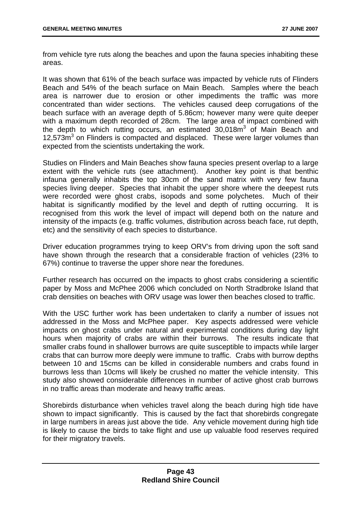from vehicle tyre ruts along the beaches and upon the fauna species inhabiting these areas.

It was shown that 61% of the beach surface was impacted by vehicle ruts of Flinders Beach and 54% of the beach surface on Main Beach. Samples where the beach area is narrower due to erosion or other impediments the traffic was more concentrated than wider sections. The vehicles caused deep corrugations of the beach surface with an average depth of 5.86cm; however many were quite deeper with a maximum depth recorded of 28cm. The large area of impact combined with the depth to which rutting occurs, an estimated 30,018m<sup>3</sup> of Main Beach and 12,573m<sup>3</sup> on Flinders is compacted and displaced. These were larger volumes than expected from the scientists undertaking the work.

Studies on Flinders and Main Beaches show fauna species present overlap to a large extent with the vehicle ruts (see attachment). Another key point is that benthic infauna generally inhabits the top 30cm of the sand matrix with very few fauna species living deeper. Species that inhabit the upper shore where the deepest ruts were recorded were ghost crabs, isopods and some polychetes. Much of their habitat is significantly modified by the level and depth of rutting occurring. It is recognised from this work the level of impact will depend both on the nature and intensity of the impacts (e.g. traffic volumes, distribution across beach face, rut depth, etc) and the sensitivity of each species to disturbance.

Driver education programmes trying to keep ORV's from driving upon the soft sand have shown through the research that a considerable fraction of vehicles (23% to 67%) continue to traverse the upper shore near the foredunes.

Further research has occurred on the impacts to ghost crabs considering a scientific paper by Moss and McPhee 2006 which concluded on North Stradbroke Island that crab densities on beaches with ORV usage was lower then beaches closed to traffic.

With the USC further work has been undertaken to clarify a number of issues not addressed in the Moss and McPhee paper. Key aspects addressed were vehicle impacts on ghost crabs under natural and experimental conditions during day light hours when majority of crabs are within their burrows. The results indicate that smaller crabs found in shallower burrows are quite susceptible to impacts while larger crabs that can burrow more deeply were immune to traffic. Crabs with burrow depths between 10 and 15cms can be killed in considerable numbers and crabs found in burrows less than 10cms will likely be crushed no matter the vehicle intensity. This study also showed considerable differences in number of active ghost crab burrows in no traffic areas than moderate and heavy traffic areas.

Shorebirds disturbance when vehicles travel along the beach during high tide have shown to impact significantly. This is caused by the fact that shorebirds congregate in large numbers in areas just above the tide. Any vehicle movement during high tide is likely to cause the birds to take flight and use up valuable food reserves required for their migratory travels.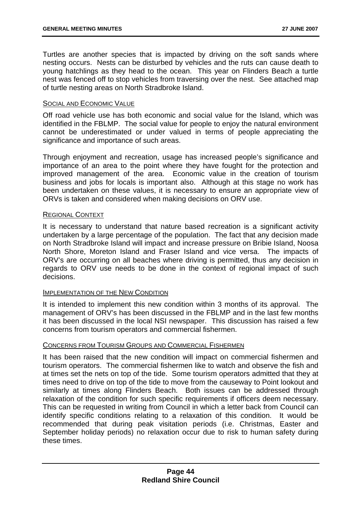Turtles are another species that is impacted by driving on the soft sands where nesting occurs. Nests can be disturbed by vehicles and the ruts can cause death to young hatchlings as they head to the ocean. This year on Flinders Beach a turtle nest was fenced off to stop vehicles from traversing over the nest. See attached map of turtle nesting areas on North Stradbroke Island.

#### SOCIAL AND ECONOMIC VALUE

Off road vehicle use has both economic and social value for the Island, which was identified in the FBLMP. The social value for people to enjoy the natural environment cannot be underestimated or under valued in terms of people appreciating the significance and importance of such areas.

Through enjoyment and recreation, usage has increased people's significance and importance of an area to the point where they have fought for the protection and improved management of the area. Economic value in the creation of tourism business and jobs for locals is important also. Although at this stage no work has been undertaken on these values, it is necessary to ensure an appropriate view of ORVs is taken and considered when making decisions on ORV use.

#### REGIONAL CONTEXT

It is necessary to understand that nature based recreation is a significant activity undertaken by a large percentage of the population. The fact that any decision made on North Stradbroke Island will impact and increase pressure on Bribie Island, Noosa North Shore, Moreton Island and Fraser Island and vice versa. The impacts of ORV's are occurring on all beaches where driving is permitted, thus any decision in regards to ORV use needs to be done in the context of regional impact of such decisions.

# **IMPLEMENTATION OF THE NEW CONDITION**

It is intended to implement this new condition within 3 months of its approval. The management of ORV's has been discussed in the FBLMP and in the last few months it has been discussed in the local NSI newspaper. This discussion has raised a few concerns from tourism operators and commercial fishermen.

#### CONCERNS FROM TOURISM GROUPS AND COMMERCIAL FISHERMEN

It has been raised that the new condition will impact on commercial fishermen and tourism operators. The commercial fishermen like to watch and observe the fish and at times set the nets on top of the tide. Some tourism operators admitted that they at times need to drive on top of the tide to move from the causeway to Point lookout and similarly at times along Flinders Beach. Both issues can be addressed through relaxation of the condition for such specific requirements if officers deem necessary. This can be requested in writing from Council in which a letter back from Council can identify specific conditions relating to a relaxation of this condition. It would be recommended that during peak visitation periods (i.e. Christmas, Easter and September holiday periods) no relaxation occur due to risk to human safety during these times.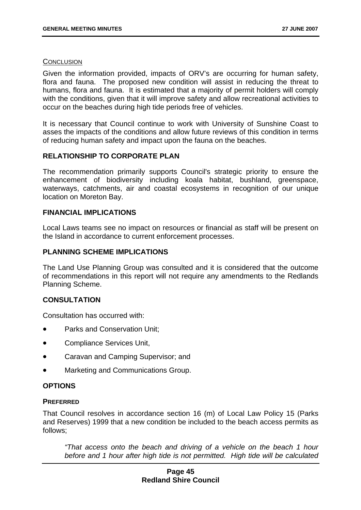#### **CONCLUSION**

Given the information provided, impacts of ORV's are occurring for human safety, flora and fauna. The proposed new condition will assist in reducing the threat to humans, flora and fauna. It is estimated that a majority of permit holders will comply with the conditions, given that it will improve safety and allow recreational activities to occur on the beaches during high tide periods free of vehicles.

It is necessary that Council continue to work with University of Sunshine Coast to asses the impacts of the conditions and allow future reviews of this condition in terms of reducing human safety and impact upon the fauna on the beaches.

# **RELATIONSHIP TO CORPORATE PLAN**

The recommendation primarily supports Council's strategic priority to ensure the enhancement of biodiversity including koala habitat, bushland, greenspace, waterways, catchments, air and coastal ecosystems in recognition of our unique location on Moreton Bay.

# **FINANCIAL IMPLICATIONS**

Local Laws teams see no impact on resources or financial as staff will be present on the Island in accordance to current enforcement processes.

### **PLANNING SCHEME IMPLICATIONS**

The Land Use Planning Group was consulted and it is considered that the outcome of recommendations in this report will not require any amendments to the Redlands Planning Scheme.

# **CONSULTATION**

Consultation has occurred with:

- Parks and Conservation Unit;
- Compliance Services Unit,
- Caravan and Camping Supervisor; and
- Marketing and Communications Group.

### **OPTIONS**

### **PREFERRED**

That Council resolves in accordance section 16 (m) of Local Law Policy 15 (Parks and Reserves) 1999 that a new condition be included to the beach access permits as follows;

*"That access onto the beach and driving of a vehicle on the beach 1 hour before and 1 hour after high tide is not permitted. High tide will be calculated* 

# **Page 45 Redland Shire Council**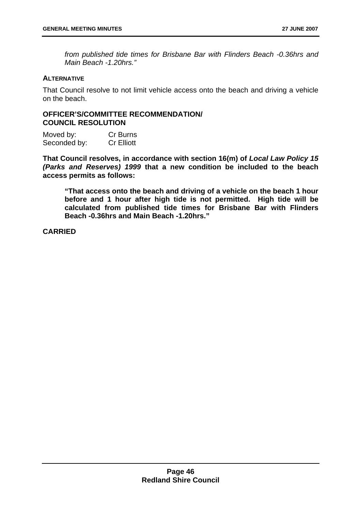*from published tide times for Brisbane Bar with Flinders Beach -0.36hrs and Main Beach -1.20hrs."* 

### **ALTERNATIVE**

That Council resolve to not limit vehicle access onto the beach and driving a vehicle on the beach.

# **OFFICER'S/COMMITTEE RECOMMENDATION/ COUNCIL RESOLUTION**

Moved by: Cr Burns Seconded by: Cr Elliott

**That Council resolves, in accordance with section 16(m) of** *Local Law Policy 15 (Parks and Reserves) 1999* **that a new condition be included to the beach access permits as follows:** 

**"That access onto the beach and driving of a vehicle on the beach 1 hour before and 1 hour after high tide is not permitted. High tide will be calculated from published tide times for Brisbane Bar with Flinders Beach -0.36hrs and Main Beach -1.20hrs."** 

**CARRIED**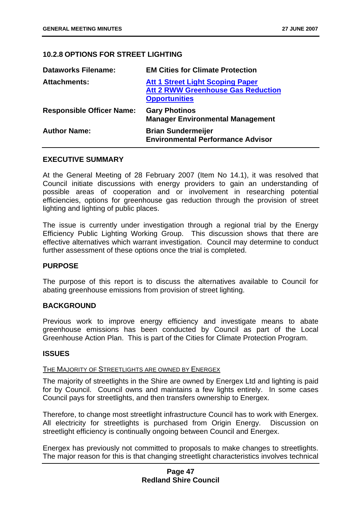# **10.2.8 OPTIONS FOR STREET LIGHTING**

| <b>Dataworks Filename:</b>       | <b>EM Cities for Climate Protection</b>                                                                      |
|----------------------------------|--------------------------------------------------------------------------------------------------------------|
| <b>Attachments:</b>              | <b>Att 1 Street Light Scoping Paper</b><br><b>Att 2 RWW Greenhouse Gas Reduction</b><br><b>Opportunities</b> |
| <b>Responsible Officer Name:</b> | <b>Gary Photinos</b><br><b>Manager Environmental Management</b>                                              |
| <b>Author Name:</b>              | <b>Brian Sundermeijer</b><br><b>Environmental Performance Advisor</b>                                        |

#### **EXECUTIVE SUMMARY**

At the General Meeting of 28 February 2007 (Item No 14.1), it was resolved that Council initiate discussions with energy providers to gain an understanding of possible areas of cooperation and or involvement in researching potential efficiencies, options for greenhouse gas reduction through the provision of street lighting and lighting of public places.

The issue is currently under investigation through a regional trial by the Energy Efficiency Public Lighting Working Group. This discussion shows that there are effective alternatives which warrant investigation. Council may determine to conduct further assessment of these options once the trial is completed.

#### **PURPOSE**

The purpose of this report is to discuss the alternatives available to Council for abating greenhouse emissions from provision of street lighting.

# **BACKGROUND**

Previous work to improve energy efficiency and investigate means to abate greenhouse emissions has been conducted by Council as part of the Local Greenhouse Action Plan. This is part of the Cities for Climate Protection Program.

#### **ISSUES**

#### THE MAJORITY OF STREETLIGHTS ARE OWNED BY ENERGEX

The majority of streetlights in the Shire are owned by Energex Ltd and lighting is paid for by Council. Council owns and maintains a few lights entirely. In some cases Council pays for streetlights, and then transfers ownership to Energex.

Therefore, to change most streetlight infrastructure Council has to work with Energex. All electricity for streetlights is purchased from Origin Energy. Discussion on streetlight efficiency is continually ongoing between Council and Energex.

Energex has previously not committed to proposals to make changes to streetlights. The major reason for this is that changing streetlight characteristics involves technical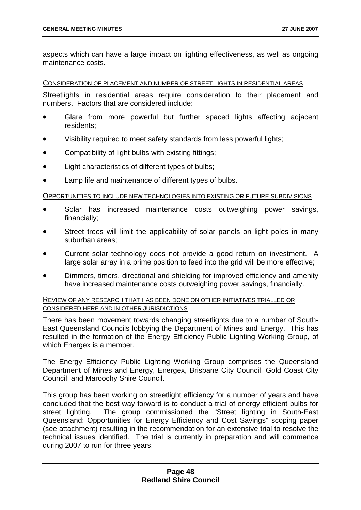aspects which can have a large impact on lighting effectiveness, as well as ongoing maintenance costs.

#### CONSIDERATION OF PLACEMENT AND NUMBER OF STREET LIGHTS IN RESIDENTIAL AREAS

Streetlights in residential areas require consideration to their placement and numbers. Factors that are considered include:

- Glare from more powerful but further spaced lights affecting adjacent residents;
- Visibility required to meet safety standards from less powerful lights;
- Compatibility of light bulbs with existing fittings;
- Light characteristics of different types of bulbs;
- Lamp life and maintenance of different types of bulbs.

#### OPPORTUNITIES TO INCLUDE NEW TECHNOLOGIES INTO EXISTING OR FUTURE SUBDIVISIONS

- Solar has increased maintenance costs outweighing power savings, financially;
- Street trees will limit the applicability of solar panels on light poles in many suburban areas;
- Current solar technology does not provide a good return on investment. A large solar array in a prime position to feed into the grid will be more effective;
- Dimmers, timers, directional and shielding for improved efficiency and amenity have increased maintenance costs outweighing power savings, financially.

### REVIEW OF ANY RESEARCH THAT HAS BEEN DONE ON OTHER INITIATIVES TRIALLED OR CONSIDERED HERE AND IN OTHER JURISDICTIONS

There has been movement towards changing streetlights due to a number of South-East Queensland Councils lobbying the Department of Mines and Energy. This has resulted in the formation of the Energy Efficiency Public Lighting Working Group, of which Energex is a member.

The Energy Efficiency Public Lighting Working Group comprises the Queensland Department of Mines and Energy, Energex, Brisbane City Council, Gold Coast City Council, and Maroochy Shire Council.

This group has been working on streetlight efficiency for a number of years and have concluded that the best way forward is to conduct a trial of energy efficient bulbs for street lighting. The group commissioned the "Street lighting in South-East Queensland: Opportunities for Energy Efficiency and Cost Savings" scoping paper (see attachment) resulting in the recommendation for an extensive trial to resolve the technical issues identified. The trial is currently in preparation and will commence during 2007 to run for three years.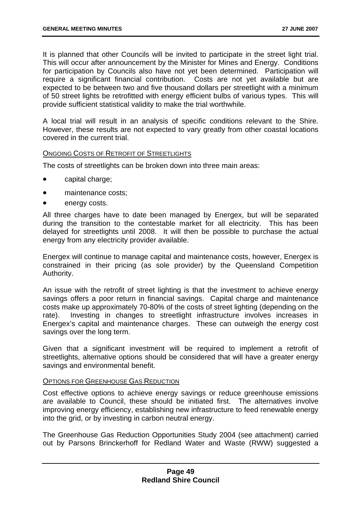It is planned that other Councils will be invited to participate in the street light trial. This will occur after announcement by the Minister for Mines and Energy. Conditions for participation by Councils also have not yet been determined. Participation will require a significant financial contribution. Costs are not yet available but are expected to be between two and five thousand dollars per streetlight with a minimum of 50 street lights be retrofitted with energy efficient bulbs of various types. This will provide sufficient statistical validity to make the trial worthwhile.

A local trial will result in an analysis of specific conditions relevant to the Shire. However, these results are not expected to vary greatly from other coastal locations covered in the current trial.

#### ONGOING COSTS OF RETROFIT OF STREETLIGHTS

The costs of streetlights can be broken down into three main areas:

- capital charge;
- maintenance costs:
- energy costs.

All three charges have to date been managed by Energex, but will be separated during the transition to the contestable market for all electricity. This has been delayed for streetlights until 2008. It will then be possible to purchase the actual energy from any electricity provider available.

Energex will continue to manage capital and maintenance costs, however, Energex is constrained in their pricing (as sole provider) by the Queensland Competition Authority.

An issue with the retrofit of street lighting is that the investment to achieve energy savings offers a poor return in financial savings. Capital charge and maintenance costs make up approximately 70-80% of the costs of street lighting (depending on the rate). Investing in changes to streetlight infrastructure involves increases in Energex's capital and maintenance charges. These can outweigh the energy cost savings over the long term.

Given that a significant investment will be required to implement a retrofit of streetlights, alternative options should be considered that will have a greater energy savings and environmental benefit.

#### OPTIONS FOR GREENHOUSE GAS REDUCTION

Cost effective options to achieve energy savings or reduce greenhouse emissions are available to Council, these should be initiated first. The alternatives involve improving energy efficiency, establishing new infrastructure to feed renewable energy into the grid, or by investing in carbon neutral energy.

The Greenhouse Gas Reduction Opportunities Study 2004 (see attachment) carried out by Parsons Brinckerhoff for Redland Water and Waste (RWW) suggested a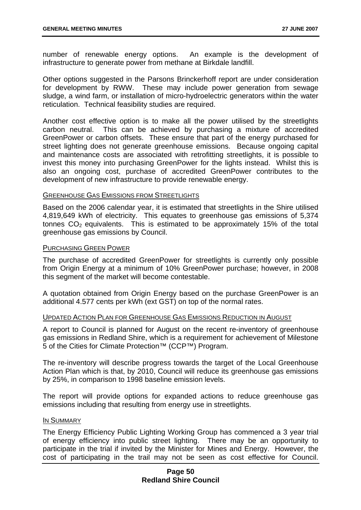number of renewable energy options. An example is the development of infrastructure to generate power from methane at Birkdale landfill.

Other options suggested in the Parsons Brinckerhoff report are under consideration for development by RWW. These may include power generation from sewage sludge, a wind farm, or installation of micro-hydroelectric generators within the water reticulation. Technical feasibility studies are required.

Another cost effective option is to make all the power utilised by the streetlights carbon neutral. This can be achieved by purchasing a mixture of accredited GreenPower or carbon offsets. These ensure that part of the energy purchased for street lighting does not generate greenhouse emissions. Because ongoing capital and maintenance costs are associated with retrofitting streetlights, it is possible to invest this money into purchasing GreenPower for the lights instead. Whilst this is also an ongoing cost, purchase of accredited GreenPower contributes to the development of new infrastructure to provide renewable energy.

#### GREENHOUSE GAS EMISSIONS FROM STREETLIGHTS

Based on the 2006 calendar year, it is estimated that streetlights in the Shire utilised 4,819,649 kWh of electricity. This equates to greenhouse gas emissions of 5,374 tonnes  $CO<sub>2</sub>$  equivalents. This is estimated to be approximately 15% of the total greenhouse gas emissions by Council.

#### PURCHASING GREEN POWER

The purchase of accredited GreenPower for streetlights is currently only possible from Origin Energy at a minimum of 10% GreenPower purchase; however, in 2008 this segment of the market will become contestable.

A quotation obtained from Origin Energy based on the purchase GreenPower is an additional 4.577 cents per kWh (ext GST) on top of the normal rates.

#### UPDATED ACTION PLAN FOR GREENHOUSE GAS EMISSIONS REDUCTION IN AUGUST

A report to Council is planned for August on the recent re-inventory of greenhouse gas emissions in Redland Shire, which is a requirement for achievement of Milestone 5 of the Cities for Climate Protection™ (CCP™) Program.

The re-inventory will describe progress towards the target of the Local Greenhouse Action Plan which is that, by 2010, Council will reduce its greenhouse gas emissions by 25%, in comparison to 1998 baseline emission levels.

The report will provide options for expanded actions to reduce greenhouse gas emissions including that resulting from energy use in streetlights.

#### IN SUMMARY

The Energy Efficiency Public Lighting Working Group has commenced a 3 year trial of energy efficiency into public street lighting. There may be an opportunity to participate in the trial if invited by the Minister for Mines and Energy. However, the cost of participating in the trail may not be seen as cost effective for Council.

# **Page 50 Redland Shire Council**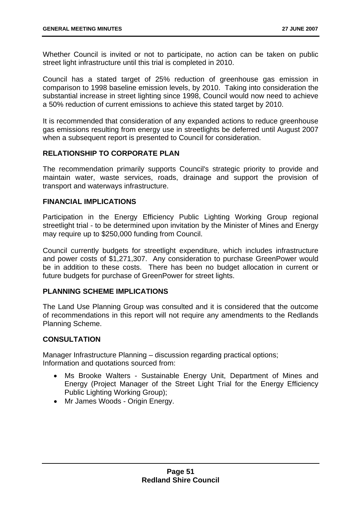Whether Council is invited or not to participate, no action can be taken on public street light infrastructure until this trial is completed in 2010.

Council has a stated target of 25% reduction of greenhouse gas emission in comparison to 1998 baseline emission levels, by 2010. Taking into consideration the substantial increase in street lighting since 1998, Council would now need to achieve a 50% reduction of current emissions to achieve this stated target by 2010.

It is recommended that consideration of any expanded actions to reduce greenhouse gas emissions resulting from energy use in streetlights be deferred until August 2007 when a subsequent report is presented to Council for consideration.

# **RELATIONSHIP TO CORPORATE PLAN**

The recommendation primarily supports Council's strategic priority to provide and maintain water, waste services, roads, drainage and support the provision of transport and waterways infrastructure.

### **FINANCIAL IMPLICATIONS**

Participation in the Energy Efficiency Public Lighting Working Group regional streetlight trial - to be determined upon invitation by the Minister of Mines and Energy may require up to \$250,000 funding from Council.

Council currently budgets for streetlight expenditure, which includes infrastructure and power costs of \$1,271,307. Any consideration to purchase GreenPower would be in addition to these costs. There has been no budget allocation in current or future budgets for purchase of GreenPower for street lights.

# **PLANNING SCHEME IMPLICATIONS**

The Land Use Planning Group was consulted and it is considered that the outcome of recommendations in this report will not require any amendments to the Redlands Planning Scheme.

### **CONSULTATION**

Manager Infrastructure Planning – discussion regarding practical options; Information and quotations sourced from:

- Ms Brooke Walters Sustainable Energy Unit, Department of Mines and Energy (Project Manager of the Street Light Trial for the Energy Efficiency Public Lighting Working Group);
- Mr James Woods Origin Energy.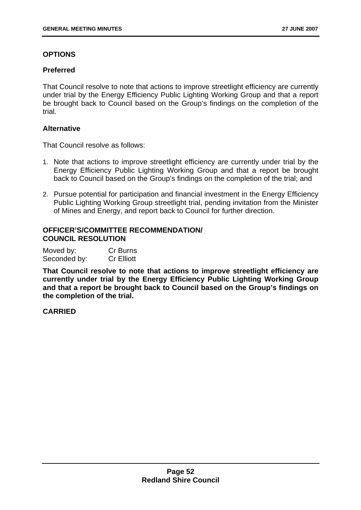# **OPTIONS**

### **Preferred**

That Council resolve to note that actions to improve streetlight efficiency are currently under trial by the Energy Efficiency Public Lighting Working Group and that a report be brought back to Council based on the Group's findings on the completion of the trial.

### **Alternative**

That Council resolve as follows:

- 1. Note that actions to improve streetlight efficiency are currently under trial by the Energy Efficiency Public Lighting Working Group and that a report be brought back to Council based on the Group's findings on the completion of the trial; and
- 2. Pursue potential for participation and financial investment in the Energy Efficiency Public Lighting Working Group streetlight trial, pending invitation from the Minister of Mines and Energy, and report back to Council for further direction.

# **OFFICER'S/COMMITTEE RECOMMENDATION/ COUNCIL RESOLUTION**

| Moved by:    | Cr Burns          |
|--------------|-------------------|
| Seconded by: | <b>Cr Elliott</b> |

**That Council resolve to note that actions to improve streetlight efficiency are currently under trial by the Energy Efficiency Public Lighting Working Group and that a report be brought back to Council based on the Group's findings on the completion of the trial.** 

**CARRIED**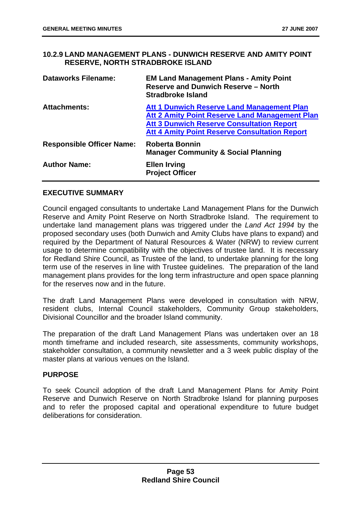# **10.2.9 LAND MANAGEMENT PLANS - DUNWICH RESERVE AND AMITY POINT RESERVE, NORTH STRADBROKE ISLAND**

| <b>Dataworks Filename:</b>       | <b>EM Land Management Plans - Amity Point</b><br><b>Reserve and Dunwich Reserve - North</b><br><b>Stradbroke Island</b>                                                                                                |
|----------------------------------|------------------------------------------------------------------------------------------------------------------------------------------------------------------------------------------------------------------------|
| <b>Attachments:</b>              | <b>Att 1 Dunwich Reserve Land Management Plan</b><br><b>Att 2 Amity Point Reserve Land Management Plan</b><br><b>Att 3 Dunwich Reserve Consultation Report</b><br><b>Att 4 Amity Point Reserve Consultation Report</b> |
| <b>Responsible Officer Name:</b> | <b>Roberta Bonnin</b><br><b>Manager Community &amp; Social Planning</b>                                                                                                                                                |
| <b>Author Name:</b>              | <b>Ellen Irving</b><br><b>Project Officer</b>                                                                                                                                                                          |

# **EXECUTIVE SUMMARY**

Council engaged consultants to undertake Land Management Plans for the Dunwich Reserve and Amity Point Reserve on North Stradbroke Island. The requirement to undertake land management plans was triggered under the *Land Act 1994* by the proposed secondary uses (both Dunwich and Amity Clubs have plans to expand) and required by the Department of Natural Resources & Water (NRW) to review current usage to determine compatibility with the objectives of trustee land. It is necessary for Redland Shire Council, as Trustee of the land, to undertake planning for the long term use of the reserves in line with Trustee guidelines. The preparation of the land management plans provides for the long term infrastructure and open space planning for the reserves now and in the future.

The draft Land Management Plans were developed in consultation with NRW, resident clubs, Internal Council stakeholders, Community Group stakeholders, Divisional Councillor and the broader Island community.

The preparation of the draft Land Management Plans was undertaken over an 18 month timeframe and included research, site assessments, community workshops, stakeholder consultation, a community newsletter and a 3 week public display of the master plans at various venues on the Island.

# **PURPOSE**

To seek Council adoption of the draft Land Management Plans for Amity Point Reserve and Dunwich Reserve on North Stradbroke Island for planning purposes and to refer the proposed capital and operational expenditure to future budget deliberations for consideration.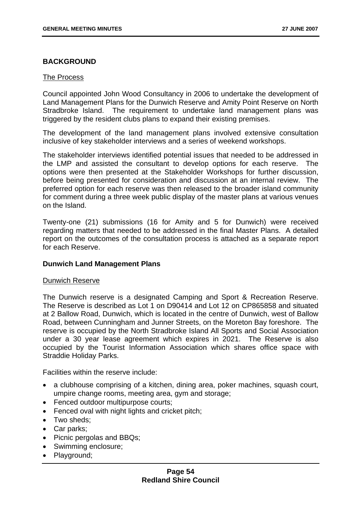# **BACKGROUND**

### The Process

Council appointed John Wood Consultancy in 2006 to undertake the development of Land Management Plans for the Dunwich Reserve and Amity Point Reserve on North Stradbroke Island. The requirement to undertake land management plans was triggered by the resident clubs plans to expand their existing premises.

The development of the land management plans involved extensive consultation inclusive of key stakeholder interviews and a series of weekend workshops.

The stakeholder interviews identified potential issues that needed to be addressed in the LMP and assisted the consultant to develop options for each reserve. The options were then presented at the Stakeholder Workshops for further discussion, before being presented for consideration and discussion at an internal review. The preferred option for each reserve was then released to the broader island community for comment during a three week public display of the master plans at various venues on the Island.

Twenty-one (21) submissions (16 for Amity and 5 for Dunwich) were received regarding matters that needed to be addressed in the final Master Plans. A detailed report on the outcomes of the consultation process is attached as a separate report for each Reserve.

### **Dunwich Land Management Plans**

### Dunwich Reserve

The Dunwich reserve is a designated Camping and Sport & Recreation Reserve. The Reserve is described as Lot 1 on D90414 and Lot 12 on CP865858 and situated at 2 Ballow Road, Dunwich, which is located in the centre of Dunwich, west of Ballow Road, between Cunningham and Junner Streets, on the Moreton Bay foreshore. The reserve is occupied by the North Stradbroke Island All Sports and Social Association under a 30 year lease agreement which expires in 2021. The Reserve is also occupied by the Tourist Information Association which shares office space with Straddie Holiday Parks.

Facilities within the reserve include:

- a clubhouse comprising of a kitchen, dining area, poker machines, squash court, umpire change rooms, meeting area, gym and storage;
- Fenced outdoor multipurpose courts;
- Fenced oval with night lights and cricket pitch;
- Two sheds:
- Car parks;
- Picnic pergolas and BBQs;
- Swimming enclosure;
- Playground;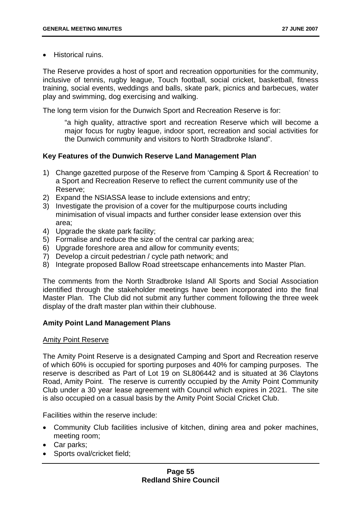• Historical ruins.

The Reserve provides a host of sport and recreation opportunities for the community, inclusive of tennis, rugby league, Touch football, social cricket, basketball, fitness training, social events, weddings and balls, skate park, picnics and barbecues, water play and swimming, dog exercising and walking.

The long term vision for the Dunwich Sport and Recreation Reserve is for:

"a high quality, attractive sport and recreation Reserve which will become a major focus for rugby league, indoor sport, recreation and social activities for the Dunwich community and visitors to North Stradbroke Island".

# **Key Features of the Dunwich Reserve Land Management Plan**

- 1) Change gazetted purpose of the Reserve from 'Camping & Sport & Recreation' to a Sport and Recreation Reserve to reflect the current community use of the Reserve;
- 2) Expand the NSIASSA lease to include extensions and entry;
- 3) Investigate the provision of a cover for the multipurpose courts including minimisation of visual impacts and further consider lease extension over this area;
- 4) Upgrade the skate park facility;
- 5) Formalise and reduce the size of the central car parking area;
- 6) Upgrade foreshore area and allow for community events;
- 7) Develop a circuit pedestrian / cycle path network; and
- 8) Integrate proposed Ballow Road streetscape enhancements into Master Plan.

The comments from the North Stradbroke Island All Sports and Social Association identified through the stakeholder meetings have been incorporated into the final Master Plan. The Club did not submit any further comment following the three week display of the draft master plan within their clubhouse.

### **Amity Point Land Management Plans**

### Amity Point Reserve

The Amity Point Reserve is a designated Camping and Sport and Recreation reserve of which 60% is occupied for sporting purposes and 40% for camping purposes. The reserve is described as Part of Lot 19 on SL806442 and is situated at 36 Claytons Road, Amity Point. The reserve is currently occupied by the Amity Point Community Club under a 30 year lease agreement with Council which expires in 2021. The site is also occupied on a casual basis by the Amity Point Social Cricket Club.

Facilities within the reserve include:

- Community Club facilities inclusive of kitchen, dining area and poker machines, meeting room;
- Car parks;
- Sports oval/cricket field: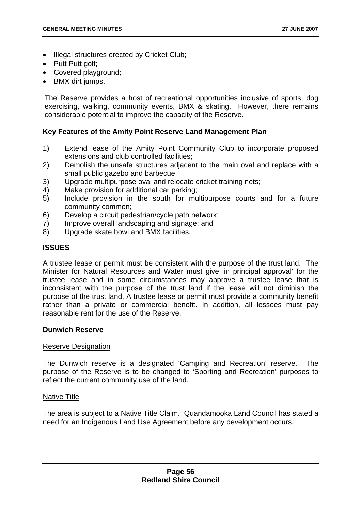- Illegal structures erected by Cricket Club;
- Putt Putt golf:
- Covered playground;
- BMX dirt jumps.

The Reserve provides a host of recreational opportunities inclusive of sports, dog exercising, walking, community events, BMX & skating. However, there remains considerable potential to improve the capacity of the Reserve.

# **Key Features of the Amity Point Reserve Land Management Plan**

- 1) Extend lease of the Amity Point Community Club to incorporate proposed extensions and club controlled facilities;
- 2) Demolish the unsafe structures adjacent to the main oval and replace with a small public gazebo and barbecue;
- 3) Upgrade multipurpose oval and relocate cricket training nets;
- 4) Make provision for additional car parking;
- 5) Include provision in the south for multipurpose courts and for a future community common;
- 6) Develop a circuit pedestrian/cycle path network;
- 7) Improve overall landscaping and signage; and
- 8) Upgrade skate bowl and BMX facilities.

#### **ISSUES**

A trustee lease or permit must be consistent with the purpose of the trust land. The Minister for Natural Resources and Water must give 'in principal approval' for the trustee lease and in some circumstances may approve a trustee lease that is inconsistent with the purpose of the trust land if the lease will not diminish the purpose of the trust land. A trustee lease or permit must provide a community benefit rather than a private or commercial benefit. In addition, all lessees must pay reasonable rent for the use of the Reserve.

#### **Dunwich Reserve**

#### Reserve Designation

The Dunwich reserve is a designated 'Camping and Recreation' reserve. The purpose of the Reserve is to be changed to 'Sporting and Recreation' purposes to reflect the current community use of the land.

#### Native Title

The area is subject to a Native Title Claim. Quandamooka Land Council has stated a need for an Indigenous Land Use Agreement before any development occurs.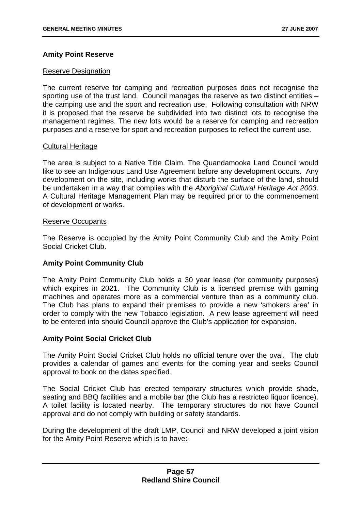# **Amity Point Reserve**

### Reserve Designation

The current reserve for camping and recreation purposes does not recognise the sporting use of the trust land. Council manages the reserve as two distinct entities – the camping use and the sport and recreation use. Following consultation with NRW it is proposed that the reserve be subdivided into two distinct lots to recognise the management regimes. The new lots would be a reserve for camping and recreation purposes and a reserve for sport and recreation purposes to reflect the current use.

### Cultural Heritage

The area is subject to a Native Title Claim. The Quandamooka Land Council would like to see an Indigenous Land Use Agreement before any development occurs. Any development on the site, including works that disturb the surface of the land, should be undertaken in a way that complies with the *Aboriginal Cultural Heritage Act 2003*. A Cultural Heritage Management Plan may be required prior to the commencement of development or works.

#### Reserve Occupants

The Reserve is occupied by the Amity Point Community Club and the Amity Point Social Cricket Club.

### **Amity Point Community Club**

The Amity Point Community Club holds a 30 year lease (for community purposes) which expires in 2021. The Community Club is a licensed premise with gaming machines and operates more as a commercial venture than as a community club. The Club has plans to expand their premises to provide a new 'smokers area' in order to comply with the new Tobacco legislation. A new lease agreement will need to be entered into should Council approve the Club's application for expansion.

### **Amity Point Social Cricket Club**

The Amity Point Social Cricket Club holds no official tenure over the oval. The club provides a calendar of games and events for the coming year and seeks Council approval to book on the dates specified.

The Social Cricket Club has erected temporary structures which provide shade, seating and BBQ facilities and a mobile bar (the Club has a restricted liquor licence). A toilet facility is located nearby. The temporary structures do not have Council approval and do not comply with building or safety standards.

During the development of the draft LMP, Council and NRW developed a joint vision for the Amity Point Reserve which is to have:-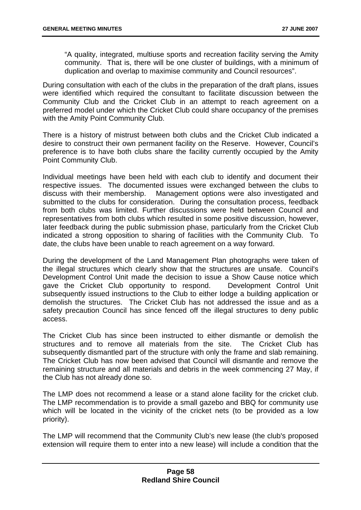"A quality, integrated, multiuse sports and recreation facility serving the Amity community. That is, there will be one cluster of buildings, with a minimum of duplication and overlap to maximise community and Council resources".

During consultation with each of the clubs in the preparation of the draft plans, issues were identified which required the consultant to facilitate discussion between the Community Club and the Cricket Club in an attempt to reach agreement on a preferred model under which the Cricket Club could share occupancy of the premises with the Amity Point Community Club.

There is a history of mistrust between both clubs and the Cricket Club indicated a desire to construct their own permanent facility on the Reserve. However, Council's preference is to have both clubs share the facility currently occupied by the Amity Point Community Club.

Individual meetings have been held with each club to identify and document their respective issues. The documented issues were exchanged between the clubs to discuss with their membership. Management options were also investigated and submitted to the clubs for consideration. During the consultation process, feedback from both clubs was limited. Further discussions were held between Council and representatives from both clubs which resulted in some positive discussion, however, later feedback during the public submission phase, particularly from the Cricket Club indicated a strong opposition to sharing of facilities with the Community Club. To date, the clubs have been unable to reach agreement on a way forward.

During the development of the Land Management Plan photographs were taken of the illegal structures which clearly show that the structures are unsafe. Council's Development Control Unit made the decision to issue a Show Cause notice which gave the Cricket Club opportunity to respond. Development Control Unit subsequently issued instructions to the Club to either lodge a building application or demolish the structures. The Cricket Club has not addressed the issue and as a safety precaution Council has since fenced off the illegal structures to deny public access.

The Cricket Club has since been instructed to either dismantle or demolish the structures and to remove all materials from the site. The Cricket Club has subsequently dismantled part of the structure with only the frame and slab remaining. The Cricket Club has now been advised that Council will dismantle and remove the remaining structure and all materials and debris in the week commencing 27 May, if the Club has not already done so.

The LMP does not recommend a lease or a stand alone facility for the cricket club. The LMP recommendation is to provide a small gazebo and BBQ for community use which will be located in the vicinity of the cricket nets (to be provided as a low priority).

The LMP will recommend that the Community Club's new lease (the club's proposed extension will require them to enter into a new lease) will include a condition that the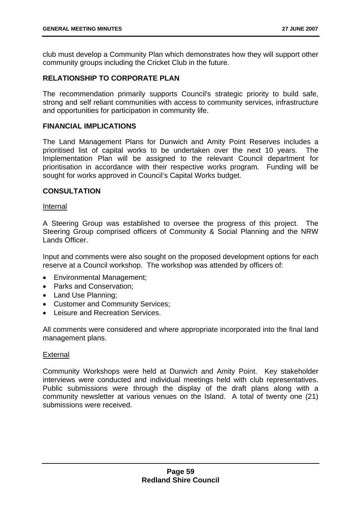club must develop a Community Plan which demonstrates how they will support other community groups including the Cricket Club in the future.

# **RELATIONSHIP TO CORPORATE PLAN**

The recommendation primarily supports Council's strategic priority to build safe, strong and self reliant communities with access to community services, infrastructure and opportunities for participation in community life.

### **FINANCIAL IMPLICATIONS**

The Land Management Plans for Dunwich and Amity Point Reserves includes a prioritised list of capital works to be undertaken over the next 10 years. The Implementation Plan will be assigned to the relevant Council department for prioritisation in accordance with their respective works program. Funding will be sought for works approved in Council's Capital Works budget.

### **CONSULTATION**

Internal

A Steering Group was established to oversee the progress of this project. The Steering Group comprised officers of Community & Social Planning and the NRW Lands Officer.

Input and comments were also sought on the proposed development options for each reserve at a Council workshop. The workshop was attended by officers of:

- Environmental Management;
- Parks and Conservation;
- Land Use Planning;
- Customer and Community Services;
- Leisure and Recreation Services.

All comments were considered and where appropriate incorporated into the final land management plans.

### **External**

Community Workshops were held at Dunwich and Amity Point. Key stakeholder interviews were conducted and individual meetings held with club representatives. Public submissions were through the display of the draft plans along with a community newsletter at various venues on the Island. A total of twenty one (21) submissions were received.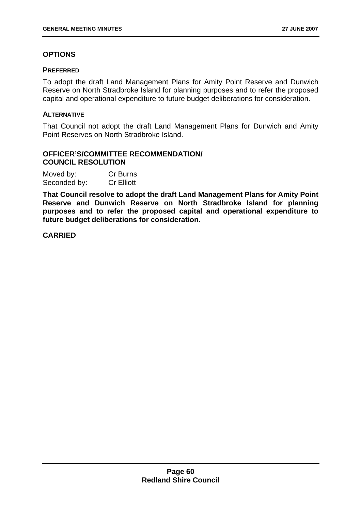# **OPTIONS**

### **PREFERRED**

To adopt the draft Land Management Plans for Amity Point Reserve and Dunwich Reserve on North Stradbroke Island for planning purposes and to refer the proposed capital and operational expenditure to future budget deliberations for consideration.

# **ALTERNATIVE**

That Council not adopt the draft Land Management Plans for Dunwich and Amity Point Reserves on North Stradbroke Island.

# **OFFICER'S/COMMITTEE RECOMMENDATION/ COUNCIL RESOLUTION**

| Moved by:    | Cr Burns          |
|--------------|-------------------|
| Seconded by: | <b>Cr Elliott</b> |

**That Council resolve to adopt the draft Land Management Plans for Amity Point Reserve and Dunwich Reserve on North Stradbroke Island for planning purposes and to refer the proposed capital and operational expenditure to future budget deliberations for consideration.** 

**CARRIED**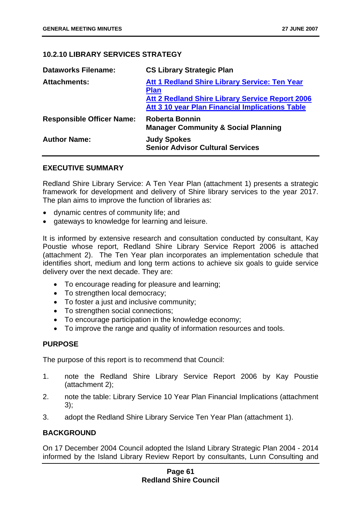# **10.2.10 LIBRARY SERVICES STRATEGY**

| <b>Dataworks Filename:</b>       | <b>CS Library Strategic Plan</b>                                                                                       |
|----------------------------------|------------------------------------------------------------------------------------------------------------------------|
| <b>Attachments:</b>              | Att 1 Redland Shire Library Service: Ten Year<br><b>Plan</b><br><b>Att 2 Redland Shire Library Service Report 2006</b> |
|                                  | Att 3 10 year Plan Financial Implications Table                                                                        |
| <b>Responsible Officer Name:</b> | <b>Roberta Bonnin</b><br><b>Manager Community &amp; Social Planning</b>                                                |
| <b>Author Name:</b>              | <b>Judy Spokes</b><br><b>Senior Advisor Cultural Services</b>                                                          |

### **EXECUTIVE SUMMARY**

Redland Shire Library Service: A Ten Year Plan (attachment 1) presents a strategic framework for development and delivery of Shire library services to the year 2017. The plan aims to improve the function of libraries as:

- dynamic centres of community life; and
- gateways to knowledge for learning and leisure.

It is informed by extensive research and consultation conducted by consultant, Kay Poustie whose report, Redland Shire Library Service Report 2006 is attached (attachment 2). The Ten Year plan incorporates an implementation schedule that identifies short, medium and long term actions to achieve six goals to guide service delivery over the next decade. They are:

- To encourage reading for pleasure and learning;
- To strengthen local democracy;
- To foster a just and inclusive community:
- To strengthen social connections;
- To encourage participation in the knowledge economy;
- To improve the range and quality of information resources and tools.

# **PURPOSE**

The purpose of this report is to recommend that Council:

- 1. note the Redland Shire Library Service Report 2006 by Kay Poustie (attachment 2);
- 2. note the table: Library Service 10 Year Plan Financial Implications (attachment 3);
- 3. adopt the Redland Shire Library Service Ten Year Plan (attachment 1).

# **BACKGROUND**

On 17 December 2004 Council adopted the Island Library Strategic Plan 2004 - 2014 informed by the Island Library Review Report by consultants, Lunn Consulting and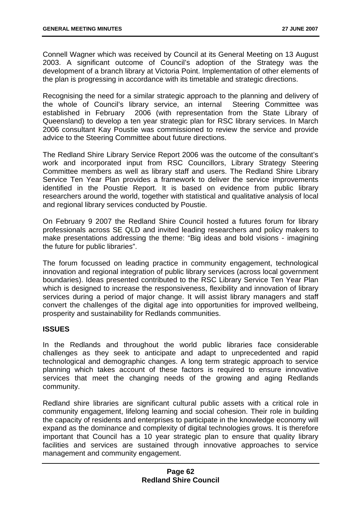Connell Wagner which was received by Council at its General Meeting on 13 August 2003. A significant outcome of Council's adoption of the Strategy was the development of a branch library at Victoria Point. Implementation of other elements of the plan is progressing in accordance with its timetable and strategic directions.

Recognising the need for a similar strategic approach to the planning and delivery of the whole of Council's library service, an internal Steering Committee was established in February 2006 (with representation from the State Library of Queensland) to develop a ten year strategic plan for RSC library services. In March 2006 consultant Kay Poustie was commissioned to review the service and provide advice to the Steering Committee about future directions.

The Redland Shire Library Service Report 2006 was the outcome of the consultant's work and incorporated input from RSC Councillors, Library Strategy Steering Committee members as well as library staff and users. The Redland Shire Library Service Ten Year Plan provides a framework to deliver the service improvements identified in the Poustie Report. It is based on evidence from public library researchers around the world, together with statistical and qualitative analysis of local and regional library services conducted by Poustie.

On February 9 2007 the Redland Shire Council hosted a futures forum for library professionals across SE QLD and invited leading researchers and policy makers to make presentations addressing the theme: "Big ideas and bold visions - imagining the future for public libraries".

The forum focussed on leading practice in community engagement, technological innovation and regional integration of public library services (across local government boundaries). Ideas presented contributed to the RSC Library Service Ten Year Plan which is designed to increase the responsiveness, flexibility and innovation of library services during a period of major change. It will assist library managers and staff convert the challenges of the digital age into opportunities for improved wellbeing, prosperity and sustainability for Redlands communities.

# **ISSUES**

In the Redlands and throughout the world public libraries face considerable challenges as they seek to anticipate and adapt to unprecedented and rapid technological and demographic changes. A long term strategic approach to service planning which takes account of these factors is required to ensure innovative services that meet the changing needs of the growing and aging Redlands community.

Redland shire libraries are significant cultural public assets with a critical role in community engagement, lifelong learning and social cohesion. Their role in building the capacity of residents and enterprises to participate in the knowledge economy will expand as the dominance and complexity of digital technologies grows. It is therefore important that Council has a 10 year strategic plan to ensure that quality library facilities and services are sustained through innovative approaches to service management and community engagement.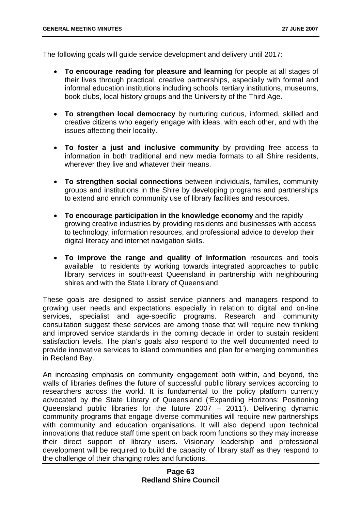The following goals will guide service development and delivery until 2017:

- **To encourage reading for pleasure and learning** for people at all stages of their lives through practical, creative partnerships, especially with formal and informal education institutions including schools, tertiary institutions, museums, book clubs, local history groups and the University of the Third Age.
- **To strengthen local democracy** by nurturing curious, informed, skilled and creative citizens who eagerly engage with ideas, with each other, and with the issues affecting their locality.
- **To foster a just and inclusive community** by providing free access to information in both traditional and new media formats to all Shire residents, wherever they live and whatever their means.
- **To strengthen social connections** between individuals, families, community groups and institutions in the Shire by developing programs and partnerships to extend and enrich community use of library facilities and resources.
- **To encourage participation in the knowledge economy** and the rapidly growing creative industries by providing residents and businesses with access to technology, information resources, and professional advice to develop their digital literacy and internet navigation skills.
- **To improve the range and quality of information** resources and tools available to residents by working towards integrated approaches to public library services in south-east Queensland in partnership with neighbouring shires and with the State Library of Queensland.

These goals are designed to assist service planners and managers respond to growing user needs and expectations especially in relation to digital and on-line services, specialist and age-specific programs. Research and community consultation suggest these services are among those that will require new thinking and improved service standards in the coming decade in order to sustain resident satisfaction levels. The plan's goals also respond to the well documented need to provide innovative services to island communities and plan for emerging communities in Redland Bay.

An increasing emphasis on community engagement both within, and beyond, the walls of libraries defines the future of successful public library services according to researchers across the world. It is fundamental to the policy platform currently advocated by the State Library of Queensland ('Expanding Horizons: Positioning Queensland public libraries for the future 2007 – 2011'). Delivering dynamic community programs that engage diverse communities will require new partnerships with community and education organisations. It will also depend upon technical innovations that reduce staff time spent on back room functions so they may increase their direct support of library users. Visionary leadership and professional development will be required to build the capacity of library staff as they respond to the challenge of their changing roles and functions.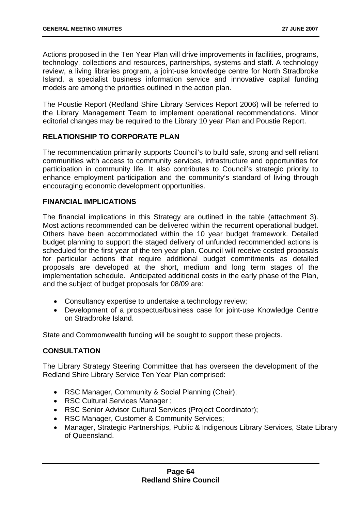Actions proposed in the Ten Year Plan will drive improvements in facilities, programs, technology, collections and resources, partnerships, systems and staff. A technology review, a living libraries program, a joint-use knowledge centre for North Stradbroke Island, a specialist business information service and innovative capital funding models are among the priorities outlined in the action plan.

The Poustie Report (Redland Shire Library Services Report 2006) will be referred to the Library Management Team to implement operational recommendations. Minor editorial changes may be required to the Library 10 year Plan and Poustie Report.

# **RELATIONSHIP TO CORPORATE PLAN**

The recommendation primarily supports Council's to build safe, strong and self reliant communities with access to community services, infrastructure and opportunities for participation in community life. It also contributes to Council's strategic priority to enhance employment participation and the community's standard of living through encouraging economic development opportunities.

# **FINANCIAL IMPLICATIONS**

The financial implications in this Strategy are outlined in the table (attachment 3). Most actions recommended can be delivered within the recurrent operational budget. Others have been accommodated within the 10 year budget framework. Detailed budget planning to support the staged delivery of unfunded recommended actions is scheduled for the first year of the ten year plan. Council will receive costed proposals for particular actions that require additional budget commitments as detailed proposals are developed at the short, medium and long term stages of the implementation schedule. Anticipated additional costs in the early phase of the Plan, and the subject of budget proposals for 08/09 are:

- Consultancy expertise to undertake a technology review;
- Development of a prospectus/business case for joint-use Knowledge Centre on Stradbroke Island.

State and Commonwealth funding will be sought to support these projects.

# **CONSULTATION**

The Library Strategy Steering Committee that has overseen the development of the Redland Shire Library Service Ten Year Plan comprised:

- RSC Manager, Community & Social Planning (Chair);
- RSC Cultural Services Manager ;
- RSC Senior Advisor Cultural Services (Project Coordinator):
- RSC Manager, Customer & Community Services;
- Manager, Strategic Partnerships, Public & Indigenous Library Services, State Library of Queensland.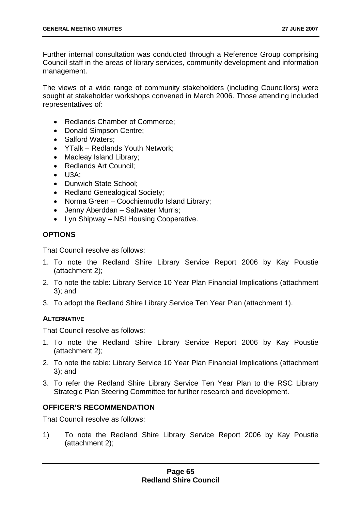Further internal consultation was conducted through a Reference Group comprising Council staff in the areas of library services, community development and information management.

The views of a wide range of community stakeholders (including Councillors) were sought at stakeholder workshops convened in March 2006. Those attending included representatives of:

- Redlands Chamber of Commerce;
- Donald Simpson Centre;
- Salford Waters;
- YTalk Redlands Youth Network;
- Macleav Island Library:
- Redlands Art Council;
- U3A;
- Dunwich State School;
- Redland Genealogical Society;
- Norma Green Coochiemudlo Island Library;
- Jenny Aberddan Saltwater Murris;
- Lyn Shipway NSI Housing Cooperative.

### **OPTIONS**

That Council resolve as follows:

- 1. To note the Redland Shire Library Service Report 2006 by Kay Poustie (attachment 2);
- 2. To note the table: Library Service 10 Year Plan Financial Implications (attachment 3); and
- 3. To adopt the Redland Shire Library Service Ten Year Plan (attachment 1).

### **ALTERNATIVE**

That Council resolve as follows:

- 1. To note the Redland Shire Library Service Report 2006 by Kay Poustie (attachment 2);
- 2. To note the table: Library Service 10 Year Plan Financial Implications (attachment 3); and
- 3. To refer the Redland Shire Library Service Ten Year Plan to the RSC Library Strategic Plan Steering Committee for further research and development.

### **OFFICER'S RECOMMENDATION**

That Council resolve as follows:

1) To note the Redland Shire Library Service Report 2006 by Kay Poustie (attachment 2);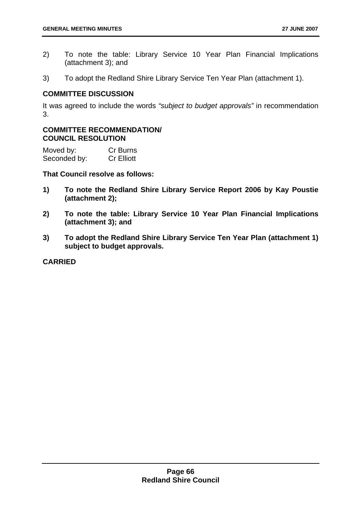- 2) To note the table: Library Service 10 Year Plan Financial Implications (attachment 3); and
- 3) To adopt the Redland Shire Library Service Ten Year Plan (attachment 1).

# **COMMITTEE DISCUSSION**

It was agreed to include the words *"subject to budget approvals"* in recommendation 3.

### **COMMITTEE RECOMMENDATION/ COUNCIL RESOLUTION**

| Moved by:    | Cr Burns          |
|--------------|-------------------|
| Seconded by: | <b>Cr Elliott</b> |

**That Council resolve as follows:** 

- **1) To note the Redland Shire Library Service Report 2006 by Kay Poustie (attachment 2);**
- **2) To note the table: Library Service 10 Year Plan Financial Implications (attachment 3); and**
- **3) To adopt the Redland Shire Library Service Ten Year Plan (attachment 1) subject to budget approvals.**

**CARRIED**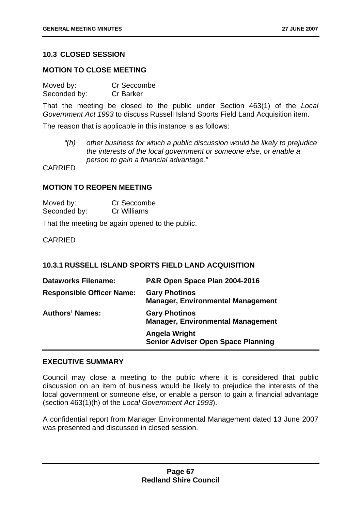# **10.3 CLOSED SESSION**

#### **MOTION TO CLOSE MEETING**

| Moved by:    | Cr Seccombe      |
|--------------|------------------|
| Seconded by: | <b>Cr Barker</b> |

That the meeting be closed to the public under Section 463(1) of the *Local Government Act 1993* to discuss Russell Island Sports Field Land Acquisition item.

The reason that is applicable in this instance is as follows:

*"(h) other business for which a public discussion would be likely to prejudice the interests of the local government or someone else, or enable a person to gain a financial advantage."* 

CARRIED

#### **MOTION TO REOPEN MEETING**

| Moved by:    | Cr Seccombe |
|--------------|-------------|
| Seconded by: | Cr Williams |

That the meeting be again opened to the public.

CARRIED

### **10.3.1 RUSSELL ISLAND SPORTS FIELD LAND ACQUISITION**

| <b>Dataworks Filename:</b>       | P&R Open Space Plan 2004-2016                                    |
|----------------------------------|------------------------------------------------------------------|
| <b>Responsible Officer Name:</b> | <b>Gary Photinos</b><br><b>Manager, Environmental Management</b> |
| <b>Authors' Names:</b>           | <b>Gary Photinos</b><br><b>Manager, Environmental Management</b> |
|                                  | Angela Wright<br><b>Senior Adviser Open Space Planning</b>       |

#### **EXECUTIVE SUMMARY**

Council may close a meeting to the public where it is considered that public discussion on an item of business would be likely to prejudice the interests of the local government or someone else, or enable a person to gain a financial advantage (section 463(1)(h) of the *Local Government Act 1993*).

A confidential report from Manager Environmental Management dated 13 June 2007 was presented and discussed in closed session.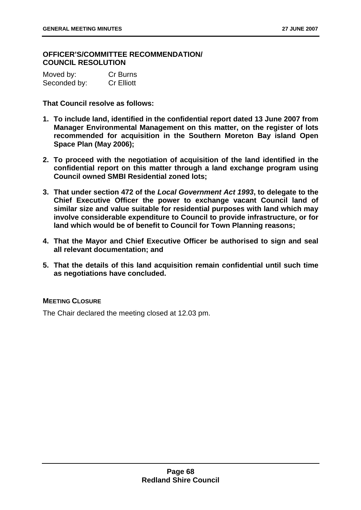# **OFFICER'S/COMMITTEE RECOMMENDATION/ COUNCIL RESOLUTION**

| Moved by:    | <b>Cr Burns</b>   |
|--------------|-------------------|
| Seconded by: | <b>Cr Elliott</b> |

**That Council resolve as follows:** 

- **1. To include land, identified in the confidential report dated 13 June 2007 from Manager Environmental Management on this matter, on the register of lots recommended for acquisition in the Southern Moreton Bay island Open Space Plan (May 2006);**
- **2. To proceed with the negotiation of acquisition of the land identified in the confidential report on this matter through a land exchange program using Council owned SMBI Residential zoned lots;**
- **3. That under section 472 of the** *Local Government Act 1993***, to delegate to the Chief Executive Officer the power to exchange vacant Council land of similar size and value suitable for residential purposes with land which may involve considerable expenditure to Council to provide infrastructure, or for land which would be of benefit to Council for Town Planning reasons;**
- **4. That the Mayor and Chief Executive Officer be authorised to sign and seal all relevant documentation; and**
- **5. That the details of this land acquisition remain confidential until such time as negotiations have concluded.**

### **MEETING CLOSURE**

The Chair declared the meeting closed at 12.03 pm.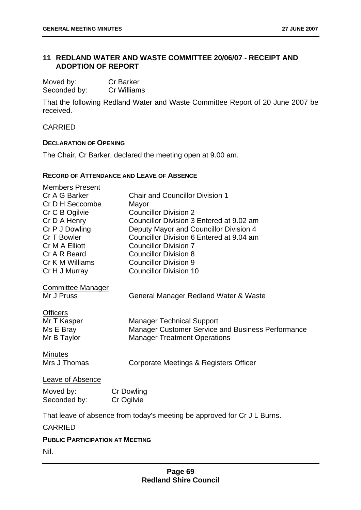# **11 REDLAND WATER AND WASTE COMMITTEE 20/06/07 - RECEIPT AND ADOPTION OF REPORT**

| Moved by:    | <b>Cr Barker</b> |
|--------------|------------------|
| Seconded by: | Cr Williams      |

That the following Redland Water and Waste Committee Report of 20 June 2007 be received.

# CARRIED

# **DECLARATION OF OPENING**

The Chair, Cr Barker, declared the meeting open at 9.00 am.

#### **RECORD OF ATTENDANCE AND LEAVE OF ABSENCE**

| <b>Members Present</b><br>Cr A G Barker<br>Cr D H Seccombe<br>Cr C B Ogilvie<br>Cr D A Henry<br>Cr P J Dowling<br>Cr T Bowler<br>Cr M A Elliott<br>Cr A R Beard | <b>Chair and Councillor Division 1</b><br>Mayor<br><b>Councillor Division 2</b><br>Councillor Division 3 Entered at 9.02 am<br>Deputy Mayor and Councillor Division 4<br>Councillor Division 6 Entered at 9.04 am<br><b>Councillor Division 7</b><br><b>Councillor Division 8</b> |
|-----------------------------------------------------------------------------------------------------------------------------------------------------------------|-----------------------------------------------------------------------------------------------------------------------------------------------------------------------------------------------------------------------------------------------------------------------------------|
| Cr K M Williams                                                                                                                                                 | <b>Councillor Division 9</b>                                                                                                                                                                                                                                                      |
| Cr H J Murray                                                                                                                                                   | <b>Councillor Division 10</b>                                                                                                                                                                                                                                                     |
| <b>Committee Manager</b><br>Mr J Pruss<br><b>Officers</b><br>Mr T Kasper<br>Ms E Bray<br>Mr B Taylor                                                            | General Manager Redland Water & Waste<br><b>Manager Technical Support</b><br><b>Manager Customer Service and Business Performance</b><br><b>Manager Treatment Operations</b>                                                                                                      |
| <b>Minutes</b><br>Mrs J Thomas                                                                                                                                  | Corporate Meetings & Registers Officer                                                                                                                                                                                                                                            |
| Leave of Absence                                                                                                                                                |                                                                                                                                                                                                                                                                                   |
| Moved by:                                                                                                                                                       | <b>Cr Dowling</b>                                                                                                                                                                                                                                                                 |
| Seconded by:                                                                                                                                                    | Cr Ogilvie                                                                                                                                                                                                                                                                        |
|                                                                                                                                                                 |                                                                                                                                                                                                                                                                                   |
|                                                                                                                                                                 | That leave of absence from today's meeting be approved for Cr J L Burns.                                                                                                                                                                                                          |
| <b>CARRIED</b>                                                                                                                                                  |                                                                                                                                                                                                                                                                                   |

### **PUBLIC PARTICIPATION AT MEETING**

Nil.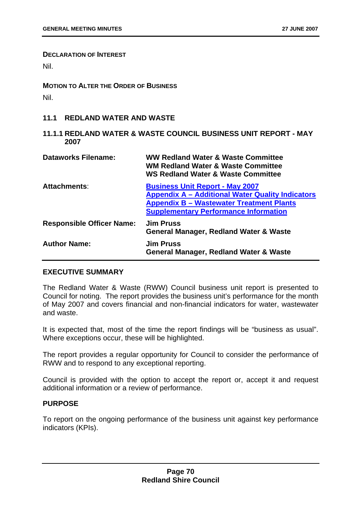#### **DECLARATION OF INTEREST**

Nil.

**MOTION TO ALTER THE ORDER OF BUSINESS** Nil.

#### **11.1 REDLAND WATER AND WASTE**

**11.1.1 REDLAND WATER & WASTE COUNCIL BUSINESS UNIT REPORT - MAY 2007** 

| <b>Dataworks Filename:</b>       | <b>WW Redland Water &amp; Waste Committee</b><br><b>WM Redland Water &amp; Waste Committee</b><br><b>WS Redland Water &amp; Waste Committee</b>                                                      |
|----------------------------------|------------------------------------------------------------------------------------------------------------------------------------------------------------------------------------------------------|
| <b>Attachments:</b>              | <b>Business Unit Report - May 2007</b><br><b>Appendix A - Additional Water Quality Indicators</b><br><b>Appendix B - Wastewater Treatment Plants</b><br><b>Supplementary Performance Information</b> |
| <b>Responsible Officer Name:</b> | <b>Jim Pruss</b><br><b>General Manager, Redland Water &amp; Waste</b>                                                                                                                                |
| <b>Author Name:</b>              | <b>Jim Pruss</b><br><b>General Manager, Redland Water &amp; Waste</b>                                                                                                                                |

### **EXECUTIVE SUMMARY**

The Redland Water & Waste (RWW) Council business unit report is presented to Council for noting. The report provides the business unit's performance for the month of May 2007 and covers financial and non-financial indicators for water, wastewater and waste.

It is expected that, most of the time the report findings will be "business as usual". Where exceptions occur, these will be highlighted.

The report provides a regular opportunity for Council to consider the performance of RWW and to respond to any exceptional reporting.

Council is provided with the option to accept the report or, accept it and request additional information or a review of performance.

#### **PURPOSE**

To report on the ongoing performance of the business unit against key performance indicators (KPIs).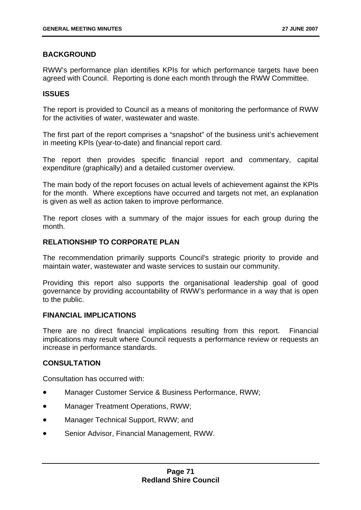# **BACKGROUND**

RWW's performance plan identifies KPIs for which performance targets have been agreed with Council. Reporting is done each month through the RWW Committee.

### **ISSUES**

The report is provided to Council as a means of monitoring the performance of RWW for the activities of water, wastewater and waste.

The first part of the report comprises a "snapshot" of the business unit's achievement in meeting KPIs (year-to-date) and financial report card.

The report then provides specific financial report and commentary, capital expenditure (graphically) and a detailed customer overview.

The main body of the report focuses on actual levels of achievement against the KPIs for the month. Where exceptions have occurred and targets not met, an explanation is given as well as action taken to improve performance.

The report closes with a summary of the major issues for each group during the month.

# **RELATIONSHIP TO CORPORATE PLAN**

The recommendation primarily supports Council's strategic priority to provide and maintain water, wastewater and waste services to sustain our community.

Providing this report also supports the organisational leadership goal of good governance by providing accountability of RWW's performance in a way that is open to the public.

# **FINANCIAL IMPLICATIONS**

There are no direct financial implications resulting from this report. Financial implications may result where Council requests a performance review or requests an increase in performance standards.

# **CONSULTATION**

Consultation has occurred with:

- Manager Customer Service & Business Performance, RWW;
- Manager Treatment Operations, RWW;
- Manager Technical Support, RWW; and
- Senior Advisor, Financial Management, RWW.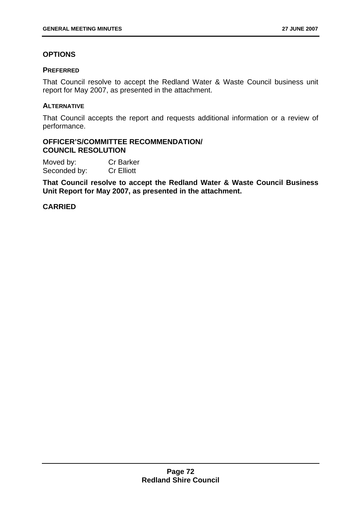# **OPTIONS**

#### **PREFERRED**

That Council resolve to accept the Redland Water & Waste Council business unit report for May 2007, as presented in the attachment.

#### **ALTERNATIVE**

That Council accepts the report and requests additional information or a review of performance.

#### **OFFICER'S/COMMITTEE RECOMMENDATION/ COUNCIL RESOLUTION**

Moved by: Cr Barker Seconded by: Cr Elliott

**That Council resolve to accept the Redland Water & Waste Council Business Unit Report for May 2007, as presented in the attachment.** 

### **CARRIED**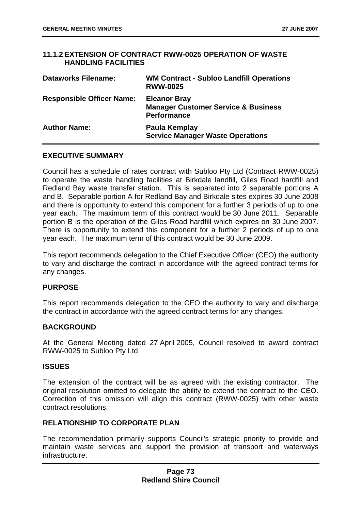# **11.1.2 EXTENSION OF CONTRACT RWW-0025 OPERATION OF WASTE HANDLING FACILITIES**

| <b>Dataworks Filename:</b>       | <b>WM Contract - Subloo Landfill Operations</b><br><b>RWW-0025</b>                          |
|----------------------------------|---------------------------------------------------------------------------------------------|
| <b>Responsible Officer Name:</b> | <b>Eleanor Bray</b><br><b>Manager Customer Service &amp; Business</b><br><b>Performance</b> |
| <b>Author Name:</b>              | Paula Kemplay<br><b>Service Manager Waste Operations</b>                                    |

# **EXECUTIVE SUMMARY**

Council has a schedule of rates contract with Subloo Pty Ltd (Contract RWW-0025) to operate the waste handling facilities at Birkdale landfill, Giles Road hardfill and Redland Bay waste transfer station. This is separated into 2 separable portions A and B. Separable portion A for Redland Bay and Birkdale sites expires 30 June 2008 and there is opportunity to extend this component for a further 3 periods of up to one year each. The maximum term of this contract would be 30 June 2011. Separable portion B is the operation of the Giles Road hardfill which expires on 30 June 2007. There is opportunity to extend this component for a further 2 periods of up to one year each. The maximum term of this contract would be 30 June 2009.

This report recommends delegation to the Chief Executive Officer (CEO) the authority to vary and discharge the contract in accordance with the agreed contract terms for any changes.

### **PURPOSE**

This report recommends delegation to the CEO the authority to vary and discharge the contract in accordance with the agreed contract terms for any changes.

### **BACKGROUND**

At the General Meeting dated 27 April 2005, Council resolved to award contract RWW-0025 to Subloo Pty Ltd.

### **ISSUES**

The extension of the contract will be as agreed with the existing contractor. The original resolution omitted to delegate the ability to extend the contract to the CEO. Correction of this omission will align this contract (RWW-0025) with other waste contract resolutions.

### **RELATIONSHIP TO CORPORATE PLAN**

The recommendation primarily supports Council's strategic priority to provide and maintain waste services and support the provision of transport and waterways infrastructure.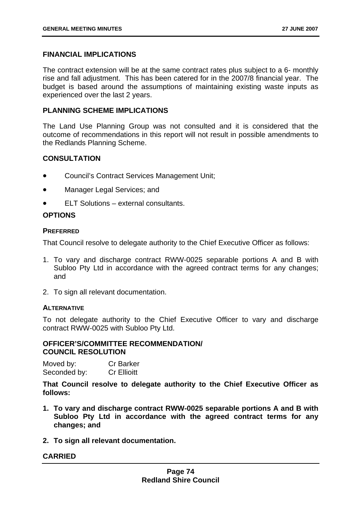# **FINANCIAL IMPLICATIONS**

The contract extension will be at the same contract rates plus subject to a 6- monthly rise and fall adjustment. This has been catered for in the 2007/8 financial year. The budget is based around the assumptions of maintaining existing waste inputs as experienced over the last 2 years.

### **PLANNING SCHEME IMPLICATIONS**

The Land Use Planning Group was not consulted and it is considered that the outcome of recommendations in this report will not result in possible amendments to the Redlands Planning Scheme.

# **CONSULTATION**

- Council's Contract Services Management Unit;
- Manager Legal Services; and
- ELT Solutions external consultants.

# **OPTIONS**

### **PREFERRED**

That Council resolve to delegate authority to the Chief Executive Officer as follows:

- 1. To vary and discharge contract RWW-0025 separable portions A and B with Subloo Pty Ltd in accordance with the agreed contract terms for any changes; and
- 2. To sign all relevant documentation.

### **ALTERNATIVE**

To not delegate authority to the Chief Executive Officer to vary and discharge contract RWW-0025 with Subloo Pty Ltd.

### **OFFICER'S/COMMITTEE RECOMMENDATION/ COUNCIL RESOLUTION**

| Moved by:    | <b>Cr Barker</b>   |
|--------------|--------------------|
| Seconded by: | <b>Cr Ellioitt</b> |

**That Council resolve to delegate authority to the Chief Executive Officer as follows:** 

- **1. To vary and discharge contract RWW-0025 separable portions A and B with Subloo Pty Ltd in accordance with the agreed contract terms for any changes; and**
- **2. To sign all relevant documentation.**

# **CARRIED**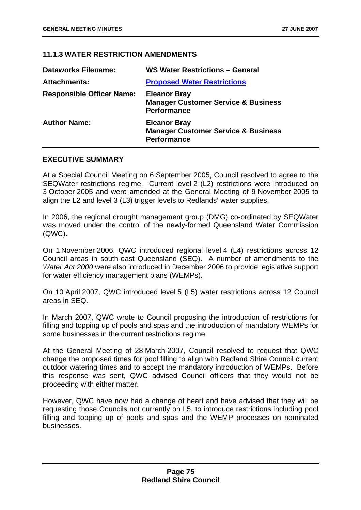# **11.1.3 WATER RESTRICTION AMENDMENTS**

| <b>Dataworks Filename:</b>       | WS Water Restrictions - General                                                             |
|----------------------------------|---------------------------------------------------------------------------------------------|
| <b>Attachments:</b>              | <b>Proposed Water Restrictions</b>                                                          |
| <b>Responsible Officer Name:</b> | <b>Eleanor Bray</b><br><b>Manager Customer Service &amp; Business</b><br><b>Performance</b> |
| <b>Author Name:</b>              | <b>Eleanor Bray</b><br><b>Manager Customer Service &amp; Business</b><br><b>Performance</b> |

# **EXECUTIVE SUMMARY**

At a Special Council Meeting on 6 September 2005, Council resolved to agree to the SEQWater restrictions regime. Current level 2 (L2) restrictions were introduced on 3 October 2005 and were amended at the General Meeting of 9 November 2005 to align the L2 and level 3 (L3) trigger levels to Redlands' water supplies.

In 2006, the regional drought management group (DMG) co-ordinated by SEQWater was moved under the control of the newly-formed Queensland Water Commission (QWC).

On 1 November 2006, QWC introduced regional level 4 (L4) restrictions across 12 Council areas in south-east Queensland (SEQ). A number of amendments to the *Water Act 2000* were also introduced in December 2006 to provide legislative support for water efficiency management plans (WEMPs).

On 10 April 2007, QWC introduced level 5 (L5) water restrictions across 12 Council areas in SEQ.

In March 2007, QWC wrote to Council proposing the introduction of restrictions for filling and topping up of pools and spas and the introduction of mandatory WEMPs for some businesses in the current restrictions regime.

At the General Meeting of 28 March 2007, Council resolved to request that QWC change the proposed times for pool filling to align with Redland Shire Council current outdoor watering times and to accept the mandatory introduction of WEMPs. Before this response was sent, QWC advised Council officers that they would not be proceeding with either matter.

However, QWC have now had a change of heart and have advised that they will be requesting those Councils not currently on L5, to introduce restrictions including pool filling and topping up of pools and spas and the WEMP processes on nominated businesses.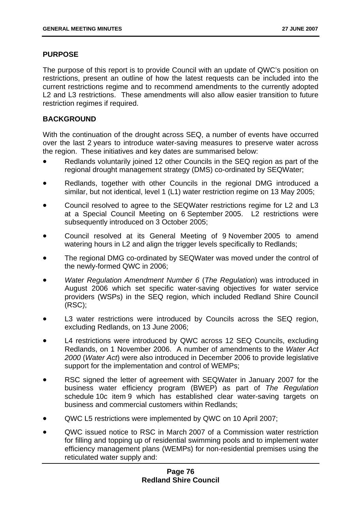# **PURPOSE**

The purpose of this report is to provide Council with an update of QWC's position on restrictions, present an outline of how the latest requests can be included into the current restrictions regime and to recommend amendments to the currently adopted L2 and L3 restrictions. These amendments will also allow easier transition to future restriction regimes if required.

# **BACKGROUND**

With the continuation of the drought across SEQ, a number of events have occurred over the last 2 years to introduce water-saving measures to preserve water across the region. These initiatives and key dates are summarised below:

- Redlands voluntarily joined 12 other Councils in the SEQ region as part of the regional drought management strategy (DMS) co-ordinated by SEQWater;
- Redlands, together with other Councils in the regional DMG introduced a similar, but not identical, level 1 (L1) water restriction regime on 13 May 2005;
- Council resolved to agree to the SEQWater restrictions regime for L2 and L3 at a Special Council Meeting on 6 September 2005. L2 restrictions were subsequently introduced on 3 October 2005:
- Council resolved at its General Meeting of 9 November 2005 to amend watering hours in L2 and align the trigger levels specifically to Redlands:
- The regional DMG co-ordinated by SEQWater was moved under the control of the newly-formed QWC in 2006;
- *Water Regulation Amendment Number 6* (*The Regulation*) was introduced in August 2006 which set specific water-saving objectives for water service providers (WSPs) in the SEQ region, which included Redland Shire Council (RSC);
- L3 water restrictions were introduced by Councils across the SEQ region, excluding Redlands, on 13 June 2006;
- L4 restrictions were introduced by QWC across 12 SEQ Councils, excluding Redlands, on 1 November 2006. A number of amendments to the *Water Act 2000* (*Water Act*) were also introduced in December 2006 to provide legislative support for the implementation and control of WEMPs;
- RSC signed the letter of agreement with SEQWater in January 2007 for the business water efficiency program (BWEP) as part of *The Regulation*  schedule 10c item 9 which has established clear water-saving targets on business and commercial customers within Redlands;
- QWC L5 restrictions were implemented by QWC on 10 April 2007;
- QWC issued notice to RSC in March 2007 of a Commission water restriction for filling and topping up of residential swimming pools and to implement water efficiency management plans (WEMPs) for non-residential premises using the reticulated water supply and: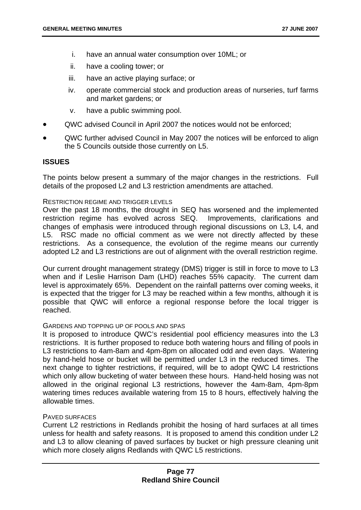- i. have an annual water consumption over 10ML; or
- ii. have a cooling tower; or
- iii. have an active playing surface; or
- iv. operate commercial stock and production areas of nurseries, turf farms and market gardens; or
- v. have a public swimming pool.
- QWC advised Council in April 2007 the notices would not be enforced;
- QWC further advised Council in May 2007 the notices will be enforced to align the 5 Councils outside those currently on L5.

### **ISSUES**

The points below present a summary of the major changes in the restrictions. Full details of the proposed L2 and L3 restriction amendments are attached.

#### RESTRICTION REGIME AND TRIGGER LEVELS

Over the past 18 months, the drought in SEQ has worsened and the implemented restriction regime has evolved across SEQ. Improvements, clarifications and changes of emphasis were introduced through regional discussions on L3, L4, and L5. RSC made no official comment as we were not directly affected by these restrictions. As a consequence, the evolution of the regime means our currently adopted L2 and L3 restrictions are out of alignment with the overall restriction regime.

Our current drought management strategy (DMS) trigger is still in force to move to L3 when and if Leslie Harrison Dam (LHD) reaches 55% capacity. The current dam level is approximately 65%. Dependent on the rainfall patterns over coming weeks, it is expected that the trigger for L3 may be reached within a few months, although it is possible that QWC will enforce a regional response before the local trigger is reached.

#### GARDENS AND TOPPING UP OF POOLS AND SPAS

It is proposed to introduce QWC's residential pool efficiency measures into the L3 restrictions. It is further proposed to reduce both watering hours and filling of pools in L3 restrictions to 4am-8am and 4pm-8pm on allocated odd and even days. Watering by hand-held hose or bucket will be permitted under L3 in the reduced times. The next change to tighter restrictions, if required, will be to adopt QWC L4 restrictions which only allow bucketing of water between these hours. Hand-held hosing was not allowed in the original regional L3 restrictions, however the 4am-8am, 4pm-8pm watering times reduces available watering from 15 to 8 hours, effectively halving the allowable times.

#### PAVED SURFACES

Current L2 restrictions in Redlands prohibit the hosing of hard surfaces at all times unless for health and safety reasons. It is proposed to amend this condition under L2 and L3 to allow cleaning of paved surfaces by bucket or high pressure cleaning unit which more closely aligns Redlands with QWC L5 restrictions.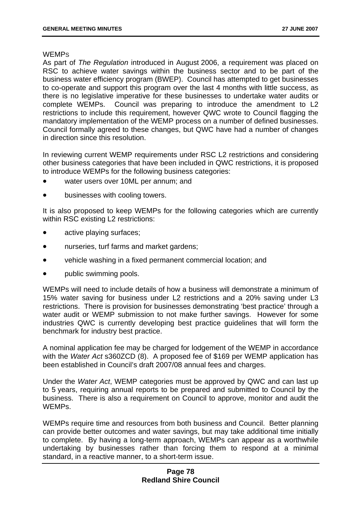#### **WEMP<sub>S</sub>**

As part of *The Regulation* introduced in August 2006, a requirement was placed on RSC to achieve water savings within the business sector and to be part of the business water efficiency program (BWEP). Council has attempted to get businesses to co-operate and support this program over the last 4 months with little success, as there is no legislative imperative for these businesses to undertake water audits or complete WEMPs. Council was preparing to introduce the amendment to L2 restrictions to include this requirement, however QWC wrote to Council flagging the mandatory implementation of the WEMP process on a number of defined businesses. Council formally agreed to these changes, but QWC have had a number of changes in direction since this resolution.

In reviewing current WEMP requirements under RSC L2 restrictions and considering other business categories that have been included in QWC restrictions, it is proposed to introduce WEMPs for the following business categories:

- water users over 10ML per annum; and
- businesses with cooling towers.

It is also proposed to keep WEMPs for the following categories which are currently within RSC existing L2 restrictions:

- active playing surfaces;
- nurseries, turf farms and market gardens;
- vehicle washing in a fixed permanent commercial location; and
- public swimming pools.

WEMPs will need to include details of how a business will demonstrate a minimum of 15% water saving for business under L2 restrictions and a 20% saving under L3 restrictions. There is provision for businesses demonstrating 'best practice' through a water audit or WEMP submission to not make further savings. However for some industries QWC is currently developing best practice guidelines that will form the benchmark for industry best practice.

A nominal application fee may be charged for lodgement of the WEMP in accordance with the *Water Act* s360ZCD (8). A proposed fee of \$169 per WEMP application has been established in Council's draft 2007/08 annual fees and charges.

Under the *Water Act*, WEMP categories must be approved by QWC and can last up to 5 years, requiring annual reports to be prepared and submitted to Council by the business. There is also a requirement on Council to approve, monitor and audit the WEMPs.

WEMPs require time and resources from both business and Council. Better planning can provide better outcomes and water savings, but may take additional time initially to complete. By having a long-term approach, WEMPs can appear as a worthwhile undertaking by businesses rather than forcing them to respond at a minimal standard, in a reactive manner, to a short-term issue.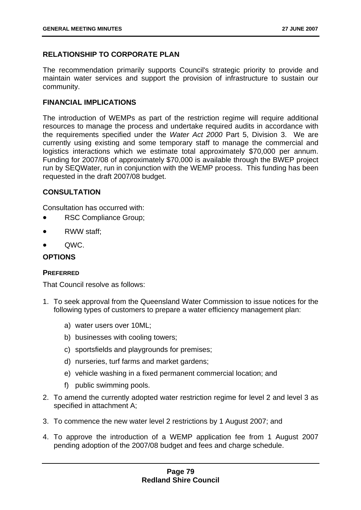# **RELATIONSHIP TO CORPORATE PLAN**

The recommendation primarily supports Council's strategic priority to provide and maintain water services and support the provision of infrastructure to sustain our community.

# **FINANCIAL IMPLICATIONS**

The introduction of WEMPs as part of the restriction regime will require additional resources to manage the process and undertake required audits in accordance with the requirements specified under the *Water Act 2000* Part 5, Division 3. We are currently using existing and some temporary staff to manage the commercial and logistics interactions which we estimate total approximately \$70,000 per annum. Funding for 2007/08 of approximately \$70,000 is available through the BWEP project run by SEQWater, run in conjunction with the WEMP process. This funding has been requested in the draft 2007/08 budget.

# **CONSULTATION**

Consultation has occurred with:

- RSC Compliance Group;
- RWW staff:
- QWC.

# **OPTIONS**

### **PREFERRED**

That Council resolve as follows:

- 1. To seek approval from the Queensland Water Commission to issue notices for the following types of customers to prepare a water efficiency management plan:
	- a) water users over 10ML;
	- b) businesses with cooling towers;
	- c) sportsfields and playgrounds for premises;
	- d) nurseries, turf farms and market gardens;
	- e) vehicle washing in a fixed permanent commercial location; and
	- f) public swimming pools.
- 2. To amend the currently adopted water restriction regime for level 2 and level 3 as specified in attachment A;
- 3. To commence the new water level 2 restrictions by 1 August 2007; and
- 4. To approve the introduction of a WEMP application fee from 1 August 2007 pending adoption of the 2007/08 budget and fees and charge schedule.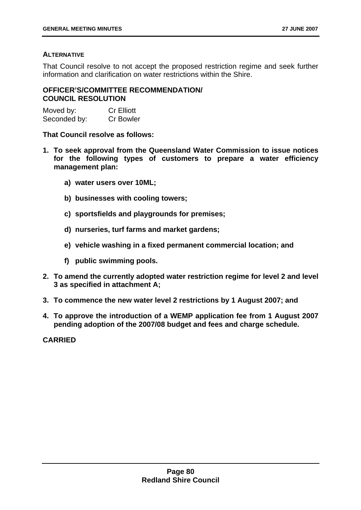# **ALTERNATIVE**

That Council resolve to not accept the proposed restriction regime and seek further information and clarification on water restrictions within the Shire.

# **OFFICER'S/COMMITTEE RECOMMENDATION/ COUNCIL RESOLUTION**

Moved by: Cr Elliott Seconded by: Cr Bowler

**That Council resolve as follows:** 

- **1. To seek approval from the Queensland Water Commission to issue notices for the following types of customers to prepare a water efficiency management plan:** 
	- **a) water users over 10ML;**
	- **b) businesses with cooling towers;**
	- **c) sportsfields and playgrounds for premises;**
	- **d) nurseries, turf farms and market gardens;**
	- **e) vehicle washing in a fixed permanent commercial location; and**
	- **f) public swimming pools.**
- **2. To amend the currently adopted water restriction regime for level 2 and level 3 as specified in attachment A;**
- **3. To commence the new water level 2 restrictions by 1 August 2007; and**
- **4. To approve the introduction of a WEMP application fee from 1 August 2007 pending adoption of the 2007/08 budget and fees and charge schedule.**

**CARRIED**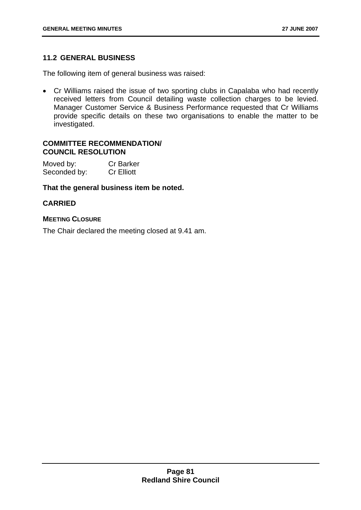# **11.2 GENERAL BUSINESS**

The following item of general business was raised:

• Cr Williams raised the issue of two sporting clubs in Capalaba who had recently received letters from Council detailing waste collection charges to be levied. Manager Customer Service & Business Performance requested that Cr Williams provide specific details on these two organisations to enable the matter to be investigated.

### **COMMITTEE RECOMMENDATION/ COUNCIL RESOLUTION**

Moved by: Cr Barker Seconded by: Cr Elliott

# **That the general business item be noted.**

# **CARRIED**

# **MEETING CLOSURE**

The Chair declared the meeting closed at 9.41 am.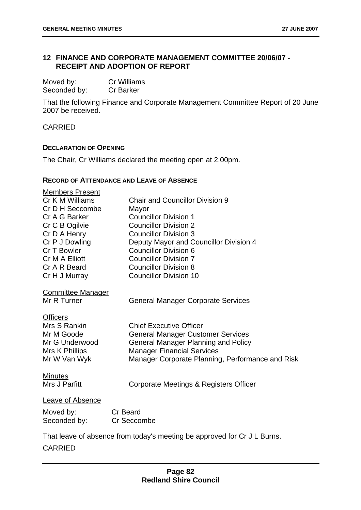# **12 FINANCE AND CORPORATE MANAGEMENT COMMITTEE 20/06/07 - RECEIPT AND ADOPTION OF REPORT**

| Moved by:    | <b>Cr Williams</b> |
|--------------|--------------------|
| Seconded by: | <b>Cr Barker</b>   |

That the following Finance and Corporate Management Committee Report of 20 June 2007 be received.

CARRIED

#### **DECLARATION OF OPENING**

The Chair, Cr Williams declared the meeting open at 2.00pm.

#### **RECORD OF ATTENDANCE AND LEAVE OF ABSENCE**

| <b>Members Present</b>   |                                                                          |
|--------------------------|--------------------------------------------------------------------------|
| Cr K M Williams          | <b>Chair and Councillor Division 9</b>                                   |
| Cr D H Seccombe          | Mayor                                                                    |
| Cr A G Barker            | <b>Councillor Division 1</b>                                             |
| Cr C B Ogilvie           | <b>Councillor Division 2</b>                                             |
| Cr D A Henry             | <b>Councillor Division 3</b>                                             |
| Cr P J Dowling           | Deputy Mayor and Councillor Division 4                                   |
| Cr T Bowler              | <b>Councillor Division 6</b>                                             |
| Cr M A Elliott           | <b>Councillor Division 7</b>                                             |
| Cr A R Beard             | <b>Councillor Division 8</b>                                             |
| Cr H J Murray            | <b>Councillor Division 10</b>                                            |
| <b>Committee Manager</b> |                                                                          |
| Mr R Turner              | <b>General Manager Corporate Services</b>                                |
| <b>Officers</b>          |                                                                          |
| Mrs S Rankin             | <b>Chief Executive Officer</b>                                           |
| Mr M Goode               | <b>General Manager Customer Services</b>                                 |
| Mr G Underwood           | <b>General Manager Planning and Policy</b>                               |
| Mrs K Phillips           | <b>Manager Financial Services</b>                                        |
| Mr W Van Wyk             | Manager Corporate Planning, Performance and Risk                         |
| <b>Minutes</b>           |                                                                          |
| Mrs J Parfitt            | Corporate Meetings & Registers Officer                                   |
| <b>Leave of Absence</b>  |                                                                          |
| Moved by:                | <b>Cr</b> Beard                                                          |
| Seconded by:             | Cr Seccombe                                                              |
|                          | That leave of absence from today's meeting be approved for Cr J L Burns. |
|                          |                                                                          |
| <b>CARRIED</b>           |                                                                          |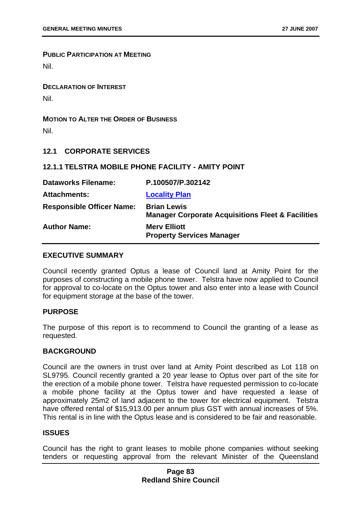**PUBLIC PARTICIPATION AT MEETING**

Nil.

**DECLARATION OF INTEREST** Nil.

**MOTION TO ALTER THE ORDER OF BUSINESS**

Nil.

# **12.1 CORPORATE SERVICES**

# **12.1.1 TELSTRA MOBILE PHONE FACILITY - AMITY POINT**

| <b>Dataworks Filename:</b>       | P.100507/P.302142                                                                  |
|----------------------------------|------------------------------------------------------------------------------------|
| <b>Attachments:</b>              | <b>Locality Plan</b>                                                               |
| <b>Responsible Officer Name:</b> | <b>Brian Lewis</b><br><b>Manager Corporate Acquisitions Fleet &amp; Facilities</b> |
| <b>Author Name:</b>              | <b>Mery Elliott</b><br><b>Property Services Manager</b>                            |

### **EXECUTIVE SUMMARY**

Council recently granted Optus a lease of Council land at Amity Point for the purposes of constructing a mobile phone tower. Telstra have now applied to Council for approval to co-locate on the Optus tower and also enter into a lease with Council for equipment storage at the base of the tower.

### **PURPOSE**

The purpose of this report is to recommend to Council the granting of a lease as requested.

### **BACKGROUND**

Council are the owners in trust over land at Amity Point described as Lot 118 on SL9795. Council recently granted a 20 year lease to Optus over part of the site for the erection of a mobile phone tower. Telstra have requested permission to co-locate a mobile phone facility at the Optus tower and have requested a lease of approximately 25m2 of land adjacent to the tower for electrical equipment. Telstra have offered rental of \$15,913.00 per annum plus GST with annual increases of 5%. This rental is in line with the Optus lease and is considered to be fair and reasonable.

### **ISSUES**

Council has the right to grant leases to mobile phone companies without seeking tenders or requesting approval from the relevant Minister of the Queensland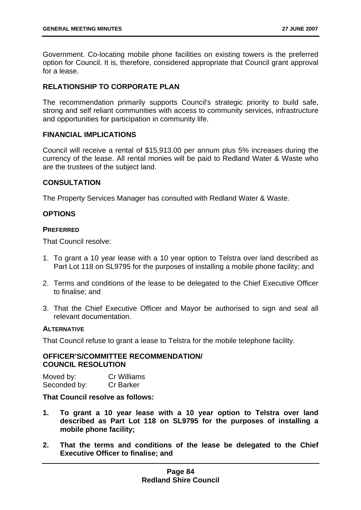Government. Co-locating mobile phone facilities on existing towers is the preferred option for Council. It is, therefore, considered appropriate that Council grant approval for a lease.

# **RELATIONSHIP TO CORPORATE PLAN**

The recommendation primarily supports Council's strategic priority to build safe, strong and self reliant communities with access to community services, infrastructure and opportunities for participation in community life.

# **FINANCIAL IMPLICATIONS**

Council will receive a rental of \$15,913.00 per annum plus 5% increases during the currency of the lease. All rental monies will be paid to Redland Water & Waste who are the trustees of the subject land.

# **CONSULTATION**

The Property Services Manager has consulted with Redland Water & Waste.

# **OPTIONS**

### **PREFERRED**

That Council resolve:

- 1. To grant a 10 year lease with a 10 year option to Telstra over land described as Part Lot 118 on SL9795 for the purposes of installing a mobile phone facility; and
- 2. Terms and conditions of the lease to be delegated to the Chief Executive Officer to finalise; and
- 3. That the Chief Executive Officer and Mayor be authorised to sign and seal all relevant documentation.

### **ALTERNATIVE**

That Council refuse to grant a lease to Telstra for the mobile telephone facility.

# **OFFICER'S/COMMITTEE RECOMMENDATION/ COUNCIL RESOLUTION**

Moved by: Cr Williams Seconded by: Cr Barker

# **That Council resolve as follows:**

- **1. To grant a 10 year lease with a 10 year option to Telstra over land described as Part Lot 118 on SL9795 for the purposes of installing a mobile phone facility;**
- **2. That the terms and conditions of the lease be delegated to the Chief Executive Officer to finalise; and**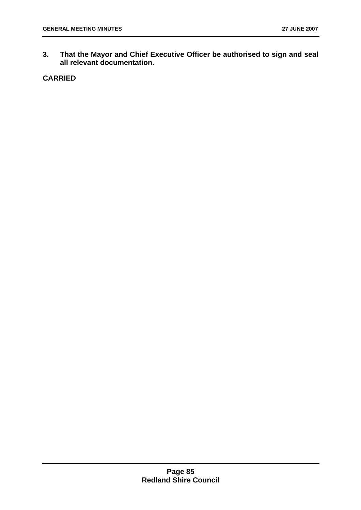**3. That the Mayor and Chief Executive Officer be authorised to sign and seal all relevant documentation.** 

# **CARRIED**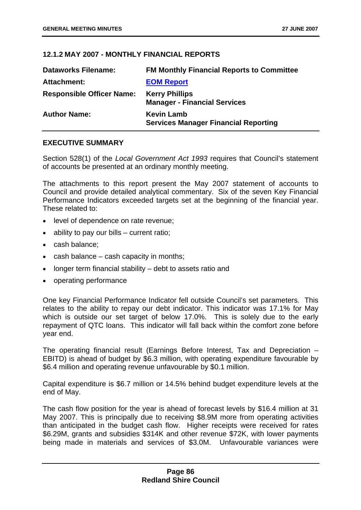# **12.1.2 MAY 2007 - MONTHLY FINANCIAL REPORTS**

| <b>Dataworks Filename:</b>       | <b>FM Monthly Financial Reports to Committee</b>                 |
|----------------------------------|------------------------------------------------------------------|
| Attachment:                      | <b>EOM Report</b>                                                |
| <b>Responsible Officer Name:</b> | <b>Kerry Phillips</b><br><b>Manager - Financial Services</b>     |
| <b>Author Name:</b>              | <b>Kevin Lamb</b><br><b>Services Manager Financial Reporting</b> |

### **EXECUTIVE SUMMARY**

Section 528(1) of the *Local Government Act 1993* requires that Council's statement of accounts be presented at an ordinary monthly meeting.

The attachments to this report present the May 2007 statement of accounts to Council and provide detailed analytical commentary. Six of the seven Key Financial Performance Indicators exceeded targets set at the beginning of the financial year. These related to:

- level of dependence on rate revenue;
- ability to pay our bills current ratio;
- cash balance;
- cash balance cash capacity in months;
- longer term financial stability debt to assets ratio and
- operating performance

One key Financial Performance Indicator fell outside Council's set parameters. This relates to the ability to repay our debt indicator. This indicator was 17.1% for May which is outside our set target of below 17.0%. This is solely due to the early repayment of QTC loans. This indicator will fall back within the comfort zone before year end.

The operating financial result (Earnings Before Interest, Tax and Depreciation – EBITD) is ahead of budget by \$6.3 million, with operating expenditure favourable by \$6.4 million and operating revenue unfavourable by \$0.1 million.

Capital expenditure is \$6.7 million or 14.5% behind budget expenditure levels at the end of May.

The cash flow position for the year is ahead of forecast levels by \$16.4 million at 31 May 2007. This is principally due to receiving \$8.9M more from operating activities than anticipated in the budget cash flow. Higher receipts were received for rates \$6.29M, grants and subsidies \$314K and other revenue \$72K, with lower payments being made in materials and services of \$3.0M. Unfavourable variances were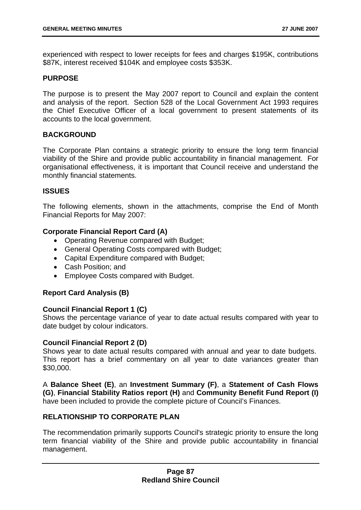experienced with respect to lower receipts for fees and charges \$195K, contributions \$87K, interest received \$104K and employee costs \$353K.

# **PURPOSE**

The purpose is to present the May 2007 report to Council and explain the content and analysis of the report. Section 528 of the Local Government Act 1993 requires the Chief Executive Officer of a local government to present statements of its accounts to the local government.

# **BACKGROUND**

The Corporate Plan contains a strategic priority to ensure the long term financial viability of the Shire and provide public accountability in financial management. For organisational effectiveness, it is important that Council receive and understand the monthly financial statements.

### **ISSUES**

The following elements, shown in the attachments, comprise the End of Month Financial Reports for May 2007:

# **Corporate Financial Report Card (A)**

- Operating Revenue compared with Budget;
- General Operating Costs compared with Budget;
- Capital Expenditure compared with Budget;
- Cash Position; and
- Employee Costs compared with Budget.

# **Report Card Analysis (B)**

### **Council Financial Report 1 (C)**

Shows the percentage variance of year to date actual results compared with year to date budget by colour indicators.

### **Council Financial Report 2 (D)**

Shows year to date actual results compared with annual and year to date budgets. This report has a brief commentary on all year to date variances greater than \$30,000.

A **Balance Sheet (E)**, an **Investment Summary (F)**, a **Statement of Cash Flows (G)**, **Financial Stability Ratios report (H)** and **Community Benefit Fund Report (I)** have been included to provide the complete picture of Council's Finances.

# **RELATIONSHIP TO CORPORATE PLAN**

The recommendation primarily supports Council's strategic priority to ensure the long term financial viability of the Shire and provide public accountability in financial management.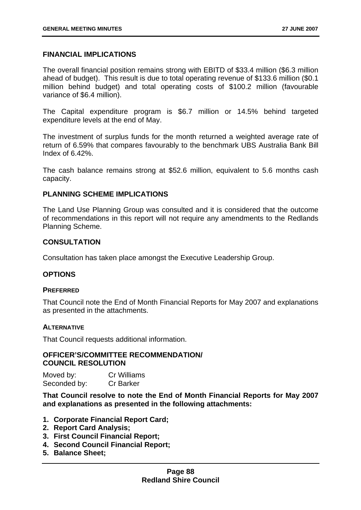#### **FINANCIAL IMPLICATIONS**

The overall financial position remains strong with EBITD of \$33.4 million (\$6.3 million ahead of budget). This result is due to total operating revenue of \$133.6 million (\$0.1 million behind budget) and total operating costs of \$100.2 million (favourable variance of \$6.4 million).

The Capital expenditure program is \$6.7 million or 14.5% behind targeted expenditure levels at the end of May.

The investment of surplus funds for the month returned a weighted average rate of return of 6.59% that compares favourably to the benchmark UBS Australia Bank Bill Index of 6.42%.

The cash balance remains strong at \$52.6 million, equivalent to 5.6 months cash capacity.

#### **PLANNING SCHEME IMPLICATIONS**

The Land Use Planning Group was consulted and it is considered that the outcome of recommendations in this report will not require any amendments to the Redlands Planning Scheme.

#### **CONSULTATION**

Consultation has taken place amongst the Executive Leadership Group.

#### **OPTIONS**

#### **PREFERRED**

That Council note the End of Month Financial Reports for May 2007 and explanations as presented in the attachments.

#### **ALTERNATIVE**

That Council requests additional information.

#### **OFFICER'S/COMMITTEE RECOMMENDATION/ COUNCIL RESOLUTION**

Moved by: Cr Williams Seconded by: Cr Barker

**That Council resolve to note the End of Month Financial Reports for May 2007 and explanations as presented in the following attachments:** 

- **1. Corporate Financial Report Card;**
- **2. Report Card Analysis;**
- **3. First Council Financial Report;**
- **4. Second Council Financial Report;**
- **5. Balance Sheet;**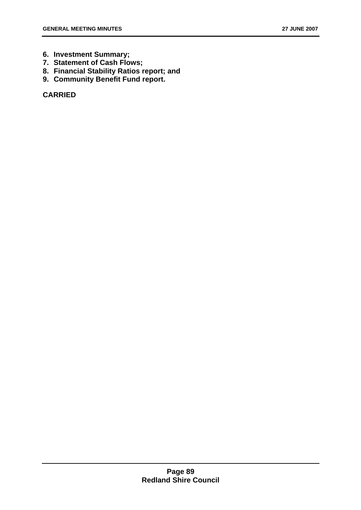- **6. Investment Summary;**
- **7. Statement of Cash Flows;**
- **8. Financial Stability Ratios report; and**
- **9. Community Benefit Fund report.**

**CARRIED**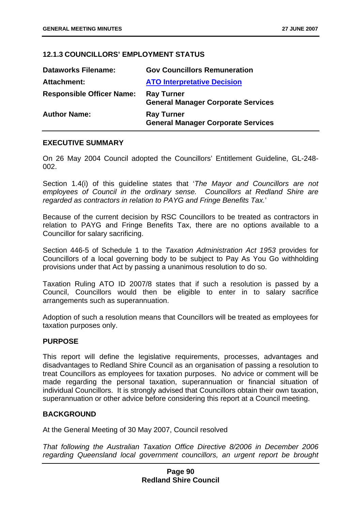# **12.1.3 COUNCILLORS' EMPLOYMENT STATUS**

| <b>Dataworks Filename:</b>       | <b>Gov Councillors Remuneration</b>                            |
|----------------------------------|----------------------------------------------------------------|
| Attachment:                      | <b>ATO Interpretative Decision</b>                             |
| <b>Responsible Officer Name:</b> | <b>Ray Turner</b><br><b>General Manager Corporate Services</b> |
| <b>Author Name:</b>              | <b>Ray Turner</b><br><b>General Manager Corporate Services</b> |

### **EXECUTIVE SUMMARY**

On 26 May 2004 Council adopted the Councillors' Entitlement Guideline, GL-248- 002.

Section 1.4(i) of this guideline states that '*The Mayor and Councillors are not employees of Council in the ordinary sense. Councillors at Redland Shire are regarded as contractors in relation to PAYG and Fringe Benefits Tax.*'

Because of the current decision by RSC Councillors to be treated as contractors in relation to PAYG and Fringe Benefits Tax, there are no options available to a Councillor for salary sacrificing.

Section 446-5 of Schedule 1 to the *Taxation Administration Act 1953* provides for Councillors of a local governing body to be subject to Pay As You Go withholding provisions under that Act by passing a unanimous resolution to do so.

Taxation Ruling ATO ID 2007/8 states that if such a resolution is passed by a Council, Councillors would then be eligible to enter in to salary sacrifice arrangements such as superannuation.

Adoption of such a resolution means that Councillors will be treated as employees for taxation purposes only.

### **PURPOSE**

This report will define the legislative requirements, processes, advantages and disadvantages to Redland Shire Council as an organisation of passing a resolution to treat Councillors as employees for taxation purposes. No advice or comment will be made regarding the personal taxation, superannuation or financial situation of individual Councillors. It is strongly advised that Councillors obtain their own taxation, superannuation or other advice before considering this report at a Council meeting.

### **BACKGROUND**

At the General Meeting of 30 May 2007, Council resolved

*That following the Australian Taxation Office Directive 8/2006 in December 2006 regarding Queensland local government councillors, an urgent report be brought*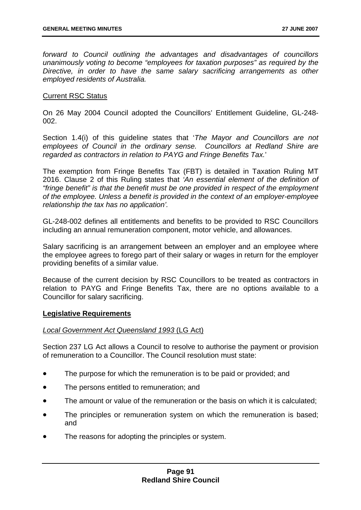*forward to Council outlining the advantages and disadvantages of councillors unanimously voting to become "employees for taxation purposes" as required by the Directive, in order to have the same salary sacrificing arrangements as other employed residents of Australia.* 

### Current RSC Status

On 26 May 2004 Council adopted the Councillors' Entitlement Guideline, GL-248- 002.

Section 1.4(i) of this guideline states that '*The Mayor and Councillors are not employees of Council in the ordinary sense. Councillors at Redland Shire are regarded as contractors in relation to PAYG and Fringe Benefits Tax.*'

The exemption from Fringe Benefits Tax (FBT) is detailed in Taxation Ruling MT 2016. Clause 2 of this Ruling states that *'An essential element of the definition of "fringe benefit" is that the benefit must be one provided in respect of the employment of the employee. Unless a benefit is provided in the context of an employer-employee relationship the tax has no application'.* 

GL-248-002 defines all entitlements and benefits to be provided to RSC Councillors including an annual remuneration component, motor vehicle, and allowances.

Salary sacrificing is an arrangement between an employer and an employee where the employee agrees to forego part of their salary or wages in return for the employer providing benefits of a similar value.

Because of the current decision by RSC Councillors to be treated as contractors in relation to PAYG and Fringe Benefits Tax, there are no options available to a Councillor for salary sacrificing.

### **Legislative Requirements**

### *Local Government Act Queensland 1993* (LG Act)

Section 237 LG Act allows a Council to resolve to authorise the payment or provision of remuneration to a Councillor. The Council resolution must state:

- The purpose for which the remuneration is to be paid or provided; and
- The persons entitled to remuneration; and
- The amount or value of the remuneration or the basis on which it is calculated;
- The principles or remuneration system on which the remuneration is based; and
- The reasons for adopting the principles or system.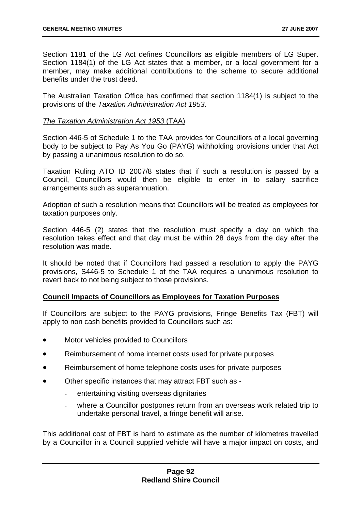Section 1181 of the LG Act defines Councillors as eligible members of LG Super. Section 1184(1) of the LG Act states that a member, or a local government for a member, may make additional contributions to the scheme to secure additional benefits under the trust deed.

The Australian Taxation Office has confirmed that section 1184(1) is subject to the provisions of the *Taxation Administration Act 1953*.

### *The Taxation Administration Act 1953* (TAA)

Section 446-5 of Schedule 1 to the TAA provides for Councillors of a local governing body to be subject to Pay As You Go (PAYG) withholding provisions under that Act by passing a unanimous resolution to do so.

Taxation Ruling ATO ID 2007/8 states that if such a resolution is passed by a Council, Councillors would then be eligible to enter in to salary sacrifice arrangements such as superannuation.

Adoption of such a resolution means that Councillors will be treated as employees for taxation purposes only.

Section 446-5 (2) states that the resolution must specify a day on which the resolution takes effect and that day must be within 28 days from the day after the resolution was made.

It should be noted that if Councillors had passed a resolution to apply the PAYG provisions, S446-5 to Schedule 1 of the TAA requires a unanimous resolution to revert back to not being subject to those provisions.

### **Council Impacts of Councillors as Employees for Taxation Purposes**

If Councillors are subject to the PAYG provisions, Fringe Benefits Tax (FBT) will apply to non cash benefits provided to Councillors such as:

- Motor vehicles provided to Councillors
- Reimbursement of home internet costs used for private purposes
- Reimbursement of home telephone costs uses for private purposes
- Other specific instances that may attract FBT such as
	- *-* entertaining visiting overseas dignitaries
	- *-* where a Councillor postpones return from an overseas work related trip to undertake personal travel, a fringe benefit will arise.

This additional cost of FBT is hard to estimate as the number of kilometres travelled by a Councillor in a Council supplied vehicle will have a major impact on costs, and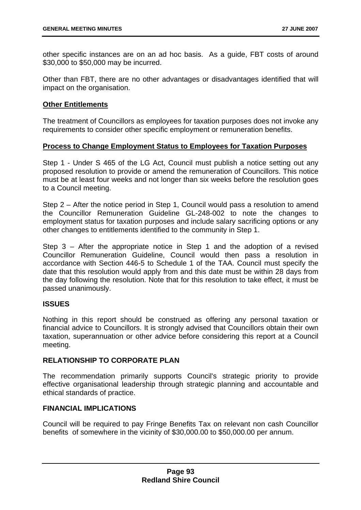other specific instances are on an ad hoc basis. As a guide, FBT costs of around \$30,000 to \$50,000 may be incurred.

Other than FBT, there are no other advantages or disadvantages identified that will impact on the organisation.

### **Other Entitlements**

The treatment of Councillors as employees for taxation purposes does not invoke any requirements to consider other specific employment or remuneration benefits.

# **Process to Change Employment Status to Employees for Taxation Purposes**

Step 1 - Under S 465 of the LG Act, Council must publish a notice setting out any proposed resolution to provide or amend the remuneration of Councillors. This notice must be at least four weeks and not longer than six weeks before the resolution goes to a Council meeting.

Step 2 – After the notice period in Step 1, Council would pass a resolution to amend the Councillor Remuneration Guideline GL-248-002 to note the changes to employment status for taxation purposes and include salary sacrificing options or any other changes to entitlements identified to the community in Step 1.

Step 3 – After the appropriate notice in Step 1 and the adoption of a revised Councillor Remuneration Guideline, Council would then pass a resolution in accordance with Section 446-5 to Schedule 1 of the TAA. Council must specify the date that this resolution would apply from and this date must be within 28 days from the day following the resolution. Note that for this resolution to take effect, it must be passed unanimously.

# **ISSUES**

Nothing in this report should be construed as offering any personal taxation or financial advice to Councillors. It is strongly advised that Councillors obtain their own taxation, superannuation or other advice before considering this report at a Council meeting.

### **RELATIONSHIP TO CORPORATE PLAN**

The recommendation primarily supports Council's strategic priority to provide effective organisational leadership through strategic planning and accountable and ethical standards of practice.

### **FINANCIAL IMPLICATIONS**

Council will be required to pay Fringe Benefits Tax on relevant non cash Councillor benefits of somewhere in the vicinity of \$30,000.00 to \$50,000.00 per annum.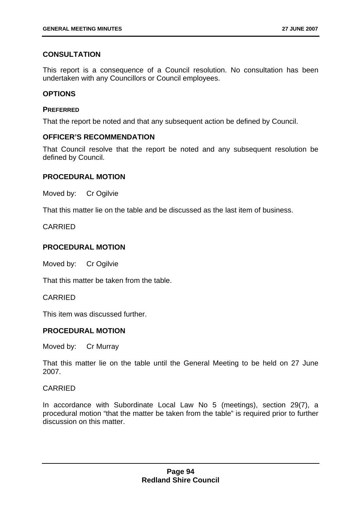# **CONSULTATION**

This report is a consequence of a Council resolution. No consultation has been undertaken with any Councillors or Council employees.

### **OPTIONS**

### **PREFERRED**

That the report be noted and that any subsequent action be defined by Council.

# **OFFICER'S RECOMMENDATION**

That Council resolve that the report be noted and any subsequent resolution be defined by Council.

# **PROCEDURAL MOTION**

Moved by: Cr Ogilvie

That this matter lie on the table and be discussed as the last item of business.

CARRIED

# **PROCEDURAL MOTION**

Moved by: Cr Ogilvie

That this matter be taken from the table.

CARRIED

This item was discussed further.

### **PROCEDURAL MOTION**

Moved by: Cr Murray

That this matter lie on the table until the General Meeting to be held on 27 June 2007.

### CARRIED

In accordance with Subordinate Local Law No 5 (meetings), section 29(7), a procedural motion "that the matter be taken from the table" is required prior to further discussion on this matter.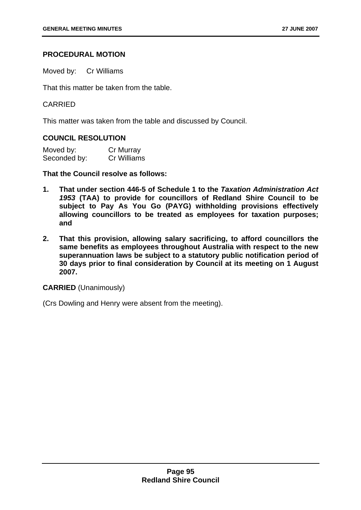### **PROCEDURAL MOTION**

Moved by: Cr Williams

That this matter be taken from the table.

### CARRIED

This matter was taken from the table and discussed by Council.

#### **COUNCIL RESOLUTION**

| Moved by:    | Cr Murray   |
|--------------|-------------|
| Seconded by: | Cr Williams |

**That the Council resolve as follows:** 

- **1. That under section 446-5 of Schedule 1 to the** *Taxation Administration Act 1953* **(TAA) to provide for councillors of Redland Shire Council to be subject to Pay As You Go (PAYG) withholding provisions effectively allowing councillors to be treated as employees for taxation purposes; and**
- **2. That this provision, allowing salary sacrificing, to afford councillors the same benefits as employees throughout Australia with respect to the new superannuation laws be subject to a statutory public notification period of 30 days prior to final consideration by Council at its meeting on 1 August 2007.**

**CARRIED** (Unanimously)

(Crs Dowling and Henry were absent from the meeting).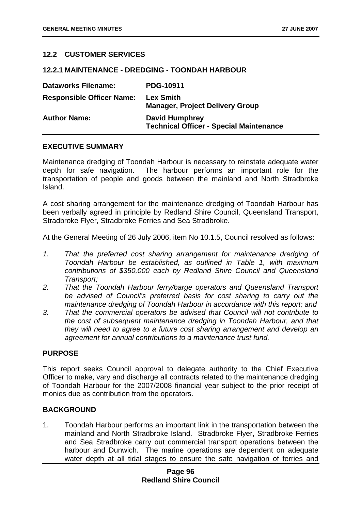# **12.2 CUSTOMER SERVICES**

#### **12.2.1 MAINTENANCE - DREDGING - TOONDAH HARBOUR**

| <b>Dataworks Filename:</b>       | <b>PDG-10911</b>                                                        |
|----------------------------------|-------------------------------------------------------------------------|
| <b>Responsible Officer Name:</b> | <b>Lex Smith</b><br><b>Manager, Project Delivery Group</b>              |
| <b>Author Name:</b>              | <b>David Humphrey</b><br><b>Technical Officer - Special Maintenance</b> |

### **EXECUTIVE SUMMARY**

Maintenance dredging of Toondah Harbour is necessary to reinstate adequate water depth for safe navigation. The harbour performs an important role for the transportation of people and goods between the mainland and North Stradbroke Island.

A cost sharing arrangement for the maintenance dredging of Toondah Harbour has been verbally agreed in principle by Redland Shire Council, Queensland Transport, Stradbroke Flyer, Stradbroke Ferries and Sea Stradbroke.

At the General Meeting of 26 July 2006, item No 10.1.5, Council resolved as follows:

- *1. That the preferred cost sharing arrangement for maintenance dredging of Toondah Harbour be established, as outlined in Table 1, with maximum contributions of \$350,000 each by Redland Shire Council and Queensland Transport;*
- *2. That the Toondah Harbour ferry/barge operators and Queensland Transport*  be advised of Council's preferred basis for cost sharing to carry out the *maintenance dredging of Toondah Harbour in accordance with this report; and*
- *3. That the commercial operators be advised that Council will not contribute to the cost of subsequent maintenance dredging in Toondah Harbour, and that they will need to agree to a future cost sharing arrangement and develop an agreement for annual contributions to a maintenance trust fund.*

### **PURPOSE**

This report seeks Council approval to delegate authority to the Chief Executive Officer to make, vary and discharge all contracts related to the maintenance dredging of Toondah Harbour for the 2007/2008 financial year subject to the prior receipt of monies due as contribution from the operators.

### **BACKGROUND**

1. Toondah Harbour performs an important link in the transportation between the mainland and North Stradbroke Island. Stradbroke Flyer, Stradbroke Ferries and Sea Stradbroke carry out commercial transport operations between the harbour and Dunwich. The marine operations are dependent on adequate water depth at all tidal stages to ensure the safe navigation of ferries and

# **Page 96 Redland Shire Council**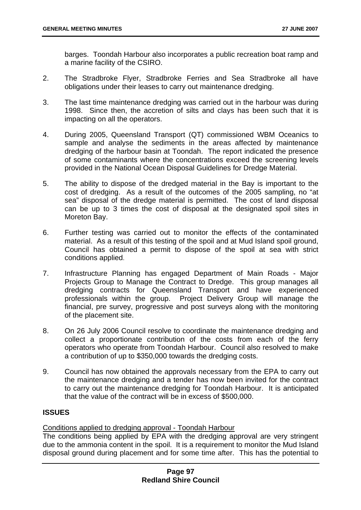barges. Toondah Harbour also incorporates a public recreation boat ramp and a marine facility of the CSIRO.

- 2. The Stradbroke Flyer, Stradbroke Ferries and Sea Stradbroke all have obligations under their leases to carry out maintenance dredging.
- 3. The last time maintenance dredging was carried out in the harbour was during 1998. Since then, the accretion of silts and clays has been such that it is impacting on all the operators.
- 4. During 2005, Queensland Transport (QT) commissioned WBM Oceanics to sample and analyse the sediments in the areas affected by maintenance dredging of the harbour basin at Toondah. The report indicated the presence of some contaminants where the concentrations exceed the screening levels provided in the National Ocean Disposal Guidelines for Dredge Material.
- 5. The ability to dispose of the dredged material in the Bay is important to the cost of dredging. As a result of the outcomes of the 2005 sampling, no "at sea" disposal of the dredge material is permitted. The cost of land disposal can be up to 3 times the cost of disposal at the designated spoil sites in Moreton Bay.
- 6. Further testing was carried out to monitor the effects of the contaminated material. As a result of this testing of the spoil and at Mud Island spoil ground, Council has obtained a permit to dispose of the spoil at sea with strict conditions applied.
- 7. Infrastructure Planning has engaged Department of Main Roads Major Projects Group to Manage the Contract to Dredge. This group manages all dredging contracts for Queensland Transport and have experienced professionals within the group. Project Delivery Group will manage the financial, pre survey, progressive and post surveys along with the monitoring of the placement site.
- 8. On 26 July 2006 Council resolve to coordinate the maintenance dredging and collect a proportionate contribution of the costs from each of the ferry operators who operate from Toondah Harbour. Council also resolved to make a contribution of up to \$350,000 towards the dredging costs.
- 9. Council has now obtained the approvals necessary from the EPA to carry out the maintenance dredging and a tender has now been invited for the contract to carry out the maintenance dredging for Toondah Harbour. It is anticipated that the value of the contract will be in excess of \$500,000.

# **ISSUES**

# Conditions applied to dredging approval - Toondah Harbour

The conditions being applied by EPA with the dredging approval are very stringent due to the ammonia content in the spoil. It is a requirement to monitor the Mud Island disposal ground during placement and for some time after. This has the potential to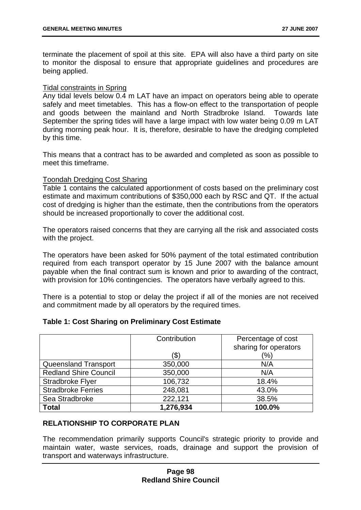terminate the placement of spoil at this site. EPA will also have a third party on site to monitor the disposal to ensure that appropriate guidelines and procedures are being applied.

#### Tidal constraints in Spring

Any tidal levels below 0.4 m LAT have an impact on operators being able to operate safely and meet timetables. This has a flow-on effect to the transportation of people and goods between the mainland and North Stradbroke Island. Towards late September the spring tides will have a large impact with low water being 0.09 m LAT during morning peak hour. It is, therefore, desirable to have the dredging completed by this time.

This means that a contract has to be awarded and completed as soon as possible to meet this timeframe.

#### Toondah Dredging Cost Sharing

Table 1 contains the calculated apportionment of costs based on the preliminary cost estimate and maximum contributions of \$350,000 each by RSC and QT. If the actual cost of dredging is higher than the estimate, then the contributions from the operators should be increased proportionally to cover the additional cost.

The operators raised concerns that they are carrying all the risk and associated costs with the project.

The operators have been asked for 50% payment of the total estimated contribution required from each transport operator by 15 June 2007 with the balance amount payable when the final contract sum is known and prior to awarding of the contract, with provision for 10% contingencies. The operators have verbally agreed to this.

There is a potential to stop or delay the project if all of the monies are not received and commitment made by all operators by the required times.

|  |  |  |  | <b>Table 1: Cost Sharing on Preliminary Cost Estimate</b> |
|--|--|--|--|-----------------------------------------------------------|
|--|--|--|--|-----------------------------------------------------------|

|                              | Contribution | Percentage of cost<br>sharing for operators |
|------------------------------|--------------|---------------------------------------------|
|                              | ΄\$          | (%)                                         |
| Queensland Transport         | 350,000      | N/A                                         |
| <b>Redland Shire Council</b> | 350,000      | N/A                                         |
| Stradbroke Flyer             | 106,732      | 18.4%                                       |
| <b>Stradbroke Ferries</b>    | 248,081      | 43.0%                                       |
| Sea Stradbroke               | 222,121      | 38.5%                                       |
| <b>Total</b>                 | 1,276,934    | 100.0%                                      |

# **RELATIONSHIP TO CORPORATE PLAN**

The recommendation primarily supports Council's strategic priority to provide and maintain water, waste services, roads, drainage and support the provision of transport and waterways infrastructure.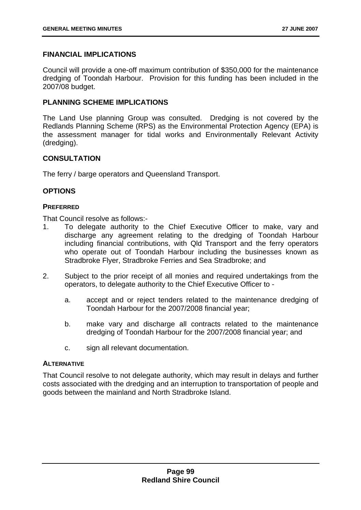# **FINANCIAL IMPLICATIONS**

Council will provide a one-off maximum contribution of \$350,000 for the maintenance dredging of Toondah Harbour. Provision for this funding has been included in the 2007/08 budget.

# **PLANNING SCHEME IMPLICATIONS**

The Land Use planning Group was consulted. Dredging is not covered by the Redlands Planning Scheme (RPS) as the Environmental Protection Agency (EPA) is the assessment manager for tidal works and Environmentally Relevant Activity (dredging).

# **CONSULTATION**

The ferry / barge operators and Queensland Transport.

### **OPTIONS**

### **PREFERRED**

That Council resolve as follows:-

- 1. To delegate authority to the Chief Executive Officer to make, vary and discharge any agreement relating to the dredging of Toondah Harbour including financial contributions, with Qld Transport and the ferry operators who operate out of Toondah Harbour including the businesses known as Stradbroke Flyer, Stradbroke Ferries and Sea Stradbroke; and
- 2. Subject to the prior receipt of all monies and required undertakings from the operators, to delegate authority to the Chief Executive Officer to
	- a. accept and or reject tenders related to the maintenance dredging of Toondah Harbour for the 2007/2008 financial year;
	- b. make vary and discharge all contracts related to the maintenance dredging of Toondah Harbour for the 2007/2008 financial year; and
	- c. sign all relevant documentation.

### **ALTERNATIVE**

That Council resolve to not delegate authority, which may result in delays and further costs associated with the dredging and an interruption to transportation of people and goods between the mainland and North Stradbroke Island.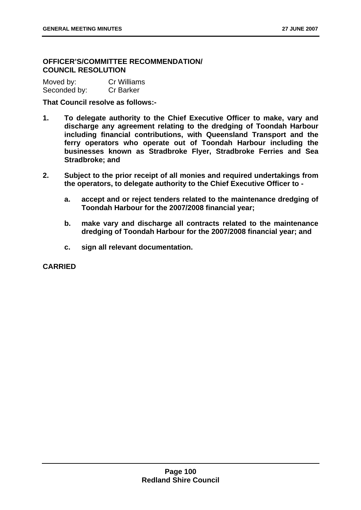# **OFFICER'S/COMMITTEE RECOMMENDATION/ COUNCIL RESOLUTION**

| Moved by:    | <b>Cr Williams</b> |
|--------------|--------------------|
| Seconded by: | <b>Cr Barker</b>   |

**That Council resolve as follows:-** 

- **1. To delegate authority to the Chief Executive Officer to make, vary and discharge any agreement relating to the dredging of Toondah Harbour including financial contributions, with Queensland Transport and the ferry operators who operate out of Toondah Harbour including the businesses known as Stradbroke Flyer, Stradbroke Ferries and Sea Stradbroke; and**
- **2. Subject to the prior receipt of all monies and required undertakings from the operators, to delegate authority to the Chief Executive Officer to** 
	- **a. accept and or reject tenders related to the maintenance dredging of Toondah Harbour for the 2007/2008 financial year;**
	- **b. make vary and discharge all contracts related to the maintenance dredging of Toondah Harbour for the 2007/2008 financial year; and**
	- **c. sign all relevant documentation.**

**CARRIED**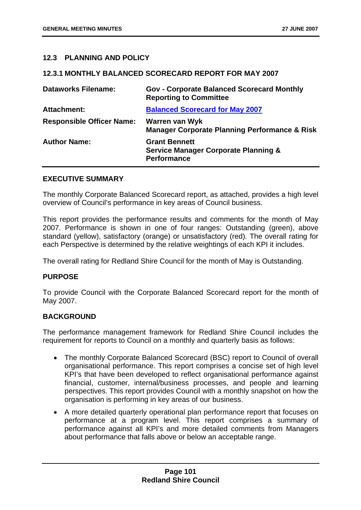### **12.3 PLANNING AND POLICY**

### **12.3.1 MONTHLY BALANCED SCORECARD REPORT FOR MAY 2007**

| <b>Dataworks Filename:</b>       | <b>Gov - Corporate Balanced Scorecard Monthly</b><br><b>Reporting to Committee</b>            |
|----------------------------------|-----------------------------------------------------------------------------------------------|
| <b>Attachment:</b>               | <b>Balanced Scorecard for May 2007</b>                                                        |
| <b>Responsible Officer Name:</b> | Warren van Wyk<br><b>Manager Corporate Planning Performance &amp; Risk</b>                    |
| <b>Author Name:</b>              | <b>Grant Bennett</b><br><b>Service Manager Corporate Planning &amp;</b><br><b>Performance</b> |

### **EXECUTIVE SUMMARY**

The monthly Corporate Balanced Scorecard report, as attached, provides a high level overview of Council's performance in key areas of Council business.

This report provides the performance results and comments for the month of May 2007. Performance is shown in one of four ranges: Outstanding (green), above standard (yellow), satisfactory (orange) or unsatisfactory (red). The overall rating for each Perspective is determined by the relative weightings of each KPI it includes.

The overall rating for Redland Shire Council for the month of May is Outstanding.

### **PURPOSE**

To provide Council with the Corporate Balanced Scorecard report for the month of May 2007.

### **BACKGROUND**

The performance management framework for Redland Shire Council includes the requirement for reports to Council on a monthly and quarterly basis as follows:

- The monthly Corporate Balanced Scorecard (BSC) report to Council of overall organisational performance. This report comprises a concise set of high level KPI's that have been developed to reflect organisational performance against financial, customer, internal/business processes, and people and learning perspectives. This report provides Council with a monthly snapshot on how the organisation is performing in key areas of our business.
- A more detailed quarterly operational plan performance report that focuses on performance at a program level. This report comprises a summary of performance against all KPI's and more detailed comments from Managers about performance that falls above or below an acceptable range.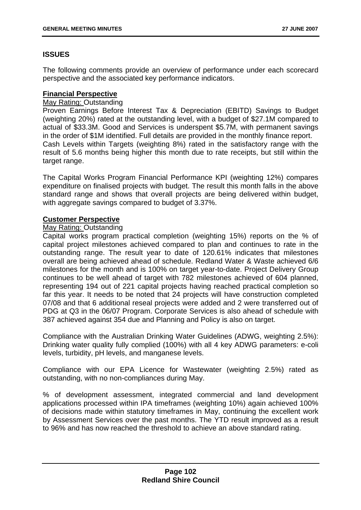# **ISSUES**

The following comments provide an overview of performance under each scorecard perspective and the associated key performance indicators.

# **Financial Perspective**

# May Rating: Outstanding

Proven Earnings Before Interest Tax & Depreciation (EBITD) Savings to Budget (weighting 20%) rated at the outstanding level, with a budget of \$27.1M compared to actual of \$33.3M. Good and Services is underspent \$5.7M, with permanent savings in the order of \$1M identified. Full details are provided in the monthly finance report. Cash Levels within Targets (weighting 8%) rated in the satisfactory range with the result of 5.6 months being higher this month due to rate receipts, but still within the target range.

The Capital Works Program Financial Performance KPI (weighting 12%) compares expenditure on finalised projects with budget. The result this month falls in the above standard range and shows that overall projects are being delivered within budget, with aggregate savings compared to budget of 3.37%.

# **Customer Perspective**

# May Rating: Outstanding

Capital works program practical completion (weighting 15%) reports on the % of capital project milestones achieved compared to plan and continues to rate in the outstanding range. The result year to date of 120.61% indicates that milestones overall are being achieved ahead of schedule. Redland Water & Waste achieved 6/6 milestones for the month and is 100% on target year-to-date. Project Delivery Group continues to be well ahead of target with 782 milestones achieved of 604 planned, representing 194 out of 221 capital projects having reached practical completion so far this year. It needs to be noted that 24 projects will have construction completed 07/08 and that 6 additional reseal projects were added and 2 were transferred out of PDG at Q3 in the 06/07 Program. Corporate Services is also ahead of schedule with 387 achieved against 354 due and Planning and Policy is also on target.

Compliance with the Australian Drinking Water Guidelines (ADWG, weighting 2.5%): Drinking water quality fully complied (100%) with all 4 key ADWG parameters: e-coli levels, turbidity, pH levels, and manganese levels.

Compliance with our EPA Licence for Wastewater (weighting 2.5%) rated as outstanding, with no non-compliances during May.

% of development assessment, integrated commercial and land development applications processed within IPA timeframes (weighting 10%) again achieved 100% of decisions made within statutory timeframes in May, continuing the excellent work by Assessment Services over the past months. The YTD result improved as a result to 96% and has now reached the threshold to achieve an above standard rating.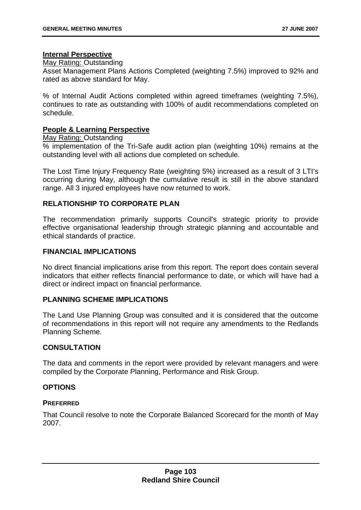### **Internal Perspective**

### May Rating: Outstanding

Asset Management Plans Actions Completed (weighting 7.5%) improved to 92% and rated as above standard for May.

% of Internal Audit Actions completed within agreed timeframes (weighting 7.5%), continues to rate as outstanding with 100% of audit recommendations completed on schedule.

# **People & Learning Perspective**

#### May Rating: Outstanding

% implementation of the Tri-Safe audit action plan (weighting 10%) remains at the outstanding level with all actions due completed on schedule.

The Lost Time Injury Frequency Rate (weighting 5%) increased as a result of 3 LTI's occurring during May, although the cumulative result is still in the above standard range. All 3 injured employees have now returned to work.

# **RELATIONSHIP TO CORPORATE PLAN**

The recommendation primarily supports Council's strategic priority to provide effective organisational leadership through strategic planning and accountable and ethical standards of practice.

### **FINANCIAL IMPLICATIONS**

No direct financial implications arise from this report. The report does contain several indicators that either reflects financial performance to date, or which will have had a direct or indirect impact on financial performance.

### **PLANNING SCHEME IMPLICATIONS**

The Land Use Planning Group was consulted and it is considered that the outcome of recommendations in this report will not require any amendments to the Redlands Planning Scheme.

### **CONSULTATION**

The data and comments in the report were provided by relevant managers and were compiled by the Corporate Planning, Performance and Risk Group.

### **OPTIONS**

### **PREFERRED**

That Council resolve to note the Corporate Balanced Scorecard for the month of May 2007.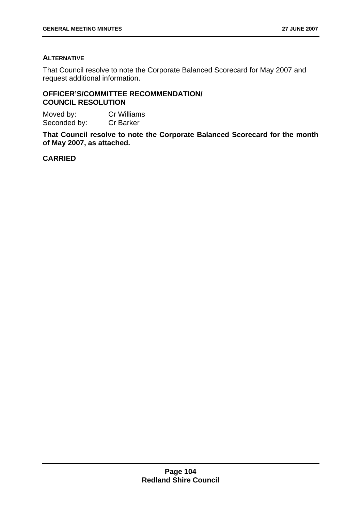# **ALTERNATIVE**

That Council resolve to note the Corporate Balanced Scorecard for May 2007 and request additional information.

# **OFFICER'S/COMMITTEE RECOMMENDATION/ COUNCIL RESOLUTION**

Moved by: Cr Williams Seconded by: Cr Barker

**That Council resolve to note the Corporate Balanced Scorecard for the month of May 2007, as attached.** 

# **CARRIED**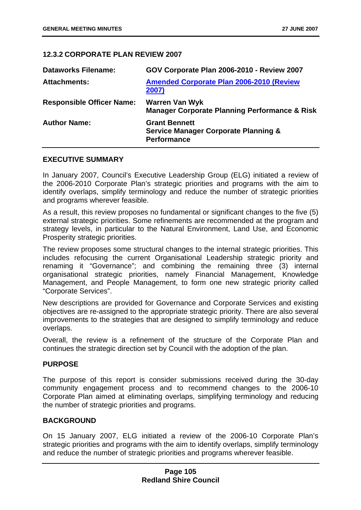# **12.3.2 CORPORATE PLAN REVIEW 2007**

| <b>Dataworks Filename:</b>       | GOV Corporate Plan 2006-2010 - Review 2007                                                    |
|----------------------------------|-----------------------------------------------------------------------------------------------|
| <b>Attachments:</b>              | <b>Amended Corporate Plan 2006-2010 (Review</b><br>2007)                                      |
| <b>Responsible Officer Name:</b> | <b>Warren Van Wyk</b><br><b>Manager Corporate Planning Performance &amp; Risk</b>             |
| <b>Author Name:</b>              | <b>Grant Bennett</b><br><b>Service Manager Corporate Planning &amp;</b><br><b>Performance</b> |

### **EXECUTIVE SUMMARY**

In January 2007, Council's Executive Leadership Group (ELG) initiated a review of the 2006-2010 Corporate Plan's strategic priorities and programs with the aim to identify overlaps, simplify terminology and reduce the number of strategic priorities and programs wherever feasible.

As a result, this review proposes no fundamental or significant changes to the five (5) external strategic priorities. Some refinements are recommended at the program and strategy levels, in particular to the Natural Environment, Land Use, and Economic Prosperity strategic priorities.

The review proposes some structural changes to the internal strategic priorities. This includes refocusing the current Organisational Leadership strategic priority and renaming it "Governance"; and combining the remaining three (3) internal organisational strategic priorities, namely Financial Management, Knowledge Management, and People Management, to form one new strategic priority called "Corporate Services".

New descriptions are provided for Governance and Corporate Services and existing objectives are re-assigned to the appropriate strategic priority. There are also several improvements to the strategies that are designed to simplify terminology and reduce overlaps.

Overall, the review is a refinement of the structure of the Corporate Plan and continues the strategic direction set by Council with the adoption of the plan.

### **PURPOSE**

The purpose of this report is consider submissions received during the 30-day community engagement process and to recommend changes to the 2006-10 Corporate Plan aimed at eliminating overlaps, simplifying terminology and reducing the number of strategic priorities and programs.

### **BACKGROUND**

On 15 January 2007, ELG initiated a review of the 2006-10 Corporate Plan's strategic priorities and programs with the aim to identify overlaps, simplify terminology and reduce the number of strategic priorities and programs wherever feasible.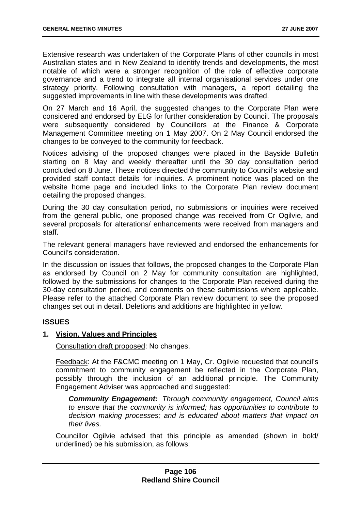Extensive research was undertaken of the Corporate Plans of other councils in most Australian states and in New Zealand to identify trends and developments, the most notable of which were a stronger recognition of the role of effective corporate governance and a trend to integrate all internal organisational services under one strategy priority. Following consultation with managers, a report detailing the suggested improvements in line with these developments was drafted.

On 27 March and 16 April, the suggested changes to the Corporate Plan were considered and endorsed by ELG for further consideration by Council. The proposals were subsequently considered by Councillors at the Finance & Corporate Management Committee meeting on 1 May 2007. On 2 May Council endorsed the changes to be conveyed to the community for feedback.

Notices advising of the proposed changes were placed in the Bayside Bulletin starting on 8 May and weekly thereafter until the 30 day consultation period concluded on 8 June. These notices directed the community to Council's website and provided staff contact details for inquiries. A prominent notice was placed on the website home page and included links to the Corporate Plan review document detailing the proposed changes.

During the 30 day consultation period, no submissions or inquiries were received from the general public, one proposed change was received from Cr Ogilvie, and several proposals for alterations/ enhancements were received from managers and staff.

The relevant general managers have reviewed and endorsed the enhancements for Council's consideration.

In the discussion on issues that follows, the proposed changes to the Corporate Plan as endorsed by Council on 2 May for community consultation are highlighted, followed by the submissions for changes to the Corporate Plan received during the 30-day consultation period, and comments on these submissions where applicable. Please refer to the attached Corporate Plan review document to see the proposed changes set out in detail. Deletions and additions are highlighted in yellow.

# **ISSUES**

# **1. Vision, Values and Principles**

Consultation draft proposed: No changes.

Feedback: At the F&CMC meeting on 1 May, Cr. Ogilvie requested that council's commitment to community engagement be reflected in the Corporate Plan, possibly through the inclusion of an additional principle. The Community Engagement Adviser was approached and suggested:

*Community Engagement: Through community engagement, Council aims to ensure that the community is informed; has opportunities to contribute to decision making processes; and is educated about matters that impact on their lives.* 

Councillor Ogilvie advised that this principle as amended (shown in bold/ underlined) be his submission, as follows: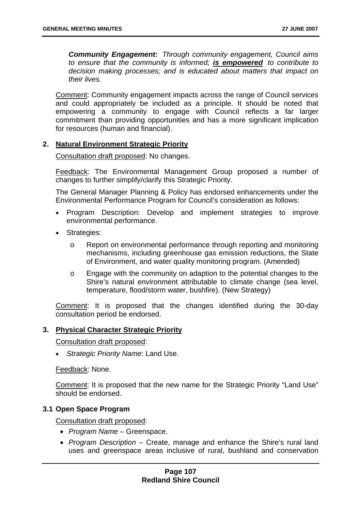*Community Engagement: Through community engagement, Council aims to ensure that the community is informed; is empowered to contribute to decision making processes; and is educated about matters that impact on their lives.*

Comment: Community engagement impacts across the range of Council services and could appropriately be included as a principle. It should be noted that empowering a community to engage with Council reflects a far larger commitment than providing opportunities and has a more significant implication for resources (human and financial).

# **2. Natural Environment Strategic Priority**

Consultation draft proposed: No changes.

Feedback: The Environmental Management Group proposed a number of changes to further simplify/clarify this Strategic Priority.

The General Manager Planning & Policy has endorsed enhancements under the Environmental Performance Program for Council's consideration as follows:

- Program Description: Develop and implement strategies to improve environmental performance.
- Strategies:
	- o Report on environmental performance through reporting and monitoring mechanisms, including greenhouse gas emission reductions, the State of Environment, and water quality monitoring program. (Amended)
	- o Engage with the community on adaption to the potential changes to the Shire's natural environment attributable to climate change (sea level, temperature, flood/storm water, bushfire). (New Strategy)

Comment: It is proposed that the changes identified during the 30-day consultation period be endorsed.

#### **3. Physical Character Strategic Priority**

Consultation draft proposed:

• *Strategic Priority Name*: Land Use.

Feedback: None.

Comment: It is proposed that the new name for the Strategic Priority "Land Use" should be endorsed.

### **3.1 Open Space Program**

Consultation draft proposed:

- *Program Name* Greenspace.
- *Program Description* Create, manage and enhance the Shire's rural land uses and greenspace areas inclusive of rural, bushland and conservation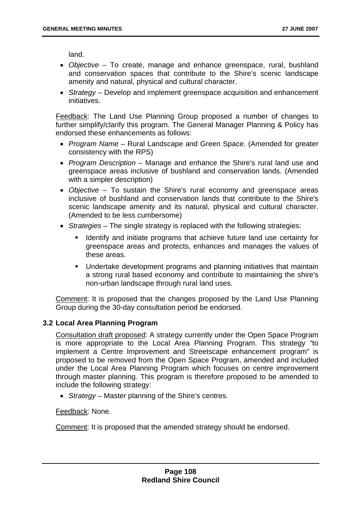land.

- *Objective*  To create, manage and enhance greenspace, rural, bushland and conservation spaces that contribute to the Shire's scenic landscape amenity and natural, physical and cultural character.
- *Strategy* Develop and implement greenspace acquisition and enhancement initiatives.

Feedback: The Land Use Planning Group proposed a number of changes to further simplify/clarify this program. The General Manager Planning & Policy has endorsed these enhancements as follows:

- *Program Name*  Rural Landscape and Green Space. (Amended for greater consistency with the RPS)
- *Program Description* Manage and enhance the Shire's rural land use and greenspace areas inclusive of bushland and conservation lands. (Amended with a simpler description)
- *Objective*  To sustain the Shire's rural economy and greenspace areas inclusive of bushland and conservation lands that contribute to the Shire's scenic landscape amenity and its natural, physical and cultural character. (Amended to be less cumbersome)
- *Strategies* The single strategy is replaced with the following strategies:
	- Identify and initiate programs that achieve future land use certainty for greenspace areas and protects, enhances and manages the values of these areas.
	- Undertake development programs and planning initiatives that maintain a strong rural based economy and contribute to maintaining the shire's non-urban landscape through rural land uses.

Comment: It is proposed that the changes proposed by the Land Use Planning Group during the 30-day consultation period be endorsed.

### **3.2 Local Area Planning Program**

Consultation draft proposed: A strategy currently under the Open Space Program is more appropriate to the Local Area Planning Program. This strategy "to implement a Centre Improvement and Streetscape enhancement program" is proposed to be removed from the Open Space Program, amended and included under the Local Area Planning Program which focuses on centre improvement through master planning. This program is therefore proposed to be amended to include the following strategy:

• *Strategy* – Master planning of the Shire's centres.

Feedback: None.

Comment: It is proposed that the amended strategy should be endorsed.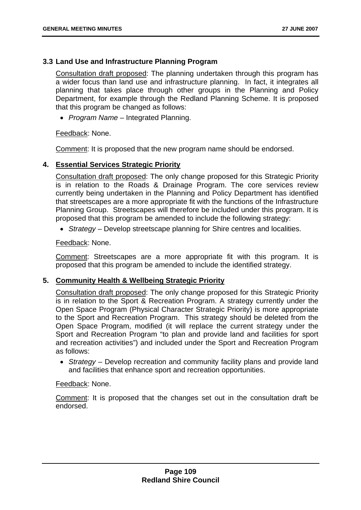### **3.3 Land Use and Infrastructure Planning Program**

Consultation draft proposed: The planning undertaken through this program has a wider focus than land use and infrastructure planning. In fact, it integrates all planning that takes place through other groups in the Planning and Policy Department, for example through the Redland Planning Scheme. It is proposed that this program be changed as follows:

• *Program Name* – Integrated Planning.

Feedback: None.

Comment: It is proposed that the new program name should be endorsed.

### **4. Essential Services Strategic Priority**

Consultation draft proposed: The only change proposed for this Strategic Priority is in relation to the Roads & Drainage Program. The core services review currently being undertaken in the Planning and Policy Department has identified that streetscapes are a more appropriate fit with the functions of the Infrastructure Planning Group. Streetscapes will therefore be included under this program. It is proposed that this program be amended to include the following strategy:

• *Strategy* – Develop streetscape planning for Shire centres and localities.

Feedback: None.

Comment: Streetscapes are a more appropriate fit with this program. It is proposed that this program be amended to include the identified strategy.

#### **5. Community Health & Wellbeing Strategic Priority**

Consultation draft proposed: The only change proposed for this Strategic Priority is in relation to the Sport & Recreation Program. A strategy currently under the Open Space Program (Physical Character Strategic Priority) is more appropriate to the Sport and Recreation Program. This strategy should be deleted from the Open Space Program, modified (it will replace the current strategy under the Sport and Recreation Program "to plan and provide land and facilities for sport and recreation activities") and included under the Sport and Recreation Program as follows:

• *Strategy* – Develop recreation and community facility plans and provide land and facilities that enhance sport and recreation opportunities.

#### Feedback: None.

Comment: It is proposed that the changes set out in the consultation draft be endorsed.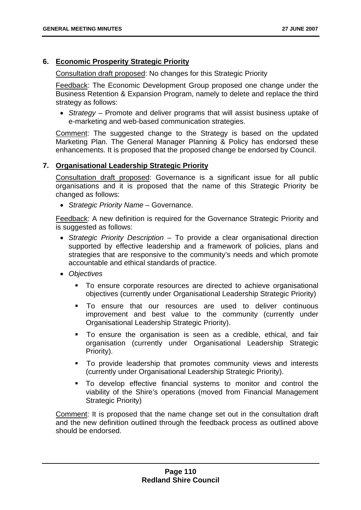### **6. Economic Prosperity Strategic Priority**

Consultation draft proposed: No changes for this Strategic Priority

Feedback: The Economic Development Group proposed one change under the Business Retention & Expansion Program, namely to delete and replace the third strategy as follows:

• *Strategy* – Promote and deliver programs that will assist business uptake of e-marketing and web-based communication strategies.

Comment: The suggested change to the Strategy is based on the updated Marketing Plan. The General Manager Planning & Policy has endorsed these enhancements. It is proposed that the proposed change be endorsed by Council.

### **7. Organisational Leadership Strategic Priority**

Consultation draft proposed: Governance is a significant issue for all public organisations and it is proposed that the name of this Strategic Priority be changed as follows:

• *Strategic Priority Name* – Governance.

Feedback: A new definition is required for the Governance Strategic Priority and is suggested as follows:

- *Strategic Priority Description* To provide a clear organisational direction supported by effective leadership and a framework of policies, plans and strategies that are responsive to the community's needs and which promote accountable and ethical standards of practice.
- *Objectives*
	- To ensure corporate resources are directed to achieve organisational objectives (currently under Organisational Leadership Strategic Priority)
	- To ensure that our resources are used to deliver continuous improvement and best value to the community (currently under Organisational Leadership Strategic Priority).
	- To ensure the organisation is seen as a credible, ethical, and fair organisation (currently under Organisational Leadership Strategic Priority).
	- To provide leadership that promotes community views and interests (currently under Organisational Leadership Strategic Priority).
	- To develop effective financial systems to monitor and control the viability of the Shire's operations (moved from Financial Management Strategic Priority)

Comment: It is proposed that the name change set out in the consultation draft and the new definition outlined through the feedback process as outlined above should be endorsed.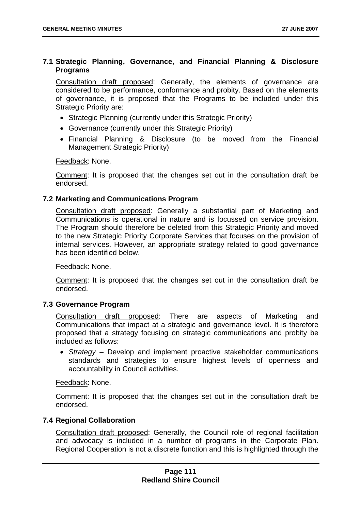### **7.1 Strategic Planning, Governance, and Financial Planning & Disclosure Programs**

Consultation draft proposed: Generally, the elements of governance are considered to be performance, conformance and probity. Based on the elements of governance, it is proposed that the Programs to be included under this Strategic Priority are:

- Strategic Planning (currently under this Strategic Priority)
- Governance (currently under this Strategic Priority)
- Financial Planning & Disclosure (to be moved from the Financial Management Strategic Priority)

Feedback: None.

Comment: It is proposed that the changes set out in the consultation draft be endorsed.

### **7.2 Marketing and Communications Program**

Consultation draft proposed: Generally a substantial part of Marketing and Communications is operational in nature and is focussed on service provision. The Program should therefore be deleted from this Strategic Priority and moved to the new Strategic Priority Corporate Services that focuses on the provision of internal services. However, an appropriate strategy related to good governance has been identified below.

Feedback: None.

Comment: It is proposed that the changes set out in the consultation draft be endorsed.

### **7.3 Governance Program**

Consultation draft proposed: There are aspects of Marketing and Communications that impact at a strategic and governance level. It is therefore proposed that a strategy focusing on strategic communications and probity be included as follows:

• *Strategy* – Develop and implement proactive stakeholder communications standards and strategies to ensure highest levels of openness and accountability in Council activities.

Feedback: None.

Comment: It is proposed that the changes set out in the consultation draft be endorsed.

### **7.4 Regional Collaboration**

Consultation draft proposed: Generally, the Council role of regional facilitation and advocacy is included in a number of programs in the Corporate Plan. Regional Cooperation is not a discrete function and this is highlighted through the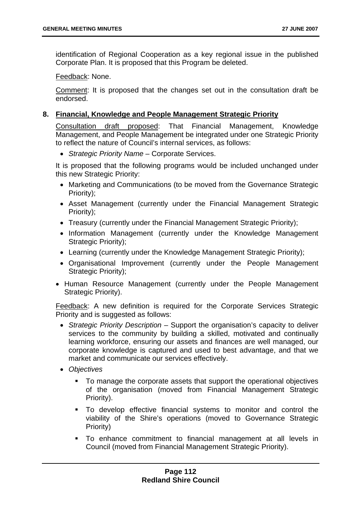identification of Regional Cooperation as a key regional issue in the published Corporate Plan. It is proposed that this Program be deleted.

Feedback: None.

Comment: It is proposed that the changes set out in the consultation draft be endorsed.

### **8. Financial, Knowledge and People Management Strategic Priority**

Consultation draft proposed: That Financial Management, Knowledge Management, and People Management be integrated under one Strategic Priority to reflect the nature of Council's internal services, as follows:

• *Strategic Priority Name* – Corporate Services.

It is proposed that the following programs would be included unchanged under this new Strategic Priority:

- Marketing and Communications (to be moved from the Governance Strategic Priority);
- Asset Management (currently under the Financial Management Strategic Priority);
- Treasury (currently under the Financial Management Strategic Priority);
- Information Management (currently under the Knowledge Management Strategic Priority);
- Learning (currently under the Knowledge Management Strategic Priority);
- Organisational Improvement (currently under the People Management Strategic Priority);
- Human Resource Management (currently under the People Management Strategic Priority).

Feedback: A new definition is required for the Corporate Services Strategic Priority and is suggested as follows:

- *Strategic Priority Description* Support the organisation's capacity to deliver services to the community by building a skilled, motivated and continually learning workforce, ensuring our assets and finances are well managed, our corporate knowledge is captured and used to best advantage, and that we market and communicate our services effectively.
- *Objectives*
	- To manage the corporate assets that support the operational objectives of the organisation (moved from Financial Management Strategic Priority).
	- To develop effective financial systems to monitor and control the viability of the Shire's operations (moved to Governance Strategic Priority)
	- To enhance commitment to financial management at all levels in Council (moved from Financial Management Strategic Priority).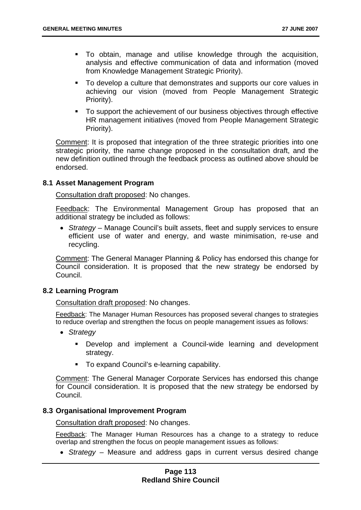- To obtain, manage and utilise knowledge through the acquisition, analysis and effective communication of data and information (moved from Knowledge Management Strategic Priority).
- To develop a culture that demonstrates and supports our core values in achieving our vision (moved from People Management Strategic Priority).
- To support the achievement of our business objectives through effective HR management initiatives (moved from People Management Strategic Priority).

Comment: It is proposed that integration of the three strategic priorities into one strategic priority, the name change proposed in the consultation draft, and the new definition outlined through the feedback process as outlined above should be endorsed.

### **8.1 Asset Management Program**

Consultation draft proposed: No changes.

Feedback: The Environmental Management Group has proposed that an additional strategy be included as follows:

• *Strategy* – Manage Council's built assets, fleet and supply services to ensure efficient use of water and energy, and waste minimisation, re-use and recycling.

Comment: The General Manager Planning & Policy has endorsed this change for Council consideration. It is proposed that the new strategy be endorsed by Council.

### **8.2 Learning Program**

Consultation draft proposed: No changes.

Feedback: The Manager Human Resources has proposed several changes to strategies to reduce overlap and strengthen the focus on people management issues as follows:

- *Strategy*
	- Develop and implement a Council-wide learning and development strategy.
	- To expand Council's e-learning capability.

Comment: The General Manager Corporate Services has endorsed this change for Council consideration. It is proposed that the new strategy be endorsed by Council.

### **8.3 Organisational Improvement Program**

Consultation draft proposed: No changes.

Feedback: The Manager Human Resources has a change to a strategy to reduce overlap and strengthen the focus on people management issues as follows:

• *Strategy* – Measure and address gaps in current versus desired change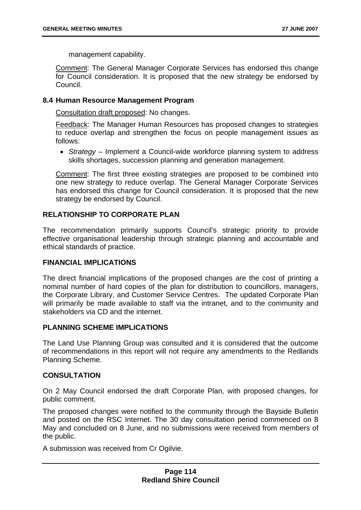management capability.

Comment: The General Manager Corporate Services has endorsed this change for Council consideration. It is proposed that the new strategy be endorsed by Council.

### **8.4 Human Resource Management Program**

Consultation draft proposed: No changes.

Feedback: The Manager Human Resources has proposed changes to strategies to reduce overlap and strengthen the focus on people management issues as follows:

• *Strategy* – Implement a Council-wide workforce planning system to address skills shortages, succession planning and generation management.

Comment: The first three existing strategies are proposed to be combined into one new strategy to reduce overlap. The General Manager Corporate Services has endorsed this change for Council consideration. It is proposed that the new strategy be endorsed by Council.

#### **RELATIONSHIP TO CORPORATE PLAN**

The recommendation primarily supports Council's strategic priority to provide effective organisational leadership through strategic planning and accountable and ethical standards of practice.

### **FINANCIAL IMPLICATIONS**

The direct financial implications of the proposed changes are the cost of printing a nominal number of hard copies of the plan for distribution to councillors, managers, the Corporate Library, and Customer Service Centres. The updated Corporate Plan will primarily be made available to staff via the intranet, and to the community and stakeholders via CD and the internet.

### **PLANNING SCHEME IMPLICATIONS**

The Land Use Planning Group was consulted and it is considered that the outcome of recommendations in this report will not require any amendments to the Redlands Planning Scheme.

### **CONSULTATION**

On 2 May Council endorsed the draft Corporate Plan, with proposed changes, for public comment.

The proposed changes were notified to the community through the Bayside Bulletin and posted on the RSC Internet. The 30 day consultation period commenced on 8 May and concluded on 8 June, and no submissions were received from members of the public.

A submission was received from Cr Ogilvie.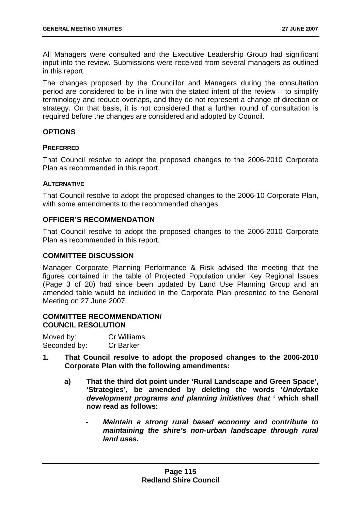All Managers were consulted and the Executive Leadership Group had significant input into the review. Submissions were received from several managers as outlined in this report.

The changes proposed by the Councillor and Managers during the consultation period are considered to be in line with the stated intent of the review – to simplify terminology and reduce overlaps, and they do not represent a change of direction or strategy. On that basis, it is not considered that a further round of consultation is required before the changes are considered and adopted by Council.

### **OPTIONS**

### **PREFERRED**

That Council resolve to adopt the proposed changes to the 2006-2010 Corporate Plan as recommended in this report.

### **ALTERNATIVE**

That Council resolve to adopt the proposed changes to the 2006-10 Corporate Plan, with some amendments to the recommended changes.

# **OFFICER'S RECOMMENDATION**

That Council resolve to adopt the proposed changes to the 2006-2010 Corporate Plan as recommended in this report.

## **COMMITTEE DISCUSSION**

Manager Corporate Planning Performance & Risk advised the meeting that the figures contained in the table of Projected Population under Key Regional Issues (Page 3 of 20) had since been updated by Land Use Planning Group and an amended table would be included in the Corporate Plan presented to the General Meeting on 27 June 2007.

### **COMMITTEE RECOMMENDATION/ COUNCIL RESOLUTION**

| Moved by:    | Cr Williams      |
|--------------|------------------|
| Seconded by: | <b>Cr Barker</b> |

- **1. That Council resolve to adopt the proposed changes to the 2006-2010 Corporate Plan with the following amendments:** 
	- **a) That the third dot point under 'Rural Landscape and Green Space', 'Strategies', be amended by deleting the words '***Undertake development programs and planning initiatives that* **' which shall now read as follows:** 
		- *Maintain a strong rural based economy and contribute to maintaining the shire's non-urban landscape through rural land uses.*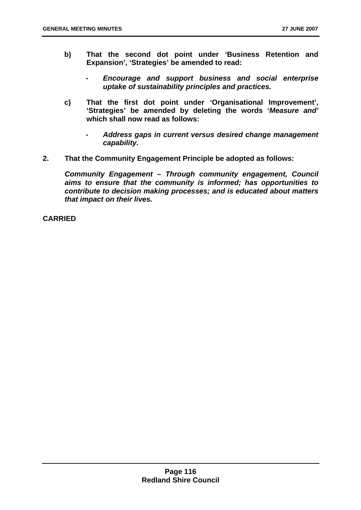- **b) That the second dot point under 'Business Retention and Expansion', 'Strategies' be amended to read:** 
	- *Encourage and support business and social enterprise uptake of sustainability principles and practices.*
- **c) That the first dot point under 'Organisational Improvement', 'Strategies' be amended by deleting the words '***Measure and'* **which shall now read as follows:** 
	- *Address gaps in current versus desired change management capability.*
- **2. That the Community Engagement Principle be adopted as follows:**

*Community Engagement – Through community engagement, Council aims to ensure that the community is informed; has opportunities to contribute to decision making processes; and is educated about matters that impact on their lives.* 

**CARRIED**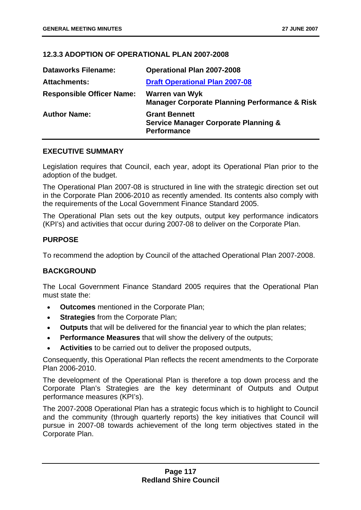### **12.3.3 ADOPTION OF OPERATIONAL PLAN 2007-2008**

| <b>Dataworks Filename:</b>       | <b>Operational Plan 2007-2008</b>                                                             |
|----------------------------------|-----------------------------------------------------------------------------------------------|
| <b>Attachments:</b>              | <b>Draft Operational Plan 2007-08</b>                                                         |
| <b>Responsible Officer Name:</b> | Warren van Wyk<br><b>Manager Corporate Planning Performance &amp; Risk</b>                    |
| <b>Author Name:</b>              | <b>Grant Bennett</b><br><b>Service Manager Corporate Planning &amp;</b><br><b>Performance</b> |

### **EXECUTIVE SUMMARY**

Legislation requires that Council, each year, adopt its Operational Plan prior to the adoption of the budget.

The Operational Plan 2007-08 is structured in line with the strategic direction set out in the Corporate Plan 2006-2010 as recently amended. Its contents also comply with the requirements of the Local Government Finance Standard 2005.

The Operational Plan sets out the key outputs, output key performance indicators (KPI's) and activities that occur during 2007-08 to deliver on the Corporate Plan.

### **PURPOSE**

To recommend the adoption by Council of the attached Operational Plan 2007-2008.

### **BACKGROUND**

The Local Government Finance Standard 2005 requires that the Operational Plan must state the:

- **Outcomes** mentioned in the Corporate Plan;
- **Strategies** from the Corporate Plan;
- **Outputs** that will be delivered for the financial year to which the plan relates;
- **Performance Measures** that will show the delivery of the outputs;
- **Activities** to be carried out to deliver the proposed outputs,

Consequently, this Operational Plan reflects the recent amendments to the Corporate Plan 2006-2010.

The development of the Operational Plan is therefore a top down process and the Corporate Plan's Strategies are the key determinant of Outputs and Output performance measures (KPI's).

The 2007-2008 Operational Plan has a strategic focus which is to highlight to Council and the community (through quarterly reports) the key initiatives that Council will pursue in 2007-08 towards achievement of the long term objectives stated in the Corporate Plan.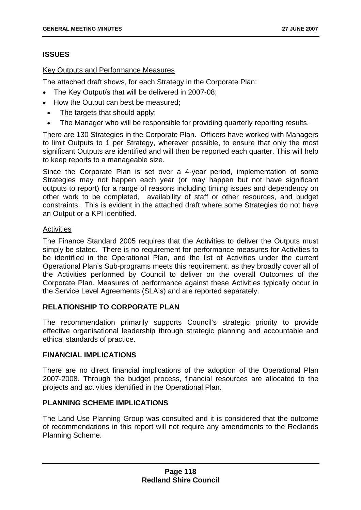# **ISSUES**

## Key Outputs and Performance Measures

The attached draft shows, for each Strategy in the Corporate Plan:

- The Key Output/s that will be delivered in 2007-08;
- How the Output can best be measured;
- The targets that should apply;
- The Manager who will be responsible for providing quarterly reporting results.

There are 130 Strategies in the Corporate Plan. Officers have worked with Managers to limit Outputs to 1 per Strategy, wherever possible, to ensure that only the most significant Outputs are identified and will then be reported each quarter. This will help to keep reports to a manageable size.

Since the Corporate Plan is set over a 4-year period, implementation of some Strategies may not happen each year (or may happen but not have significant outputs to report) for a range of reasons including timing issues and dependency on other work to be completed, availability of staff or other resources, and budget constraints. This is evident in the attached draft where some Strategies do not have an Output or a KPI identified.

### **Activities**

The Finance Standard 2005 requires that the Activities to deliver the Outputs must simply be stated. There is no requirement for performance measures for Activities to be identified in the Operational Plan, and the list of Activities under the current Operational Plan's Sub-programs meets this requirement, as they broadly cover all of the Activities performed by Council to deliver on the overall Outcomes of the Corporate Plan. Measures of performance against these Activities typically occur in the Service Level Agreements (SLA's) and are reported separately.

# **RELATIONSHIP TO CORPORATE PLAN**

The recommendation primarily supports Council's strategic priority to provide effective organisational leadership through strategic planning and accountable and ethical standards of practice.

### **FINANCIAL IMPLICATIONS**

There are no direct financial implications of the adoption of the Operational Plan 2007-2008. Through the budget process, financial resources are allocated to the projects and activities identified in the Operational Plan.

# **PLANNING SCHEME IMPLICATIONS**

The Land Use Planning Group was consulted and it is considered that the outcome of recommendations in this report will not require any amendments to the Redlands Planning Scheme.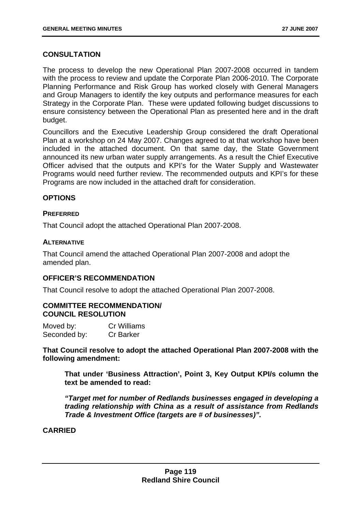# **CONSULTATION**

The process to develop the new Operational Plan 2007-2008 occurred in tandem with the process to review and update the Corporate Plan 2006-2010. The Corporate Planning Performance and Risk Group has worked closely with General Managers and Group Managers to identify the key outputs and performance measures for each Strategy in the Corporate Plan. These were updated following budget discussions to ensure consistency between the Operational Plan as presented here and in the draft budget.

Councillors and the Executive Leadership Group considered the draft Operational Plan at a workshop on 24 May 2007. Changes agreed to at that workshop have been included in the attached document. On that same day, the State Government announced its new urban water supply arrangements. As a result the Chief Executive Officer advised that the outputs and KPI's for the Water Supply and Wastewater Programs would need further review. The recommended outputs and KPI's for these Programs are now included in the attached draft for consideration.

### **OPTIONS**

### **PREFERRED**

That Council adopt the attached Operational Plan 2007-2008.

### **ALTERNATIVE**

That Council amend the attached Operational Plan 2007-2008 and adopt the amended plan.

### **OFFICER'S RECOMMENDATION**

That Council resolve to adopt the attached Operational Plan 2007-2008.

### **COMMITTEE RECOMMENDATION/ COUNCIL RESOLUTION**

| Moved by:    | <b>Cr Williams</b> |
|--------------|--------------------|
| Seconded by: | <b>Cr Barker</b>   |

**That Council resolve to adopt the attached Operational Plan 2007-2008 with the following amendment:** 

**That under 'Business Attraction', Point 3, Key Output KPI/s column the text be amended to read:** 

*"Target met for number of Redlands businesses engaged in developing a trading relationship with China as a result of assistance from Redlands Trade & Investment Office (targets are # of businesses)".* 

**CARRIED**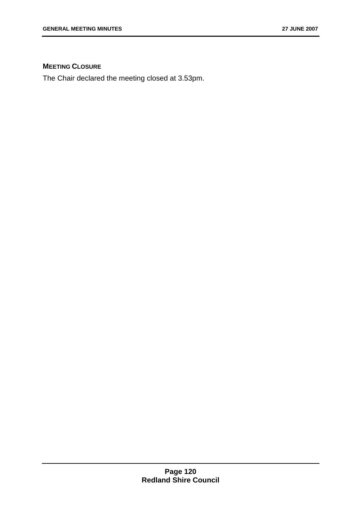# **MEETING CLOSURE**

The Chair declared the meeting closed at 3.53pm.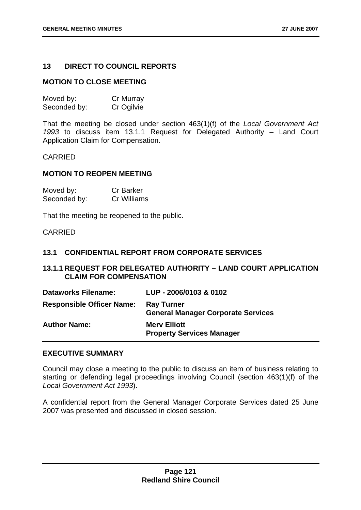### **13 DIRECT TO COUNCIL REPORTS**

#### **MOTION TO CLOSE MEETING**

| Moved by:    | Cr Murray  |
|--------------|------------|
| Seconded by: | Cr Ogilvie |

That the meeting be closed under section 463(1)(f) of the *Local Government Act 1993* to discuss item 13.1.1 Request for Delegated Authority – Land Court Application Claim for Compensation.

#### CARRIED

#### **MOTION TO REOPEN MEETING**

| Moved by:    | <b>Cr Barker</b> |
|--------------|------------------|
| Seconded by: | Cr Williams      |

That the meeting be reopened to the public.

CARRIED

#### **13.1 CONFIDENTIAL REPORT FROM CORPORATE SERVICES**

# **13.1.1 REQUEST FOR DELEGATED AUTHORITY – LAND COURT APPLICATION CLAIM FOR COMPENSATION**

| <b>Dataworks Filename:</b>       | LUP - 2006/0103 & 0102                                         |
|----------------------------------|----------------------------------------------------------------|
| <b>Responsible Officer Name:</b> | <b>Ray Turner</b><br><b>General Manager Corporate Services</b> |
| <b>Author Name:</b>              | <b>Merv Elliott</b><br><b>Property Services Manager</b>        |

#### **EXECUTIVE SUMMARY**

Council may close a meeting to the public to discuss an item of business relating to starting or defending legal proceedings involving Council (section 463(1)(f) of the *Local Government Act 1993*).

A confidential report from the General Manager Corporate Services dated 25 June 2007 was presented and discussed in closed session.